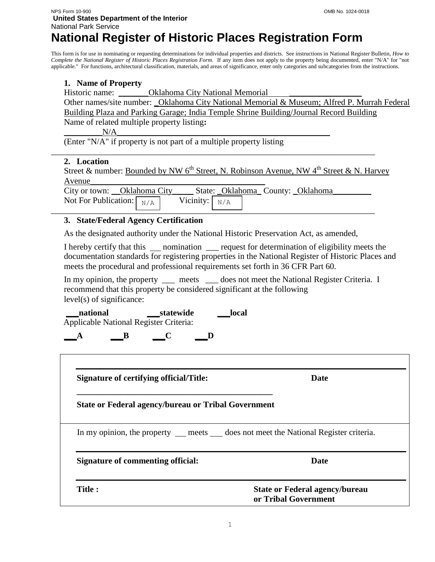# **National Register of Historic Places Registration Form**

This form is for use in nominating or requesting determinations for individual properties and districts. See instructions in National Register Bulletin, *How to Complete the National Register of Historic Places Registration Form.* If any item does not apply to the property being documented, enter "N/A" for "not applicable." For functions, architectural classification, materials, and areas of significance, enter only categories and subcategories from the instructions.

## **1. Name of Property**

Historic name: \_\_\_\_\_\_\_\_\_\_\_Oklahoma City National Memorial

Other names/site number: \_Oklahoma City National Memorial & Museum; Alfred P. Murrah Federal Building Plaza and Parking Garage; India Temple Shrine Building/Journal Record Building Name of related multiple property listing**:**

\_\_\_\_\_\_\_\_\_N/A\_\_\_\_\_\_\_\_\_\_\_\_\_\_\_\_\_\_\_\_\_\_\_\_\_\_\_\_\_\_\_\_\_\_\_\_\_\_\_\_\_\_\_\_\_\_\_\_\_\_

(Enter "N/A" if property is not part of a multiple property listing

## **2. Location**

Street & number: Bounded by NW 6<sup>th</sup> Street, N. Robinson Avenue, NW 4<sup>th</sup> Street & N. Harvey  $\Delta$ venue

City or town: \_\_Oklahoma City\_\_\_\_\_\_ State: \_Oklahoma\_\_ County: \_Oklahoma\_ Not For Publication:  $\sqrt{\frac{N}{A}}$ Vicinity:  $N/A$ 

\_\_\_\_\_\_\_\_\_\_\_\_\_\_\_\_\_\_\_\_\_\_\_\_\_\_\_\_\_\_\_\_\_\_\_\_\_\_\_\_\_\_\_\_\_\_\_\_\_\_\_\_\_\_\_\_\_\_\_\_\_\_\_\_\_\_\_\_\_\_\_\_\_\_\_\_

## **3. State/Federal Agency Certification**

As the designated authority under the National Historic Preservation Act, as amended,

\_\_\_\_\_\_\_\_\_\_\_\_\_\_\_\_\_\_\_\_\_\_\_\_\_\_\_\_\_\_\_\_\_\_\_\_\_\_\_\_\_\_\_\_\_\_\_\_\_\_\_\_\_\_\_\_\_\_\_\_\_\_\_\_\_\_\_\_\_\_\_\_\_\_\_\_

I hereby certify that this nomination request for determination of eligibility meets the documentation standards for registering properties in the National Register of Historic Places and meets the procedural and professional requirements set forth in 36 CFR Part 60.

In my opinion, the property <sub>same</sub> meets same does not meet the National Register Criteria. I recommend that this property be considered significant at the following level(s) of significance:

national statewide local Applicable National Register Criteria:

**\_\_\_A \_\_\_B \_\_\_C \_\_\_D** 

| <b>Signature of certifying official/Title:</b>                                           | Date                                                          |
|------------------------------------------------------------------------------------------|---------------------------------------------------------------|
| <b>State or Federal agency/bureau or Tribal Government</b>                               |                                                               |
| In my opinion, the property ___ meets ____ does not meet the National Register criteria. |                                                               |
| Signature of commenting official:                                                        | Date                                                          |
| <b>Title:</b>                                                                            | <b>State or Federal agency/bureau</b><br>or Tribal Government |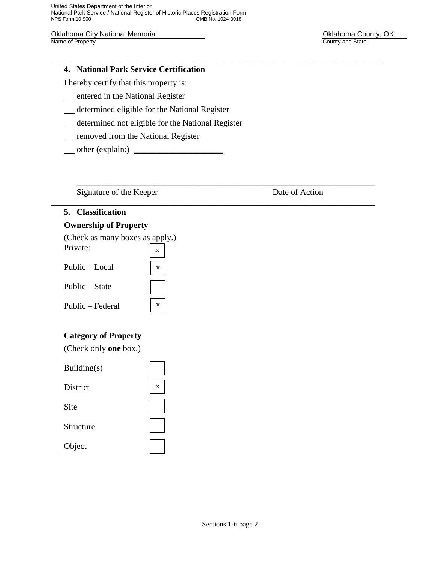United States Department of the Interior National Park Service / National Register of Historic Places Registration Form OMB No. 1024-0018

\_\_\_\_\_\_\_\_\_\_\_\_\_\_\_\_\_\_\_\_\_\_\_\_\_\_\_\_\_\_\_\_\_\_\_\_\_\_\_\_\_\_\_\_\_\_\_\_\_\_\_\_\_\_\_\_\_\_\_\_\_\_\_\_\_\_\_\_\_\_\_\_\_\_\_\_\_\_

\_\_\_\_\_\_\_\_\_\_\_\_\_\_\_\_\_\_\_\_\_\_\_\_\_\_\_\_\_\_\_\_\_\_\_\_\_\_\_\_\_\_\_\_\_\_\_\_\_\_\_\_\_\_\_\_\_\_\_\_\_\_\_\_\_\_\_\_\_\_

\_\_\_\_\_\_\_\_\_\_\_\_\_\_\_\_\_\_\_\_\_\_\_\_\_\_\_\_\_\_\_\_\_\_\_\_\_\_\_\_\_\_\_\_\_\_\_\_\_\_\_\_\_\_\_\_\_\_\_\_\_\_\_\_\_\_\_\_\_\_\_\_\_\_\_\_

Oklahoma City National Memorial **National County, OK** Changes County, OK Name of Property County and State

## **4. National Park Service Certification**

I hereby certify that this property is:

- **EXECUTE:** entered in the National Register
- determined eligible for the National Register
- determined not eligible for the National Register

x

- **\_\_ removed from the National Register**
- $\Box$  other (explain:)  $\Box$

Signature of the Keeper Date of Action

## **5. Classification**

## **Ownership of Property**

| (Check as many boxes as apply.) |  |
|---------------------------------|--|
| Private:                        |  |
| Public – Local                  |  |

## **Category of Property**

| (Check only <b>one</b> box.) |
|------------------------------|
|------------------------------|

| Building $(s)$ |   |
|----------------|---|
| District       | X |
| <b>Site</b>    |   |
| Structure      |   |
| Object         |   |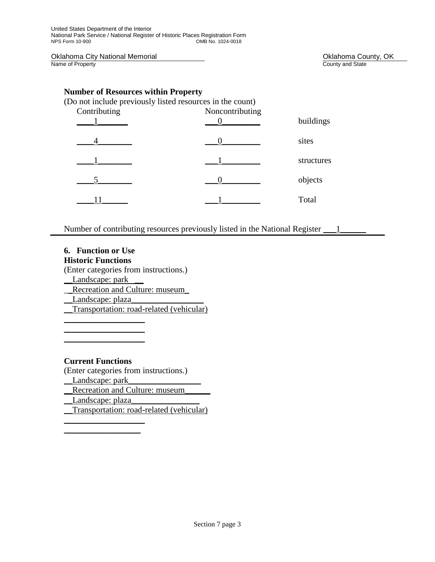Oklahoma City National Memorial **Collahoma County, OK**<br>
Name of Property County and State County and State

County and State

## **Number of Resources within Property**

| (Do not include previously listed resources in the count) |                 |            |  |  |
|-----------------------------------------------------------|-----------------|------------|--|--|
| Contributing                                              | Noncontributing |            |  |  |
|                                                           |                 | buildings  |  |  |
|                                                           |                 | sites      |  |  |
|                                                           |                 | structures |  |  |
|                                                           |                 | objects    |  |  |
|                                                           |                 | Total      |  |  |

Number of contributing resources previously listed in the National Register 1

## **6. Function or Use Historic Functions**

(Enter categories from instructions.)

\_\_Landscape: park \_\_

Recreation and Culture: museum

Landscape: plaza\_

 $\_$  $\_$  $\_$ 

Transportation: road-related (vehicular)

## **Current Functions**

 $\_$  $\_$ 

(Enter categories from instructions.) \_\_Landscape: park\_\_\_\_\_\_\_\_\_\_\_\_\_\_\_\_\_ Recreation and Culture: museum \_\_Landscape: plaza\_\_\_\_\_\_\_\_\_\_\_\_\_\_\_\_

\_\_Transportation: road-related (vehicular)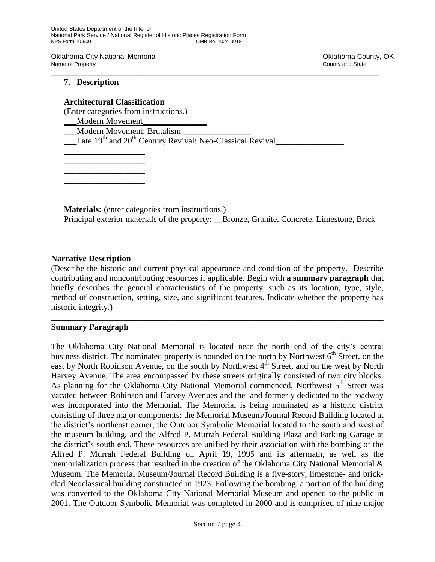Oklahoma City National Memorial **National County, OK** Changes County, OK Name of Property **County Accounty County and State** \_\_\_\_\_\_\_\_\_\_\_\_\_\_\_\_\_\_\_\_\_\_\_\_\_\_\_\_\_\_\_\_\_\_\_\_\_\_\_\_\_\_\_\_\_\_\_\_\_\_\_\_\_\_\_\_\_\_\_\_\_\_\_\_\_\_\_\_\_\_\_\_\_\_\_\_\_

## **7. Description**

## **Architectural Classification**

(Enter categories from instructions.)

Modern Movement

 $\_$  $\_$  $\_$  $\_$ 

\_\_\_Modern Movement: Brutalism \_\_\_\_\_\_\_\_\_\_\_\_\_\_\_\_

Late  $19<sup>th</sup>$  and  $20<sup>th</sup>$  Century Revival: Neo-Classical Revival

**Materials:** (enter categories from instructions.) Principal exterior materials of the property: <u>Bronze, Granite, Conc</u>rete, Limestone, Brick

## **Narrative Description**

(Describe the historic and current physical appearance and condition of the property. Describe contributing and noncontributing resources if applicable. Begin with **a summary paragraph** that briefly describes the general characteristics of the property, such as its location, type, style, method of construction, setting, size, and significant features. Indicate whether the property has historic integrity.)

\_\_\_\_\_\_\_\_\_\_\_\_\_\_\_\_\_\_\_\_\_\_\_\_\_\_\_\_\_\_\_\_\_\_\_\_\_\_\_\_\_\_\_\_\_\_\_\_\_\_\_\_\_\_\_\_\_\_\_\_\_\_\_\_\_\_\_\_\_\_\_\_\_\_\_\_\_\_

## **Summary Paragraph**

The Oklahoma City National Memorial is located near the north end of the city's central business district. The nominated property is bounded on the north by Northwest  $6<sup>th</sup>$  Street, on the east by North Robinson Avenue, on the south by Northwest  $4<sup>th</sup>$  Street, and on the west by North Harvey Avenue. The area encompassed by these streets originally consisted of two city blocks. As planning for the Oklahoma City National Memorial commenced, Northwest  $5<sup>th</sup>$  Street was vacated between Robinson and Harvey Avenues and the land formerly dedicated to the roadway was incorporated into the Memorial. The Memorial is being nominated as a historic district consisting of three major components: the Memorial Museum/Journal Record Building located at the district's northeast corner, the Outdoor Symbolic Memorial located to the south and west of the museum building, and the Alfred P. Murrah Federal Building Plaza and Parking Garage at the district's south end. These resources are unified by their association with the bombing of the Alfred P. Murrah Federal Building on April 19, 1995 and its aftermath, as well as the memorialization process that resulted in the creation of the Oklahoma City National Memorial & Museum. The Memorial Museum/Journal Record Building is a five-story, limestone- and brickclad Neoclassical building constructed in 1923. Following the bombing, a portion of the building was converted to the Oklahoma City National Memorial Museum and opened to the public in 2001. The Outdoor Symbolic Memorial was completed in 2000 and is comprised of nine major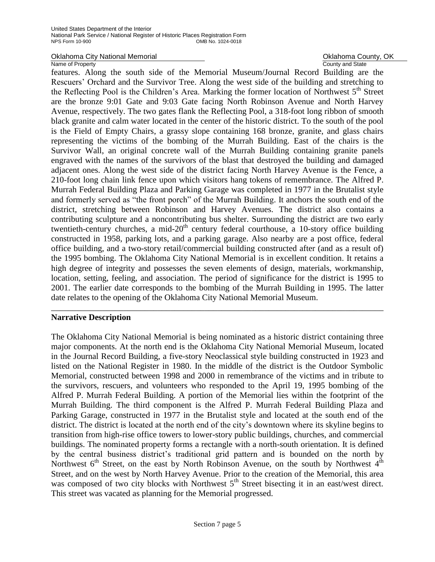Oklahoma City National Memorial **County, OK** County, OK

Name of Property **County Accounty County and State** 

features. Along the south side of the Memorial Museum/Journal Record Building are the Rescuers' Orchard and the Survivor Tree. Along the west side of the building and stretching to the Reflecting Pool is the Children's Area. Marking the former location of Northwest 5<sup>th</sup> Street are the bronze 9:01 Gate and 9:03 Gate facing North Robinson Avenue and North Harvey Avenue, respectively. The two gates flank the Reflecting Pool, a 318-foot long ribbon of smooth black granite and calm water located in the center of the historic district. To the south of the pool is the Field of Empty Chairs, a grassy slope containing 168 bronze, granite, and glass chairs representing the victims of the bombing of the Murrah Building. East of the chairs is the Survivor Wall, an original concrete wall of the Murrah Building containing granite panels engraved with the names of the survivors of the blast that destroyed the building and damaged adjacent ones. Along the west side of the district facing North Harvey Avenue is the Fence, a 210-foot long chain link fence upon which visitors hang tokens of remembrance. The Alfred P. Murrah Federal Building Plaza and Parking Garage was completed in 1977 in the Brutalist style and formerly served as "the front porch" of the Murrah Building. It anchors the south end of the district, stretching between Robinson and Harvey Avenues. The district also contains a contributing sculpture and a noncontributing bus shelter. Surrounding the district are two early twentieth-century churches, a mid- $20<sup>th</sup>$  century federal courthouse, a 10-story office building constructed in 1958, parking lots, and a parking garage. Also nearby are a post office, federal office building, and a two-story retail/commercial building constructed after (and as a result of) the 1995 bombing. The Oklahoma City National Memorial is in excellent condition. It retains a high degree of integrity and possesses the seven elements of design, materials, workmanship, location, setting, feeling, and association. The period of significance for the district is 1995 to 2001. The earlier date corresponds to the bombing of the Murrah Building in 1995. The latter date relates to the opening of the Oklahoma City National Memorial Museum. \_\_\_\_\_\_\_\_\_\_\_\_\_\_\_\_\_\_\_\_\_\_\_\_\_\_\_\_\_\_\_\_\_\_\_\_\_\_\_\_\_\_\_\_\_\_\_\_\_\_\_\_\_\_\_\_\_\_\_\_\_\_\_\_\_\_\_\_\_\_\_\_\_\_\_\_\_\_

## **Narrative Description**

The Oklahoma City National Memorial is being nominated as a historic district containing three major components. At the north end is the Oklahoma City National Memorial Museum, located in the Journal Record Building, a five-story Neoclassical style building constructed in 1923 and listed on the National Register in 1980. In the middle of the district is the Outdoor Symbolic Memorial, constructed between 1998 and 2000 in remembrance of the victims and in tribute to the survivors, rescuers, and volunteers who responded to the April 19, 1995 bombing of the Alfred P. Murrah Federal Building. A portion of the Memorial lies within the footprint of the Murrah Building. The third component is the Alfred P. Murrah Federal Building Plaza and Parking Garage, constructed in 1977 in the Brutalist style and located at the south end of the district. The district is located at the north end of the city's downtown where its skyline begins to transition from high-rise office towers to lower-story public buildings, churches, and commercial buildings. The nominated property forms a rectangle with a north-south orientation. It is defined by the central business district's traditional grid pattern and is bounded on the north by Northwest  $6<sup>th</sup>$  Street, on the east by North Robinson Avenue, on the south by Northwest  $4<sup>th</sup>$ Street, and on the west by North Harvey Avenue. Prior to the creation of the Memorial, this area was composed of two city blocks with Northwest  $5<sup>th</sup>$  Street bisecting it in an east/west direct. This street was vacated as planning for the Memorial progressed.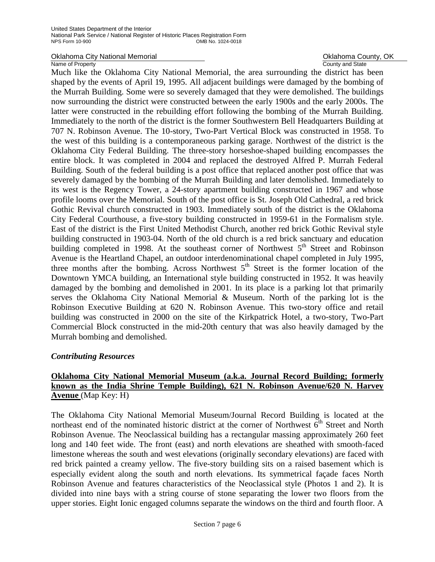Oklahoma City National Memorial **County, OKLAHOMA County, OK**<br>
Name of Property County and State

County and State

Much like the Oklahoma City National Memorial, the area surrounding the district has been shaped by the events of April 19, 1995. All adjacent buildings were damaged by the bombing of the Murrah Building. Some were so severely damaged that they were demolished. The buildings now surrounding the district were constructed between the early 1900s and the early 2000s. The latter were constructed in the rebuilding effort following the bombing of the Murrah Building. Immediately to the north of the district is the former Southwestern Bell Headquarters Building at 707 N. Robinson Avenue. The 10-story, Two-Part Vertical Block was constructed in 1958. To the west of this building is a contemporaneous parking garage. Northwest of the district is the Oklahoma City Federal Building. The three-story horseshoe-shaped building encompasses the entire block. It was completed in 2004 and replaced the destroyed Alfred P. Murrah Federal Building. South of the federal building is a post office that replaced another post office that was severely damaged by the bombing of the Murrah Building and later demolished. Immediately to its west is the Regency Tower, a 24-story apartment building constructed in 1967 and whose profile looms over the Memorial. South of the post office is St. Joseph Old Cathedral, a red brick Gothic Revival church constructed in 1903. Immediately south of the district is the Oklahoma City Federal Courthouse, a five-story building constructed in 1959-61 in the Formalism style. East of the district is the First United Methodist Church, another red brick Gothic Revival style building constructed in 1903-04. North of the old church is a red brick sanctuary and education building completed in 1998. At the southeast corner of Northwest  $5<sup>th</sup>$  Street and Robinson Avenue is the Heartland Chapel, an outdoor interdenominational chapel completed in July 1995, three months after the bombing. Across Northwest  $5<sup>th</sup>$  Street is the former location of the Downtown YMCA building, an International style building constructed in 1952. It was heavily damaged by the bombing and demolished in 2001. In its place is a parking lot that primarily serves the Oklahoma City National Memorial & Museum. North of the parking lot is the Robinson Executive Building at 620 N. Robinson Avenue. This two-story office and retail building was constructed in 2000 on the site of the Kirkpatrick Hotel, a two-story, Two-Part Commercial Block constructed in the mid-20th century that was also heavily damaged by the Murrah bombing and demolished.

## *Contributing Resources*

## **Oklahoma City National Memorial Museum (a.k.a. Journal Record Building; formerly known as the India Shrine Temple Building), 621 N. Robinson Avenue/620 N. Harvey Avenue** (Map Key: H)

The Oklahoma City National Memorial Museum/Journal Record Building is located at the northeast end of the nominated historic district at the corner of Northwest  $6<sup>th</sup>$  Street and North Robinson Avenue. The Neoclassical building has a rectangular massing approximately 260 feet long and 140 feet wide. The front (east) and north elevations are sheathed with smooth-faced limestone whereas the south and west elevations (originally secondary elevations) are faced with red brick painted a creamy yellow. The five-story building sits on a raised basement which is especially evident along the south and north elevations. Its symmetrical façade faces North Robinson Avenue and features characteristics of the Neoclassical style (Photos 1 and 2). It is divided into nine bays with a string course of stone separating the lower two floors from the upper stories. Eight Ionic engaged columns separate the windows on the third and fourth floor. A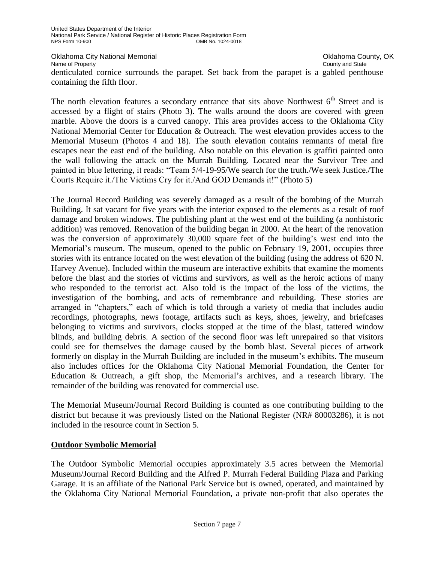Oklahoma City National Memorial **County, OK** County, OK

Name of Property **County Accounty County and State** 

denticulated cornice surrounds the parapet. Set back from the parapet is a gabled penthouse containing the fifth floor.

The north elevation features a secondary entrance that sits above Northwest  $6<sup>th</sup>$  Street and is accessed by a flight of stairs (Photo 3). The walls around the doors are covered with green marble. Above the doors is a curved canopy. This area provides access to the Oklahoma City National Memorial Center for Education & Outreach. The west elevation provides access to the Memorial Museum (Photos 4 and 18). The south elevation contains remnants of metal fire escapes near the east end of the building. Also notable on this elevation is graffiti painted onto the wall following the attack on the Murrah Building. Located near the Survivor Tree and painted in blue lettering, it reads: "Team 5/4-19-95/We search for the truth./We seek Justice./The Courts Require it./The Victims Cry for it./And GOD Demands it!" (Photo 5)

The Journal Record Building was severely damaged as a result of the bombing of the Murrah Building. It sat vacant for five years with the interior exposed to the elements as a result of roof damage and broken windows. The publishing plant at the west end of the building (a nonhistoric addition) was removed. Renovation of the building began in 2000. At the heart of the renovation was the conversion of approximately 30,000 square feet of the building's west end into the Memorial's museum. The museum, opened to the public on February 19, 2001, occupies three stories with its entrance located on the west elevation of the building (using the address of 620 N. Harvey Avenue). Included within the museum are interactive exhibits that examine the moments before the blast and the stories of victims and survivors, as well as the heroic actions of many who responded to the terrorist act. Also told is the impact of the loss of the victims, the investigation of the bombing, and acts of remembrance and rebuilding. These stories are arranged in "chapters," each of which is told through a variety of media that includes audio recordings, photographs, news footage, artifacts such as keys, shoes, jewelry, and briefcases belonging to victims and survivors, clocks stopped at the time of the blast, tattered window blinds, and building debris. A section of the second floor was left unrepaired so that visitors could see for themselves the damage caused by the bomb blast. Several pieces of artwork formerly on display in the Murrah Building are included in the museum's exhibits. The museum also includes offices for the Oklahoma City National Memorial Foundation, the Center for Education & Outreach, a gift shop, the Memorial's archives, and a research library. The remainder of the building was renovated for commercial use.

The Memorial Museum/Journal Record Building is counted as one contributing building to the district but because it was previously listed on the National Register (NR# 80003286), it is not included in the resource count in Section 5.

## **Outdoor Symbolic Memorial**

The Outdoor Symbolic Memorial occupies approximately 3.5 acres between the Memorial Museum/Journal Record Building and the Alfred P. Murrah Federal Building Plaza and Parking Garage. It is an affiliate of the National Park Service but is owned, operated, and maintained by the Oklahoma City National Memorial Foundation, a private non-profit that also operates the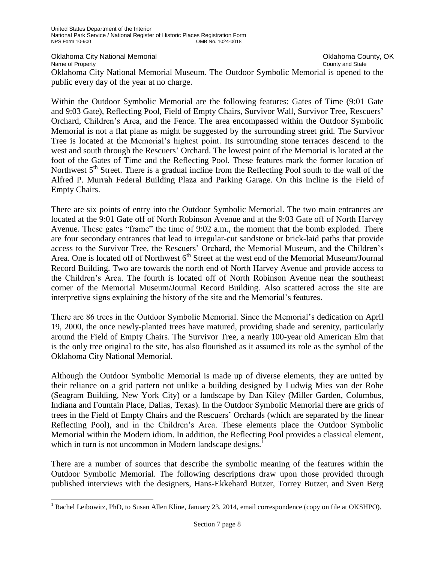Oklahoma City National Memorial **Oklahoma County, OK** Change Oklahoma County, OK

Name of Property **County and State** 

÷,

Oklahoma City National Memorial Museum. The Outdoor Symbolic Memorial is opened to the public every day of the year at no charge.

Within the Outdoor Symbolic Memorial are the following features: Gates of Time (9:01 Gate and 9:03 Gate), Reflecting Pool, Field of Empty Chairs, Survivor Wall, Survivor Tree, Rescuers' Orchard, Children's Area, and the Fence. The area encompassed within the Outdoor Symbolic Memorial is not a flat plane as might be suggested by the surrounding street grid. The Survivor Tree is located at the Memorial's highest point. Its surrounding stone terraces descend to the west and south through the Rescuers' Orchard. The lowest point of the Memorial is located at the foot of the Gates of Time and the Reflecting Pool. These features mark the former location of Northwest  $5<sup>th</sup>$  Street. There is a gradual incline from the Reflecting Pool south to the wall of the Alfred P. Murrah Federal Building Plaza and Parking Garage. On this incline is the Field of Empty Chairs.

There are six points of entry into the Outdoor Symbolic Memorial. The two main entrances are located at the 9:01 Gate off of North Robinson Avenue and at the 9:03 Gate off of North Harvey Avenue. These gates "frame" the time of 9:02 a.m., the moment that the bomb exploded. There are four secondary entrances that lead to irregular-cut sandstone or brick-laid paths that provide access to the Survivor Tree, the Rescuers' Orchard, the Memorial Museum, and the Children's Area. One is located off of Northwest 6<sup>th</sup> Street at the west end of the Memorial Museum/Journal Record Building. Two are towards the north end of North Harvey Avenue and provide access to the Children's Area. The fourth is located off of North Robinson Avenue near the southeast corner of the Memorial Museum/Journal Record Building. Also scattered across the site are interpretive signs explaining the history of the site and the Memorial's features.

There are 86 trees in the Outdoor Symbolic Memorial. Since the Memorial's dedication on April 19, 2000, the once newly-planted trees have matured, providing shade and serenity, particularly around the Field of Empty Chairs. The Survivor Tree, a nearly 100-year old American Elm that is the only tree original to the site, has also flourished as it assumed its role as the symbol of the Oklahoma City National Memorial.

Although the Outdoor Symbolic Memorial is made up of diverse elements, they are united by their reliance on a grid pattern not unlike a building designed by Ludwig Mies van der Rohe (Seagram Building, New York City) or a landscape by Dan Kiley (Miller Garden, Columbus, Indiana and Fountain Place, Dallas, Texas). In the Outdoor Symbolic Memorial there are grids of trees in the Field of Empty Chairs and the Rescuers' Orchards (which are separated by the linear Reflecting Pool), and in the Children's Area. These elements place the Outdoor Symbolic Memorial within the Modern idiom. In addition, the Reflecting Pool provides a classical element, which in turn is not uncommon in Modern landscape designs.<sup>1</sup>

There are a number of sources that describe the symbolic meaning of the features within the Outdoor Symbolic Memorial. The following descriptions draw upon those provided through published interviews with the designers, Hans-Ekkehard Butzer, Torrey Butzer, and Sven Berg

 $1$  Rachel Leibowitz, PhD, to Susan Allen Kline, January 23, 2014, email correspondence (copy on file at OKSHPO).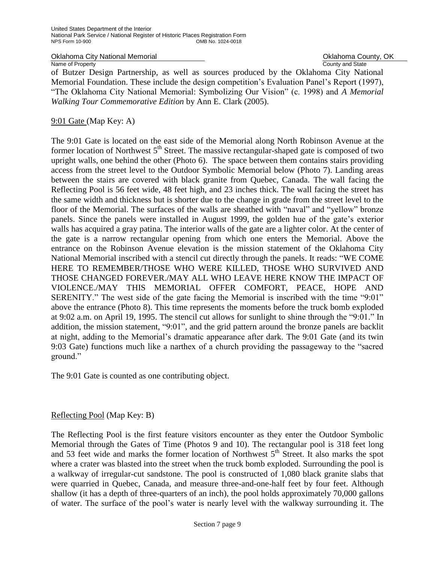Oklahoma City National Memorial **National County, OK** Change County, OK

Name of Property **County and State** of Butzer Design Partnership, as well as sources produced by the Oklahoma City National Memorial Foundation. These include the design competition's Evaluation Panel's Report (1997), "The Oklahoma City National Memorial: Symbolizing Our Vision" (c. 1998) and *A Memorial Walking Tour Commemorative Edition* by Ann E. Clark (2005).

## 9:01 Gate (Map Key: A)

The 9:01 Gate is located on the east side of the Memorial along North Robinson Avenue at the former location of Northwest 5<sup>th</sup> Street. The massive rectangular-shaped gate is composed of two upright walls, one behind the other (Photo 6). The space between them contains stairs providing access from the street level to the Outdoor Symbolic Memorial below (Photo 7). Landing areas between the stairs are covered with black granite from Quebec, Canada. The wall facing the Reflecting Pool is 56 feet wide, 48 feet high, and 23 inches thick. The wall facing the street has the same width and thickness but is shorter due to the change in grade from the street level to the floor of the Memorial. The surfaces of the walls are sheathed with "naval" and "yellow" bronze panels. Since the panels were installed in August 1999, the golden hue of the gate's exterior walls has acquired a gray patina. The interior walls of the gate are a lighter color. At the center of the gate is a narrow rectangular opening from which one enters the Memorial. Above the entrance on the Robinson Avenue elevation is the mission statement of the Oklahoma City National Memorial inscribed with a stencil cut directly through the panels. It reads: "WE COME HERE TO REMEMBER/THOSE WHO WERE KILLED, THOSE WHO SURVIVED AND THOSE CHANGED FOREVER./MAY ALL WHO LEAVE HERE KNOW THE IMPACT OF VIOLENCE./MAY THIS MEMORIAL OFFER COMFORT, PEACE, HOPE AND SERENITY." The west side of the gate facing the Memorial is inscribed with the time "9:01" above the entrance (Photo 8). This time represents the moments before the truck bomb exploded at 9:02 a.m. on April 19, 1995. The stencil cut allows for sunlight to shine through the "9:01." In addition, the mission statement, "9:01", and the grid pattern around the bronze panels are backlit at night, adding to the Memorial's dramatic appearance after dark. The 9:01 Gate (and its twin 9:03 Gate) functions much like a narthex of a church providing the passageway to the "sacred ground."

The 9:01 Gate is counted as one contributing object.

## Reflecting Pool (Map Key: B)

The Reflecting Pool is the first feature visitors encounter as they enter the Outdoor Symbolic Memorial through the Gates of Time (Photos 9 and 10). The rectangular pool is 318 feet long and 53 feet wide and marks the former location of Northwest  $5<sup>th</sup>$  Street. It also marks the spot where a crater was blasted into the street when the truck bomb exploded. Surrounding the pool is a walkway of irregular-cut sandstone. The pool is constructed of 1,080 black granite slabs that were quarried in Quebec, Canada, and measure three-and-one-half feet by four feet. Although shallow (it has a depth of three-quarters of an inch), the pool holds approximately 70,000 gallons of water. The surface of the pool's water is nearly level with the walkway surrounding it. The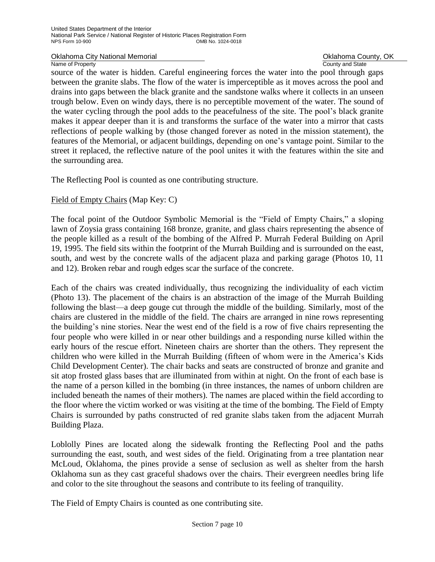Oklahoma City National Memorial **Oklahoma County, OK** 

Name of Property **County and State** 

source of the water is hidden. Careful engineering forces the water into the pool through gaps between the granite slabs. The flow of the water is imperceptible as it moves across the pool and drains into gaps between the black granite and the sandstone walks where it collects in an unseen trough below. Even on windy days, there is no perceptible movement of the water. The sound of the water cycling through the pool adds to the peacefulness of the site. The pool's black granite makes it appear deeper than it is and transforms the surface of the water into a mirror that casts reflections of people walking by (those changed forever as noted in the mission statement), the features of the Memorial, or adjacent buildings, depending on one's vantage point. Similar to the street it replaced, the reflective nature of the pool unites it with the features within the site and the surrounding area.

The Reflecting Pool is counted as one contributing structure.

## Field of Empty Chairs (Map Key: C)

The focal point of the Outdoor Symbolic Memorial is the "Field of Empty Chairs," a sloping lawn of Zoysia grass containing 168 bronze, granite, and glass chairs representing the absence of the people killed as a result of the bombing of the Alfred P. Murrah Federal Building on April 19, 1995. The field sits within the footprint of the Murrah Building and is surrounded on the east, south, and west by the concrete walls of the adjacent plaza and parking garage (Photos 10, 11 and 12). Broken rebar and rough edges scar the surface of the concrete.

Each of the chairs was created individually, thus recognizing the individuality of each victim (Photo 13). The placement of the chairs is an abstraction of the image of the Murrah Building following the blast—a deep gouge cut through the middle of the building. Similarly, most of the chairs are clustered in the middle of the field. The chairs are arranged in nine rows representing the building's nine stories. Near the west end of the field is a row of five chairs representing the four people who were killed in or near other buildings and a responding nurse killed within the early hours of the rescue effort. Nineteen chairs are shorter than the others. They represent the children who were killed in the Murrah Building (fifteen of whom were in the America's Kids Child Development Center). The chair backs and seats are constructed of bronze and granite and sit atop frosted glass bases that are illuminated from within at night. On the front of each base is the name of a person killed in the bombing (in three instances, the names of unborn children are included beneath the names of their mothers). The names are placed within the field according to the floor where the victim worked or was visiting at the time of the bombing. The Field of Empty Chairs is surrounded by paths constructed of red granite slabs taken from the adjacent Murrah Building Plaza.

Loblolly Pines are located along the sidewalk fronting the Reflecting Pool and the paths surrounding the east, south, and west sides of the field. Originating from a tree plantation near McLoud, Oklahoma, the pines provide a sense of seclusion as well as shelter from the harsh Oklahoma sun as they cast graceful shadows over the chairs. Their evergreen needles bring life and color to the site throughout the seasons and contribute to its feeling of tranquility.

The Field of Empty Chairs is counted as one contributing site.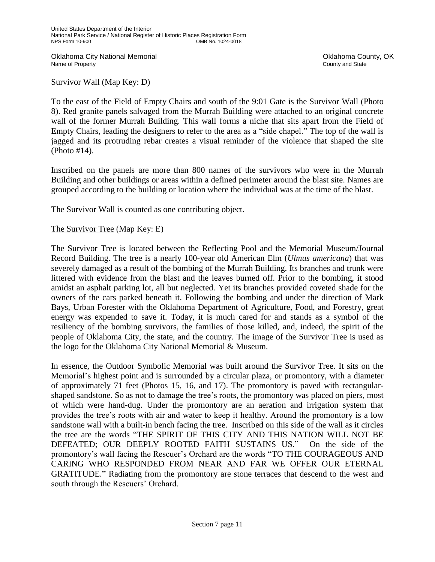Oklahoma City National Memorial **County, OKLAHOMA County, OKLAHOMA County, OKLAHOMA** County, OK<br>
Name of Property

County and State

Survivor Wall (Map Key: D)

To the east of the Field of Empty Chairs and south of the 9:01 Gate is the Survivor Wall (Photo 8). Red granite panels salvaged from the Murrah Building were attached to an original concrete wall of the former Murrah Building. This wall forms a niche that sits apart from the Field of Empty Chairs, leading the designers to refer to the area as a "side chapel." The top of the wall is jagged and its protruding rebar creates a visual reminder of the violence that shaped the site (Photo #14).

Inscribed on the panels are more than 800 names of the survivors who were in the Murrah Building and other buildings or areas within a defined perimeter around the blast site. Names are grouped according to the building or location where the individual was at the time of the blast.

The Survivor Wall is counted as one contributing object.

The Survivor Tree (Map Key: E)

The Survivor Tree is located between the Reflecting Pool and the Memorial Museum/Journal Record Building. The tree is a nearly 100-year old American Elm (*Ulmus americana*) that was severely damaged as a result of the bombing of the Murrah Building. Its branches and trunk were littered with evidence from the blast and the leaves burned off. Prior to the bombing, it stood amidst an asphalt parking lot, all but neglected. Yet its branches provided coveted shade for the owners of the cars parked beneath it. Following the bombing and under the direction of Mark Bays, Urban Forester with the Oklahoma Department of Agriculture, Food, and Forestry, great energy was expended to save it. Today, it is much cared for and stands as a symbol of the resiliency of the bombing survivors, the families of those killed, and, indeed, the spirit of the people of Oklahoma City, the state, and the country. The image of the Survivor Tree is used as the logo for the Oklahoma City National Memorial & Museum.

In essence, the Outdoor Symbolic Memorial was built around the Survivor Tree. It sits on the Memorial's highest point and is surrounded by a circular plaza, or promontory, with a diameter of approximately 71 feet (Photos 15, 16, and 17). The promontory is paved with rectangularshaped sandstone. So as not to damage the tree's roots, the promontory was placed on piers, most of which were hand-dug. Under the promontory are an aeration and irrigation system that provides the tree's roots with air and water to keep it healthy. Around the promontory is a low sandstone wall with a built-in bench facing the tree. Inscribed on this side of the wall as it circles the tree are the words "THE SPIRIT OF THIS CITY AND THIS NATION WILL NOT BE DEFEATED; OUR DEEPLY ROOTED FAITH SUSTAINS US." On the side of the promontory's wall facing the Rescuer's Orchard are the words "TO THE COURAGEOUS AND CARING WHO RESPONDED FROM NEAR AND FAR WE OFFER OUR ETERNAL GRATITUDE." Radiating from the promontory are stone terraces that descend to the west and south through the Rescuers' Orchard.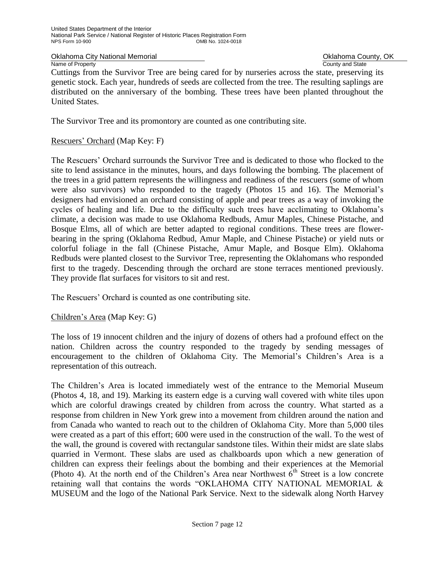Name of Property

Oklahoma City National Memorial **County Accounty** Oklahoma County, OK<br>
Name of Property<br>
Ocunty and State

Cuttings from the Survivor Tree are being cared for by nurseries across the state, preserving its genetic stock. Each year, hundreds of seeds are collected from the tree. The resulting saplings are distributed on the anniversary of the bombing. These trees have been planted throughout the United States.

The Survivor Tree and its promontory are counted as one contributing site.

## Rescuers' Orchard (Map Key: F)

The Rescuers' Orchard surrounds the Survivor Tree and is dedicated to those who flocked to the site to lend assistance in the minutes, hours, and days following the bombing. The placement of the trees in a grid pattern represents the willingness and readiness of the rescuers (some of whom were also survivors) who responded to the tragedy (Photos 15 and 16). The Memorial's designers had envisioned an orchard consisting of apple and pear trees as a way of invoking the cycles of healing and life. Due to the difficulty such trees have acclimating to Oklahoma's climate, a decision was made to use Oklahoma Redbuds, Amur Maples, Chinese Pistache, and Bosque Elms, all of which are better adapted to regional conditions. These trees are flowerbearing in the spring (Oklahoma Redbud, Amur Maple, and Chinese Pistache) or yield nuts or colorful foliage in the fall (Chinese Pistache, Amur Maple, and Bosque Elm). Oklahoma Redbuds were planted closest to the Survivor Tree, representing the Oklahomans who responded first to the tragedy. Descending through the orchard are stone terraces mentioned previously. They provide flat surfaces for visitors to sit and rest.

The Rescuers' Orchard is counted as one contributing site.

Children's Area (Map Key: G)

The loss of 19 innocent children and the injury of dozens of others had a profound effect on the nation. Children across the country responded to the tragedy by sending messages of encouragement to the children of Oklahoma City. The Memorial's Children's Area is a representation of this outreach.

The Children's Area is located immediately west of the entrance to the Memorial Museum (Photos 4, 18, and 19). Marking its eastern edge is a curving wall covered with white tiles upon which are colorful drawings created by children from across the country. What started as a response from children in New York grew into a movement from children around the nation and from Canada who wanted to reach out to the children of Oklahoma City. More than 5,000 tiles were created as a part of this effort; 600 were used in the construction of the wall. To the west of the wall, the ground is covered with rectangular sandstone tiles. Within their midst are slate slabs quarried in Vermont. These slabs are used as chalkboards upon which a new generation of children can express their feelings about the bombing and their experiences at the Memorial (Photo 4). At the north end of the Children's Area near Northwest  $\bar{6}^{th}$  Street is a low concrete retaining wall that contains the words "OKLAHOMA CITY NATIONAL MEMORIAL & MUSEUM and the logo of the National Park Service. Next to the sidewalk along North Harvey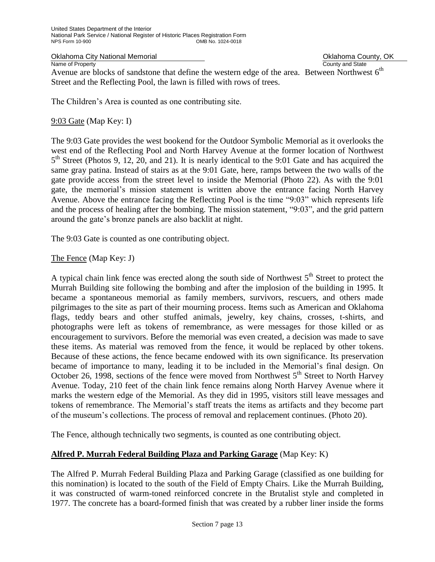Oklahoma City National Memorial **County, OKLAHOMA County, OK**<br>
Name of Property County and State

Name of Property Avenue are blocks of sandstone that define the western edge of the area. Between Northwest  $6<sup>th</sup>$ Street and the Reflecting Pool, the lawn is filled with rows of trees.

The Children's Area is counted as one contributing site.

## 9:03 Gate (Map Key: I)

The 9:03 Gate provides the west bookend for the Outdoor Symbolic Memorial as it overlooks the west end of the Reflecting Pool and North Harvey Avenue at the former location of Northwest  $5<sup>th</sup>$  Street (Photos 9, 12, 20, and 21). It is nearly identical to the 9:01 Gate and has acquired the same gray patina. Instead of stairs as at the 9:01 Gate, here, ramps between the two walls of the gate provide access from the street level to inside the Memorial (Photo 22). As with the 9:01 gate, the memorial's mission statement is written above the entrance facing North Harvey Avenue. Above the entrance facing the Reflecting Pool is the time "9:03" which represents life and the process of healing after the bombing. The mission statement, "9:03", and the grid pattern around the gate's bronze panels are also backlit at night.

The 9:03 Gate is counted as one contributing object.

## The Fence (Map Key: J)

A typical chain link fence was erected along the south side of Northwest  $5<sup>th</sup>$  Street to protect the Murrah Building site following the bombing and after the implosion of the building in 1995. It became a spontaneous memorial as family members, survivors, rescuers, and others made pilgrimages to the site as part of their mourning process. Items such as American and Oklahoma flags, teddy bears and other stuffed animals, jewelry, key chains, crosses, t-shirts, and photographs were left as tokens of remembrance, as were messages for those killed or as encouragement to survivors. Before the memorial was even created, a decision was made to save these items. As material was removed from the fence, it would be replaced by other tokens. Because of these actions, the fence became endowed with its own significance. Its preservation became of importance to many, leading it to be included in the Memorial's final design. On October 26, 1998, sections of the fence were moved from Northwest  $5<sup>th</sup>$  Street to North Harvey Avenue. Today, 210 feet of the chain link fence remains along North Harvey Avenue where it marks the western edge of the Memorial. As they did in 1995, visitors still leave messages and tokens of remembrance. The Memorial's staff treats the items as artifacts and they become part of the museum's collections. The process of removal and replacement continues. (Photo 20).

The Fence, although technically two segments, is counted as one contributing object.

## **Alfred P. Murrah Federal Building Plaza and Parking Garage** (Map Key: K)

The Alfred P. Murrah Federal Building Plaza and Parking Garage (classified as one building for this nomination) is located to the south of the Field of Empty Chairs. Like the Murrah Building, it was constructed of warm-toned reinforced concrete in the Brutalist style and completed in 1977. The concrete has a board-formed finish that was created by a rubber liner inside the forms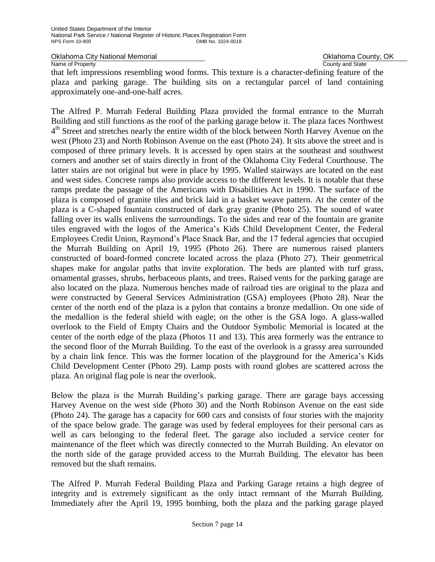Oklahoma City National Memorial **County, OKLAHOMA County, OK**<br>
Name of Property County and State

Name of Property

that left impressions resembling wood forms. This texture is a character-defining feature of the plaza and parking garage. The building sits on a rectangular parcel of land containing approximately one-and-one-half acres.

The Alfred P. Murrah Federal Building Plaza provided the formal entrance to the Murrah Building and still functions as the roof of the parking garage below it. The plaza faces Northwest 4<sup>th</sup> Street and stretches nearly the entire width of the block between North Harvey Avenue on the west (Photo 23) and North Robinson Avenue on the east (Photo 24). It sits above the street and is composed of three primary levels. It is accessed by open stairs at the southeast and southwest corners and another set of stairs directly in front of the Oklahoma City Federal Courthouse. The latter stairs are not original but were in place by 1995. Walled stairways are located on the east and west sides. Concrete ramps also provide access to the different levels. It is notable that these ramps predate the passage of the Americans with Disabilities Act in 1990. The surface of the plaza is composed of granite tiles and brick laid in a basket weave pattern. At the center of the plaza is a C-shaped fountain constructed of dark gray granite (Photo 25). The sound of water falling over its walls enlivens the surroundings. To the sides and rear of the fountain are granite tiles engraved with the logos of the America's Kids Child Development Center, the Federal Employees Credit Union, Raymond's Place Snack Bar, and the 17 federal agencies that occupied the Murrah Building on April 19, 1995 (Photo 26). There are numerous raised planters constructed of board-formed concrete located across the plaza (Photo 27). Their geometrical shapes make for angular paths that invite exploration. The beds are planted with turf grass, ornamental grasses, shrubs, herbaceous plants, and trees. Raised vents for the parking garage are also located on the plaza. Numerous benches made of railroad ties are original to the plaza and were constructed by General Services Administration (GSA) employees (Photo 28). Near the center of the north end of the plaza is a pylon that contains a bronze medallion. On one side of the medallion is the federal shield with eagle; on the other is the GSA logo. A glass-walled overlook to the Field of Empty Chairs and the Outdoor Symbolic Memorial is located at the center of the north edge of the plaza (Photos 11 and 13). This area formerly was the entrance to the second floor of the Murrah Building. To the east of the overlook is a grassy area surrounded by a chain link fence. This was the former location of the playground for the America's Kids Child Development Center (Photo 29). Lamp posts with round globes are scattered across the plaza. An original flag pole is near the overlook.

Below the plaza is the Murrah Building's parking garage. There are garage bays accessing Harvey Avenue on the west side (Photo 30) and the North Robinson Avenue on the east side (Photo 24). The garage has a capacity for 600 cars and consists of four stories with the majority of the space below grade. The garage was used by federal employees for their personal cars as well as cars belonging to the federal fleet. The garage also included a service center for maintenance of the fleet which was directly connected to the Murrah Building. An elevator on the north side of the garage provided access to the Murrah Building. The elevator has been removed but the shaft remains.

The Alfred P. Murrah Federal Building Plaza and Parking Garage retains a high degree of integrity and is extremely significant as the only intact remnant of the Murrah Building. Immediately after the April 19, 1995 bombing, both the plaza and the parking garage played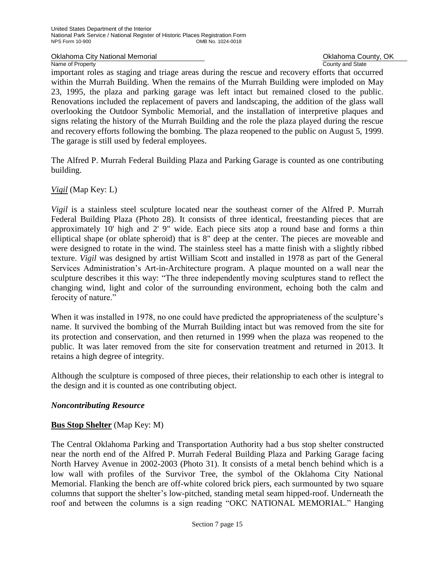Oklahoma City National Memorial **County, OK** County, OK

Name of Property **County Accounty County and State** 

important roles as staging and triage areas during the rescue and recovery efforts that occurred within the Murrah Building. When the remains of the Murrah Building were imploded on May 23, 1995, the plaza and parking garage was left intact but remained closed to the public. Renovations included the replacement of pavers and landscaping, the addition of the glass wall overlooking the Outdoor Symbolic Memorial, and the installation of interpretive plaques and signs relating the history of the Murrah Building and the role the plaza played during the rescue and recovery efforts following the bombing. The plaza reopened to the public on August 5, 1999. The garage is still used by federal employees.

The Alfred P. Murrah Federal Building Plaza and Parking Garage is counted as one contributing building.

*Vigil* (Map Key: L)

*Vigil* is a stainless steel sculpture located near the southeast corner of the Alfred P. Murrah Federal Building Plaza (Photo 28). It consists of three identical, freestanding pieces that are approximately 10' high and 2' 9" wide. Each piece sits atop a round base and forms a thin elliptical shape (or oblate spheroid) that is 8" deep at the center. The pieces are moveable and were designed to rotate in the wind. The stainless steel has a matte finish with a slightly ribbed texture. *Vigil* was designed by artist William Scott and installed in 1978 as part of the General Services Administration's Art-in-Architecture program. A plaque mounted on a wall near the sculpture describes it this way: "The three independently moving sculptures stand to reflect the changing wind, light and color of the surrounding environment, echoing both the calm and ferocity of nature."

When it was installed in 1978, no one could have predicted the appropriateness of the sculpture's name. It survived the bombing of the Murrah Building intact but was removed from the site for its protection and conservation, and then returned in 1999 when the plaza was reopened to the public. It was later removed from the site for conservation treatment and returned in 2013. It retains a high degree of integrity.

Although the sculpture is composed of three pieces, their relationship to each other is integral to the design and it is counted as one contributing object.

## *Noncontributing Resource*

## **Bus Stop Shelter** (Map Key: M)

The Central Oklahoma Parking and Transportation Authority had a bus stop shelter constructed near the north end of the Alfred P. Murrah Federal Building Plaza and Parking Garage facing North Harvey Avenue in 2002-2003 (Photo 31). It consists of a metal bench behind which is a low wall with profiles of the Survivor Tree, the symbol of the Oklahoma City National Memorial. Flanking the bench are off-white colored brick piers, each surmounted by two square columns that support the shelter's low-pitched, standing metal seam hipped-roof. Underneath the roof and between the columns is a sign reading "OKC NATIONAL MEMORIAL." Hanging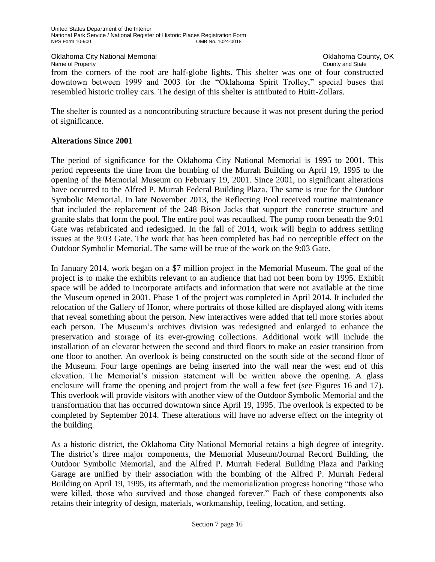Oklahoma City National Memorial **Oklahoma County, OK** Change Oklahoma County, OK

Name of Property **County Accounty County and State** 

from the corners of the roof are half-globe lights. This shelter was one of four constructed downtown between 1999 and 2003 for the "Oklahoma Spirit Trolley," special buses that resembled historic trolley cars. The design of this shelter is attributed to Huitt-Zollars.

The shelter is counted as a noncontributing structure because it was not present during the period of significance.

## **Alterations Since 2001**

The period of significance for the Oklahoma City National Memorial is 1995 to 2001. This period represents the time from the bombing of the Murrah Building on April 19, 1995 to the opening of the Memorial Museum on February 19, 2001. Since 2001, no significant alterations have occurred to the Alfred P. Murrah Federal Building Plaza. The same is true for the Outdoor Symbolic Memorial. In late November 2013, the Reflecting Pool received routine maintenance that included the replacement of the 248 Bison Jacks that support the concrete structure and granite slabs that form the pool. The entire pool was recaulked. The pump room beneath the 9:01 Gate was refabricated and redesigned. In the fall of 2014, work will begin to address settling issues at the 9:03 Gate. The work that has been completed has had no perceptible effect on the Outdoor Symbolic Memorial. The same will be true of the work on the 9:03 Gate.

In January 2014, work began on a \$7 million project in the Memorial Museum. The goal of the project is to make the exhibits relevant to an audience that had not been born by 1995. Exhibit space will be added to incorporate artifacts and information that were not available at the time the Museum opened in 2001. Phase 1 of the project was completed in April 2014. It included the relocation of the Gallery of Honor, where portraits of those killed are displayed along with items that reveal something about the person. New interactives were added that tell more stories about each person. The Museum's archives division was redesigned and enlarged to enhance the preservation and storage of its ever-growing collections. Additional work will include the installation of an elevator between the second and third floors to make an easier transition from one floor to another. An overlook is being constructed on the south side of the second floor of the Museum. Four large openings are being inserted into the wall near the west end of this elevation. The Memorial's mission statement will be written above the opening. A glass enclosure will frame the opening and project from the wall a few feet (see Figures 16 and 17). This overlook will provide visitors with another view of the Outdoor Symbolic Memorial and the transformation that has occurred downtown since April 19, 1995. The overlook is expected to be completed by September 2014. These alterations will have no adverse effect on the integrity of the building.

As a historic district, the Oklahoma City National Memorial retains a high degree of integrity. The district's three major components, the Memorial Museum/Journal Record Building, the Outdoor Symbolic Memorial, and the Alfred P. Murrah Federal Building Plaza and Parking Garage are unified by their association with the bombing of the Alfred P. Murrah Federal Building on April 19, 1995, its aftermath, and the memorialization progress honoring "those who were killed, those who survived and those changed forever." Each of these components also retains their integrity of design, materials, workmanship, feeling, location, and setting.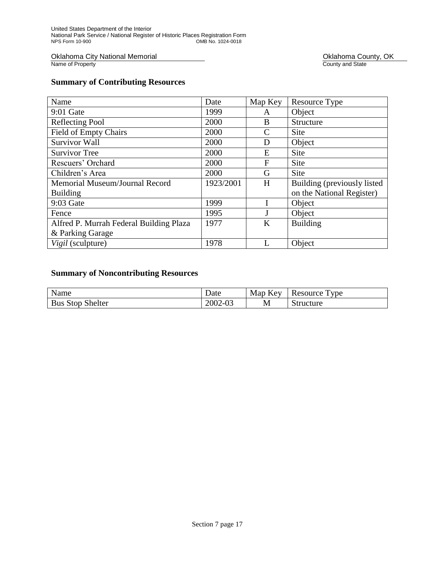Oklahoma City National Memorial<br>Name of Property

Oklahoma County, OK<br>County and State

## **Summary of Contributing Resources**

| Name                                    | Date      | Map Key | Resource Type               |
|-----------------------------------------|-----------|---------|-----------------------------|
| 9:01 Gate                               | 1999      | A       | Object                      |
| <b>Reflecting Pool</b>                  | 2000      | B       | Structure                   |
| <b>Field of Empty Chairs</b>            | 2000      | C       | Site                        |
| <b>Survivor Wall</b>                    | 2000      | D       | Object                      |
| <b>Survivor Tree</b>                    | 2000      | E       | Site                        |
| Rescuers' Orchard                       | 2000      | F       | Site                        |
| Children's Area                         | 2000      | G       | Site                        |
| Memorial Museum/Journal Record          | 1923/2001 | H       | Building (previously listed |
| <b>Building</b>                         |           |         | on the National Register)   |
| 9:03 Gate                               | 1999      |         | Object                      |
| Fence                                   | 1995      | J       | Object                      |
| Alfred P. Murrah Federal Building Plaza | 1977      | K       | <b>Building</b>             |
| & Parking Garage                        |           |         |                             |
| Vigil (sculpture)                       | 1978      | L       | Object                      |

## **Summary of Noncontributing Resources**

| Name                    | Date    | Map Key | $T_{VDE}$<br>Resource T |
|-------------------------|---------|---------|-------------------------|
| <b>Bus Stop Shelter</b> | 2002-03 | M       | Structure               |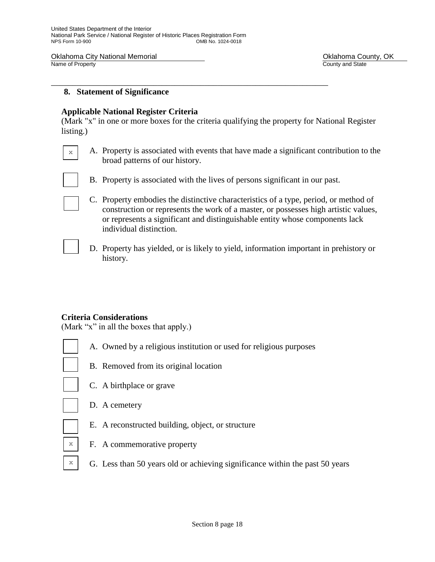Oklahoma City National Memorial **County, OKLAHOMA County, OKLAHOMA County, OKLAHOMA** County, OK<br>
Name of Property

County and State

## **8. Statement of Significance**

### **Applicable National Register Criteria**

(Mark "x" in one or more boxes for the criteria qualifying the property for National Register listing.)

\_\_\_\_\_\_\_\_\_\_\_\_\_\_\_\_\_\_\_\_\_\_\_\_\_\_\_\_\_\_\_\_\_\_\_\_\_\_\_\_\_\_\_\_\_\_\_\_\_\_\_\_\_\_\_\_\_\_\_\_\_\_\_\_\_

- A. Property is associated with events that have made a significant contribution to the broad patterns of our history.
- B. Property is associated with the lives of persons significant in our past.
- C. Property embodies the distinctive characteristics of a type, period, or method of construction or represents the work of a master, or possesses high artistic values, or represents a significant and distinguishable entity whose components lack individual distinction.
	- D. Property has yielded, or is likely to yield, information important in prehistory or history.

## **Criteria Considerations**

(Mark "x" in all the boxes that apply.)

- A. Owned by a religious institution or used for religious purposes
- 

x

B. Removed from its original location



- C. A birthplace or grave
- D. A cemetery
- E. A reconstructed building, object, or structure
- x

x

- F. A commemorative property
- G. Less than 50 years old or achieving significance within the past 50 years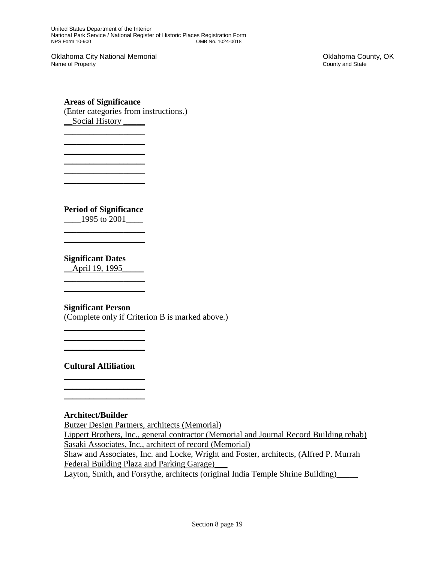United States Department of the Interior National Park Service / National Register of Historic Places Registration Form OMB No. 1024-0018

Oklahoma City National Memorial **County, OKLAHOMA County, OKLAHOMA COUNTY**, OK<br>
Name of Property Name of Property

## **Areas of Significance**

 $\_$  $\_$  $\_$ 

 $\_$  $\_$ 

(Enter categories from instructions.) \_\_Social History \_\_\_\_\_

**Period of Significance**

\_\_\_\_1995 to 2001\_\_\_\_  $\_$ 

 $\_$ 

## **Significant Dates**

\_\_April 19, 1995\_\_\_\_\_  $\_$ 

## **Significant Person**

 $\_$  $\_$  $\_$ 

(Complete only if Criterion B is marked above.)

**Cultural Affiliation**  $\_$ 

 $\_$  $\_$ 

## **Architect/Builder**

Butzer Design Partners, architects (Memorial)

Lippert Brothers, Inc., general contractor (Memorial and Journal Record Building rehab) Sasaki Associates, Inc., architect of record (Memorial)

Shaw and Associates, Inc. and Locke, Wright and Foster, architects, (Alfred P. Murrah Federal Building Plaza and Parking Garage)\_\_\_

Layton, Smith, and Forsythe, architects (original India Temple Shrine Building)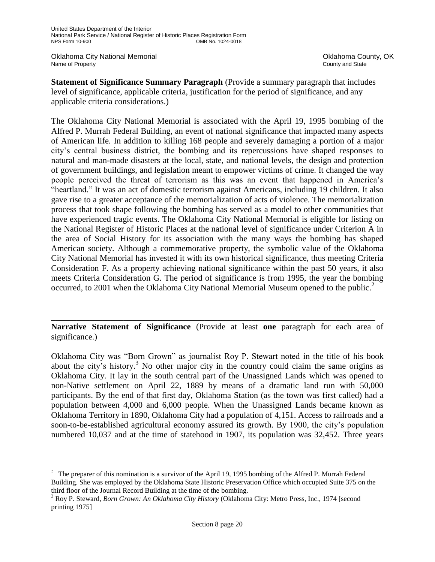Oklahoma City National Memorial **County, OKLAHOMA County, OK**<br>
Name of Property County and State Name of Property

ı.

**Statement of Significance Summary Paragraph** (Provide a summary paragraph that includes level of significance, applicable criteria, justification for the period of significance, and any applicable criteria considerations.)

The Oklahoma City National Memorial is associated with the April 19, 1995 bombing of the Alfred P. Murrah Federal Building, an event of national significance that impacted many aspects of American life. In addition to killing 168 people and severely damaging a portion of a major city's central business district, the bombing and its repercussions have shaped responses to natural and man-made disasters at the local, state, and national levels, the design and protection of government buildings, and legislation meant to empower victims of crime. It changed the way people perceived the threat of terrorism as this was an event that happened in America's "heartland." It was an act of domestic terrorism against Americans, including 19 children. It also gave rise to a greater acceptance of the memorialization of acts of violence. The memorialization process that took shape following the bombing has served as a model to other communities that have experienced tragic events. The Oklahoma City National Memorial is eligible for listing on the National Register of Historic Places at the national level of significance under Criterion A in the area of Social History for its association with the many ways the bombing has shaped American society. Although a commemorative property, the symbolic value of the Oklahoma City National Memorial has invested it with its own historical significance, thus meeting Criteria Consideration F. As a property achieving national significance within the past 50 years, it also meets Criteria Consideration G. The period of significance is from 1995, the year the bombing occurred, to 2001 when the Oklahoma City National Memorial Museum opened to the public.<sup>2</sup>

**Narrative Statement of Significance** (Provide at least **one** paragraph for each area of significance.)

\_\_\_\_\_\_\_\_\_\_\_\_\_\_\_\_\_\_\_\_\_\_\_\_\_\_\_\_\_\_\_\_\_\_\_\_\_\_\_\_\_\_\_\_\_\_\_\_\_\_\_\_\_\_\_\_\_\_\_\_\_\_\_\_\_\_\_\_\_\_\_\_\_\_\_\_

Oklahoma City was "Born Grown" as journalist Roy P. Stewart noted in the title of his book about the city's history.<sup>3</sup> No other major city in the country could claim the same origins as Oklahoma City. It lay in the south central part of the Unassigned Lands which was opened to non-Native settlement on April 22, 1889 by means of a dramatic land run with 50,000 participants. By the end of that first day, Oklahoma Station (as the town was first called) had a population between 4,000 and 6,000 people. When the Unassigned Lands became known as Oklahoma Territory in 1890, Oklahoma City had a population of 4,151. Access to railroads and a soon-to-be-established agricultural economy assured its growth. By 1900, the city's population numbered 10,037 and at the time of statehood in 1907, its population was 32,452. Three years

<sup>&</sup>lt;sup>2</sup> The preparer of this nomination is a survivor of the April 19, 1995 bombing of the Alfred P. Murrah Federal Building. She was employed by the Oklahoma State Historic Preservation Office which occupied Suite 375 on the third floor of the Journal Record Building at the time of the bombing.

<sup>3</sup> Roy P. Steward, *Born Grown: An Oklahoma City History* (Oklahoma City: Metro Press, Inc., 1974 [second printing 1975]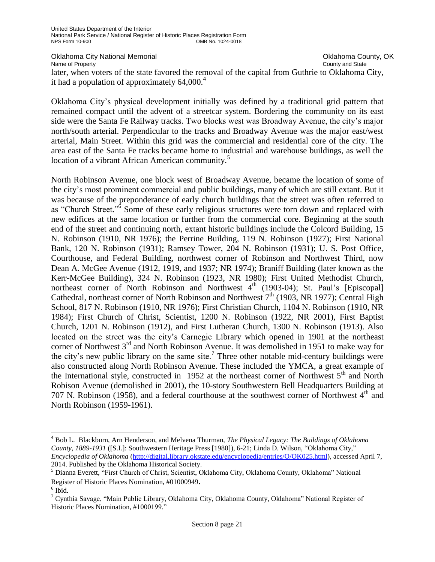Oklahoma City National Memorial **County, Oklahoma County, OK**<br>
Name of Property **County and State** 

Name of Property

later, when voters of the state favored the removal of the capital from Guthrie to Oklahoma City, it had a population of approximately  $64,000.<sup>4</sup>$ 

Oklahoma City's physical development initially was defined by a traditional grid pattern that remained compact until the advent of a streetcar system. Bordering the community on its east side were the Santa Fe Railway tracks. Two blocks west was Broadway Avenue, the city's major north/south arterial. Perpendicular to the tracks and Broadway Avenue was the major east/west arterial, Main Street. Within this grid was the commercial and residential core of the city. The area east of the Santa Fe tracks became home to industrial and warehouse buildings, as well the location of a vibrant African American community.<sup>5</sup>

North Robinson Avenue, one block west of Broadway Avenue, became the location of some of the city's most prominent commercial and public buildings, many of which are still extant. But it was because of the preponderance of early church buildings that the street was often referred to as "Church Street."<sup>6</sup> Some of these early religious structures were torn down and replaced with new edifices at the same location or further from the commercial core. Beginning at the south end of the street and continuing north, extant historic buildings include the Colcord Building, 15 N. Robinson (1910, NR 1976); the Perrine Building, 119 N. Robinson (1927); First National Bank, 120 N. Robinson (1931); Ramsey Tower, 204 N. Robinson (1931); U. S. Post Office, Courthouse, and Federal Building, northwest corner of Robinson and Northwest Third, now Dean A. McGee Avenue (1912, 1919, and 1937; NR 1974); Braniff Building (later known as the Kerr-McGee Building), 324 N. Robinson (1923, NR 1980); First United Methodist Church, northeast corner of North Robinson and Northwest  $4<sup>th</sup>$  (1903-04); St. Paul's [Episcopal] Cathedral, northeast corner of North Robinson and Northwest  $7<sup>th</sup>$  (1903, NR 1977); Central High School, 817 N. Robinson (1910, NR 1976); First Christian Church, 1104 N. Robinson (1910, NR 1984); First Church of Christ, Scientist, 1200 N. Robinson (1922, NR 2001), First Baptist Church, 1201 N. Robinson (1912), and First Lutheran Church, 1300 N. Robinson (1913). Also located on the street was the city's Carnegie Library which opened in 1901 at the northeast corner of Northwest 3<sup>rd</sup> and North Robinson Avenue. It was demolished in 1951 to make way for the city's new public library on the same site.<sup>7</sup> Three other notable mid-century buildings were also constructed along North Robinson Avenue. These included the YMCA, a great example of the International style, constructed in 1952 at the northeast corner of Northwest  $5<sup>th</sup>$  and North Robison Avenue (demolished in 2001), the 10-story Southwestern Bell Headquarters Building at 707 N. Robinson (1958), and a federal courthouse at the southwest corner of Northwest  $4<sup>th</sup>$  and North Robinson (1959-1961).

j.

<sup>4</sup> Bob L. Blackburn, Arn Henderson, and Melvena Thurman, *The Physical Legacy: The Buildings of Oklahoma County, 1889-1931* ([S.I.]: Southwestern Heritage Press [1980]), 6-21; Linda D. Wilson, "Oklahoma City," *Encyclopedia of Oklahoma* [\(http://digital.library.okstate.edu/encyclopedia/entries/O/OK025.html\)](http://digital.library.okstate.edu/encyclopedia/entries/O/OK025.html), accessed April 7, 2014. Published by the Oklahoma Historical Society.

<sup>5</sup> Dianna Everett, "First Church of Christ, Scientist, Oklahoma City, Oklahoma County, Oklahoma" National Register of Historic Places Nomination, #01000949.

<sup>6</sup> Ibid.

<sup>7</sup> Cynthia Savage, "Main Public Library, Oklahoma City, Oklahoma County, Oklahoma" National Register of Historic Places Nomination, #1000199."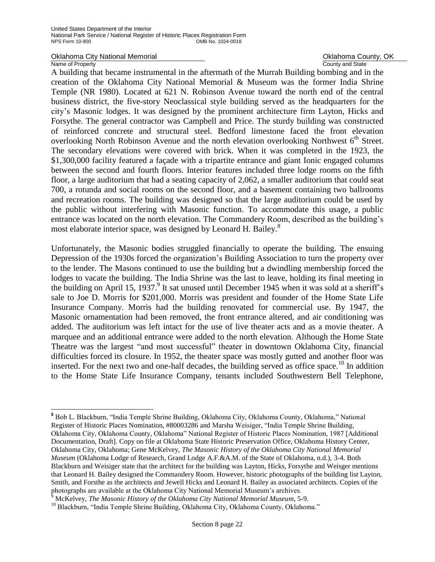#### Oklahoma City National Memorial **County Accounty** Oklahoma County, OK<br>
Name of Property<br>
Ocunty and State Name of Property

ı.

A building that became instrumental in the aftermath of the Murrah Building bombing and in the creation of the Oklahoma City National Memorial & Museum was the former India Shrine Temple (NR 1980). Located at 621 N. Robinson Avenue toward the north end of the central business district, the five-story Neoclassical style building served as the headquarters for the city's Masonic lodges. It was designed by the prominent architecture firm Layton, Hicks and Forsythe. The general contractor was Campbell and Price. The sturdy building was constructed of reinforced concrete and structural steel. Bedford limestone faced the front elevation overlooking North Robinson Avenue and the north elevation overlooking Northwest  $6<sup>th</sup>$  Street. The secondary elevations were covered with brick. When it was completed in the 1923, the \$1,300,000 facility featured a façade with a tripartite entrance and giant Ionic engaged columns between the second and fourth floors. Interior features included three lodge rooms on the fifth floor, a large auditorium that had a seating capacity of 2,062, a smaller auditorium that could seat 700, a rotunda and social rooms on the second floor, and a basement containing two ballrooms and recreation rooms. The building was designed so that the large auditorium could be used by the public without interfering with Masonic function. To accommodate this usage, a public entrance was located on the north elevation. The Commandery Room, described as the building's most elaborate interior space, was designed by Leonard H. Bailey.<sup>8</sup>

Unfortunately, the Masonic bodies struggled financially to operate the building. The ensuing Depression of the 1930s forced the organization's Building Association to turn the property over to the lender. The Masons continued to use the building but a dwindling membership forced the lodges to vacate the building. The India Shrine was the last to leave, holding its final meeting in the building on April 15, 1937.<sup>9</sup> It sat unused until December 1945 when it was sold at a sheriff's sale to Joe D. Morris for \$201,000. Morris was president and founder of the Home State Life Insurance Company. Morris had the building renovated for commercial use. By 1947, the Masonic ornamentation had been removed, the front entrance altered, and air conditioning was added. The auditorium was left intact for the use of live theater acts and as a movie theater. A marquee and an additional entrance were added to the north elevation. Although the Home State Theatre was the largest "and most successful" theater in downtown Oklahoma City, financial difficulties forced its closure. In 1952, the theater space was mostly gutted and another floor was inserted. For the next two and one-half decades, the building served as office space.<sup>10</sup> In addition to the Home State Life Insurance Company, tenants included Southwestern Bell Telephone,

**<sup>8</sup>** Bob L. Blackburn, "India Temple Shrine Building, Oklahoma City, Oklahoma County, Oklahoma," National Register of Historic Places Nomination, #80003286 and Marsha Weisiger, "India Temple Shrine Building, Oklahoma City, Oklahoma County, Oklahoma" National Register of Historic Places Nomination, 1987 [Additional Documentation, Draft]. Copy on file at Oklahoma State Historic Preservation Office, Oklahoma History Center, Oklahoma City, Oklahoma; Gene McKelvey, *The Masonic History of the Oklahoma City National Memorial Museum* (Oklahoma Lodge of Research, Grand Lodge A.F.&A.M. of the State of Oklahoma, n.d.), 3-4. Both Blackburn and Weisiger state that the architect for the building was Layton, Hicks, Forsythe and Weisger mentions that Leonard H. Bailey designed the Commandery Room. However, historic photographs of the building list Layton, Smith, and Forsthe as the architects and Jewell Hicks and Leonard H. Bailey as associated architects. Copies of the photographs are available at the Oklahoma City National Memorial Museum's archives.

<sup>9</sup> McKelvey, *The Masonic History of the Oklahoma City National Memorial Museum*, 5-9.

<sup>&</sup>lt;sup>10</sup> Blackburn, "India Temple Shrine Building, Oklahoma City, Oklahoma County, Oklahoma."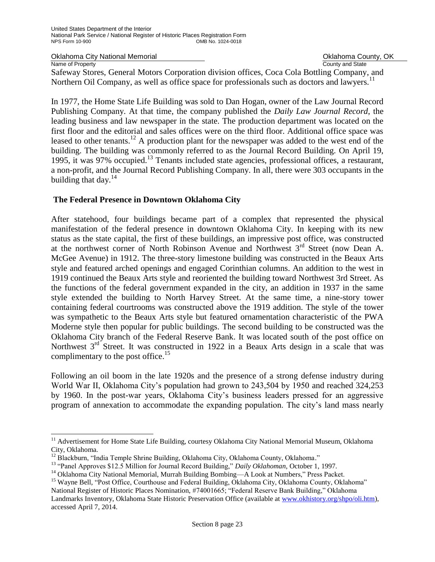Oklahoma City National Memorial **County Accounty** Oklahoma County, OK<br>
Name of Property<br>
Ocunty and State

Name of Property

ı.

Safeway Stores, General Motors Corporation division offices, Coca Cola Bottling Company, and Northern Oil Company, as well as office space for professionals such as doctors and lawyers.<sup>11</sup>

In 1977, the Home State Life Building was sold to Dan Hogan, owner of the Law Journal Record Publishing Company. At that time, the company published the *Daily Law Journal Record*, the leading business and law newspaper in the state. The production department was located on the first floor and the editorial and sales offices were on the third floor. Additional office space was leased to other tenants.<sup>12</sup> A production plant for the newspaper was added to the west end of the building. The building was commonly referred to as the Journal Record Building. On April 19, 1995, it was 97% occupied.<sup>13</sup> Tenants included state agencies, professional offices, a restaurant, a non-profit, and the Journal Record Publishing Company. In all, there were 303 occupants in the building that day. $^{14}$ 

## **The Federal Presence in Downtown Oklahoma City**

After statehood, four buildings became part of a complex that represented the physical manifestation of the federal presence in downtown Oklahoma City. In keeping with its new status as the state capital, the first of these buildings, an impressive post office, was constructed at the northwest corner of North Robinson Avenue and Northwest  $3<sup>rd</sup>$  Street (now Dean A. McGee Avenue) in 1912. The three-story limestone building was constructed in the Beaux Arts style and featured arched openings and engaged Corinthian columns. An addition to the west in 1919 continued the Beaux Arts style and reoriented the building toward Northwest 3rd Street. As the functions of the federal government expanded in the city, an addition in 1937 in the same style extended the building to North Harvey Street. At the same time, a nine-story tower containing federal courtrooms was constructed above the 1919 addition. The style of the tower was sympathetic to the Beaux Arts style but featured ornamentation characteristic of the PWA Moderne style then popular for public buildings. The second building to be constructed was the Oklahoma City branch of the Federal Reserve Bank. It was located south of the post office on Northwest  $3<sup>rd</sup>$  Street. It was constructed in 1922 in a Beaux Arts design in a scale that was complimentary to the post office.<sup>15</sup>

Following an oil boom in the late 1920s and the presence of a strong defense industry during World War II, Oklahoma City's population had grown to 243,504 by 1950 and reached 324,253 by 1960. In the post-war years, Oklahoma City's business leaders pressed for an aggressive program of annexation to accommodate the expanding population. The city's land mass nearly

<sup>&</sup>lt;sup>11</sup> Advertisement for Home State Life Building, courtesy Oklahoma City National Memorial Museum, Oklahoma City, Oklahoma.

<sup>&</sup>lt;sup>12</sup> Blackburn, "India Temple Shrine Building, Oklahoma City, Oklahoma County, Oklahoma."

<sup>13</sup> "Panel Approves \$12.5 Million for Journal Record Building," *Daily Oklahoman*, October 1, 1997.

<sup>&</sup>lt;sup>14</sup> Oklahoma City National Memorial, Murrah Building Bombing—A Look at Numbers," Press Packet.

<sup>&</sup>lt;sup>15</sup> Wayne Bell, "Post Office, Courthouse and Federal Building, Oklahoma City, Oklahoma County, Oklahoma" National Register of Historic Places Nomination, #74001665; "Federal Reserve Bank Building," Oklahoma Landmarks Inventory, Oklahoma State Historic Preservation Office (available at [www.okhistory.org/shpo/oli.htm\)](http://www.okhistory.org/shpo/oli.htm), accessed April 7, 2014.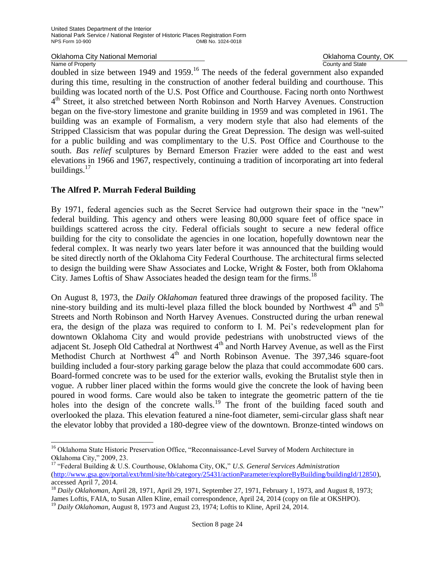Oklahoma City National Memorial **County, OK County, OK** Oklahoma County, OK Oklahoma County, OK Name of Property

Name of Property<br>doubled in size between 1949 and 1959.<sup>16</sup> The needs of the federal government also expanded during this time, resulting in the construction of another federal building and courthouse. This building was located north of the U.S. Post Office and Courthouse. Facing north onto Northwest 4<sup>th</sup> Street, it also stretched between North Robinson and North Harvey Avenues. Construction began on the five-story limestone and granite building in 1959 and was completed in 1961. The building was an example of Formalism, a very modern style that also had elements of the Stripped Classicism that was popular during the Great Depression. The design was well-suited for a public building and was complimentary to the U.S. Post Office and Courthouse to the south. *Bas relief* sculptures by Bernard Emerson Frazier were added to the east and west elevations in 1966 and 1967, respectively, continuing a tradition of incorporating art into federal buildings. $17$ 

## **The Alfred P. Murrah Federal Building**

÷,

By 1971, federal agencies such as the Secret Service had outgrown their space in the "new" federal building. This agency and others were leasing 80,000 square feet of office space in buildings scattered across the city. Federal officials sought to secure a new federal office building for the city to consolidate the agencies in one location, hopefully downtown near the federal complex. It was nearly two years later before it was announced that the building would be sited directly north of the Oklahoma City Federal Courthouse. The architectural firms selected to design the building were Shaw Associates and Locke, Wright & Foster, both from Oklahoma City. James Loftis of Shaw Associates headed the design team for the firms.<sup>18</sup>

On August 8, 1973, the *Daily Oklahoman* featured three drawings of the proposed facility. The nine-story building and its multi-level plaza filled the block bounded by Northwest  $4<sup>th</sup>$  and  $5<sup>th</sup>$ Streets and North Robinson and North Harvey Avenues. Constructed during the urban renewal era, the design of the plaza was required to conform to I. M. Pei's redevelopment plan for downtown Oklahoma City and would provide pedestrians with unobstructed views of the adjacent St. Joseph Old Cathedral at Northwest 4<sup>th</sup> and North Harvey Avenue, as well as the First Methodist Church at Northwest  $4<sup>th</sup>$  and North Robinson Avenue. The 397,346 square-foot building included a four-story parking garage below the plaza that could accommodate 600 cars. Board-formed concrete was to be used for the exterior walls, evoking the Brutalist style then in vogue. A rubber liner placed within the forms would give the concrete the look of having been poured in wood forms. Care would also be taken to integrate the geometric pattern of the tie holes into the design of the concrete walls.<sup>19</sup> The front of the building faced south and overlooked the plaza. This elevation featured a nine-foot diameter, semi-circular glass shaft near the elevator lobby that provided a 180-degree view of the downtown. Bronze-tinted windows on

<sup>&</sup>lt;sup>16</sup> Oklahoma State Historic Preservation Office, "Reconnaissance-Level Survey of Modern Architecture in Oklahoma City," 2009, 23.

<sup>17</sup> "Federal Building & U.S. Courthouse, Oklahoma City, OK," *U.S. General Services Administration*  [\(http://www.gsa.gov/portal/ext/html/site/hb/category/25431/actionParameter/exploreByBuilding/buildingId/12850\)](http://www.gsa.gov/portal/ext/html/site/hb/category/25431/actionParameter/exploreByBuilding/buildingId/12850), accessed April 7, 2014.

<sup>18</sup> *Daily Oklahoman*, April 28, 1971, April 29, 1971, September 27, 1971, February 1, 1973, and August 8, 1973; James Loftis, FAIA, to Susan Allen Kline, email correspondence, April 24, 2014 (copy on file at OKSHPO). <sup>19</sup> Daily Oklahoman, August 8, 1973 and August 23, 1974; Loftis to Kline, April 24, 2014.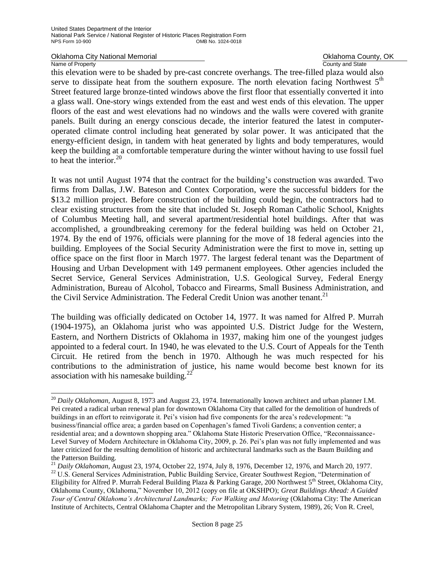Oklahoma City National Memorial **County Collahoma County, OK**<br>
Name of Property County and State

### Name of Property

÷,

this elevation were to be shaded by pre-cast concrete overhangs. The tree-filled plaza would also serve to dissipate heat from the southern exposure. The north elevation facing Northwest  $5<sup>th</sup>$ Street featured large bronze-tinted windows above the first floor that essentially converted it into a glass wall. One-story wings extended from the east and west ends of this elevation. The upper floors of the east and west elevations had no windows and the walls were covered with granite panels. Built during an energy conscious decade, the interior featured the latest in computeroperated climate control including heat generated by solar power. It was anticipated that the energy-efficient design, in tandem with heat generated by lights and body temperatures, would keep the building at a comfortable temperature during the winter without having to use fossil fuel to heat the interior. $20$ 

It was not until August 1974 that the contract for the building's construction was awarded. Two firms from Dallas, J.W. Bateson and Contex Corporation, were the successful bidders for the \$13.2 million project. Before construction of the building could begin, the contractors had to clear existing structures from the site that included St. Joseph Roman Catholic School, Knights of Columbus Meeting hall, and several apartment/residential hotel buildings. After that was accomplished, a groundbreaking ceremony for the federal building was held on October 21, 1974. By the end of 1976, officials were planning for the move of 18 federal agencies into the building. Employees of the Social Security Administration were the first to move in, setting up office space on the first floor in March 1977. The largest federal tenant was the Department of Housing and Urban Development with 149 permanent employees. Other agencies included the Secret Service, General Services Administration, U.S. Geological Survey, Federal Energy Administration, Bureau of Alcohol, Tobacco and Firearms, Small Business Administration, and the Civil Service Administration. The Federal Credit Union was another tenant.<sup>21</sup>

The building was officially dedicated on October 14, 1977. It was named for Alfred P. Murrah (1904-1975), an Oklahoma jurist who was appointed U.S. District Judge for the Western, Eastern, and Northern Districts of Oklahoma in 1937, making him one of the youngest judges appointed to a federal court. In 1940, he was elevated to the U.S. Court of Appeals for the Tenth Circuit. He retired from the bench in 1970. Although he was much respected for his contributions to the administration of justice, his name would become best known for its association with his namesake building.<sup>22</sup>

<sup>&</sup>lt;sup>20</sup> *Daily Oklahoman*, August 8, 1973 and August 23, 1974. Internationally known architect and urban planner I.M. Pei created a radical urban renewal plan for downtown Oklahoma City that called for the demolition of hundreds of buildings in an effort to reinvigorate it. Pei's vision had five components for the area's redevelopment: "a business/financial office area; a garden based on Copenhagen's famed Tivoli Gardens; a convention center; a residential area; and a downtown shopping area." Oklahoma State Historic Preservation Office, "Reconnaissance-Level Survey of Modern Architecture in Oklahoma City, 2009, p. 26. Pei's plan was not fully implemented and was later criticized for the resulting demolition of historic and architectural landmarks such as the Baum Building and the Patterson Building.

<sup>21</sup> *Daily Oklahoman*, August 23, 1974, October 22, 1974, July 8, 1976, December 12, 1976, and March 20, 1977. <sup>22</sup> U.S. General Services Administration, Public Building Service, Greater Southwest Region, "Determination of Eligibility for Alfred P. Murrah Federal Building Plaza & Parking Garage, 200 Northwest  $5<sup>th</sup>$  Street, Oklahoma City, Oklahoma County, Oklahoma," November 10, 2012 (copy on file at OKSHPO); *Great Buildings Ahead: A Guided Tour of Central Oklahoma's Architectural Landmarks; For Walking and Motoring* (Oklahoma City: The American Institute of Architects, Central Oklahoma Chapter and the Metropolitan Library System, 1989), 26; Von R. Creel,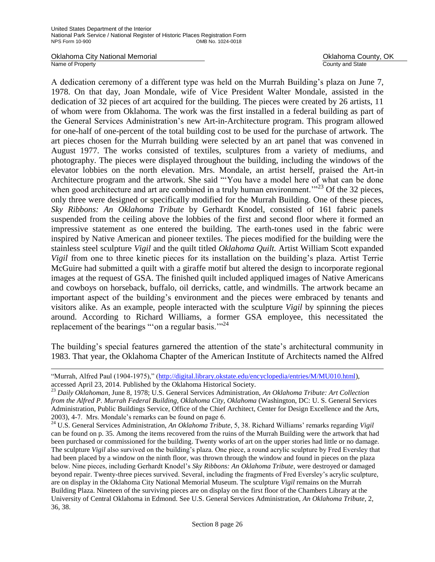Oklahoma City National Memorial **County, OKLAHOMA County, OKLAHOMA County, OKLAHOMA** County, OK<br>
Name of Property

÷,

County and State

A dedication ceremony of a different type was held on the Murrah Building's plaza on June 7, 1978. On that day, Joan Mondale, wife of Vice President Walter Mondale, assisted in the dedication of 32 pieces of art acquired for the building. The pieces were created by 26 artists, 11 of whom were from Oklahoma. The work was the first installed in a federal building as part of the General Services Administration's new Art-in-Architecture program. This program allowed for one-half of one-percent of the total building cost to be used for the purchase of artwork. The art pieces chosen for the Murrah building were selected by an art panel that was convened in August 1977. The works consisted of textiles, sculptures from a variety of mediums, and photography. The pieces were displayed throughout the building, including the windows of the elevator lobbies on the north elevation. Mrs. Mondale, an artist herself, praised the Art-in Architecture program and the artwork. She said "ʻYou have a model here of what can be done when good architecture and art are combined in a truly human environment.<sup>"23</sup> Of the 32 pieces, only three were designed or specifically modified for the Murrah Building. One of these pieces, *Sky Ribbons: An Oklahoma Tribute* by Gerhardt Knodel, consisted of 161 fabric panels suspended from the ceiling above the lobbies of the first and second floor where it formed an impressive statement as one entered the building. The earth-tones used in the fabric were inspired by Native American and pioneer textiles. The pieces modified for the building were the stainless steel sculpture *Vigil* and the quilt titled *Oklahoma Quilt.* Artist William Scott expanded *Vigil* from one to three kinetic pieces for its installation on the building's plaza. Artist Terrie McGuire had submitted a quilt with a giraffe motif but altered the design to incorporate regional images at the request of GSA. The finished quilt included appliqued images of Native Americans and cowboys on horseback, buffalo, oil derricks, cattle, and windmills. The artwork became an important aspect of the building's environment and the pieces were embraced by tenants and visitors alike. As an example, people interacted with the sculpture *Vigil* by spinning the pieces around. According to Richard Williams, a former GSA employee, this necessitated the replacement of the bearings "'on a regular basis."<sup>24</sup>

The building's special features garnered the attention of the state's architectural community in 1983. That year, the Oklahoma Chapter of the American Institute of Architects named the Alfred

<sup>&</sup>quot;Murrah, Alfred Paul (1904-1975)," [\(http://digital.library.okstate.edu/encyclopedia/entries/M/MU010.html\)](http://digital.library.okstate.edu/encyclopedia/entries/M/MU010.html), accessed April 23, 2014. Published by the Oklahoma Historical Society.

<sup>23</sup> *Daily Oklahoman*, June 8, 1978; U.S. General Services Administration, *An Oklahoma Tribute: Art Collection from the Alfred P. Murrah Federal Building, Oklahoma City, Oklahoma* (Washington, DC: U. S. General Services Administration, Public Buildings Service, Office of the Chief Architect, Center for Design Excellence and the Arts, 2003), 4-7. Mrs. Mondale's remarks can be found on page 6.

<sup>24</sup> U.S. General Services Administration, *An Oklahoma Tribute*, 5, 38. Richard Williams' remarks regarding *Vigil*  can be found on p. 35. Among the items recovered from the ruins of the Murrah Building were the artwork that had been purchased or commissioned for the building. Twenty works of art on the upper stories had little or no damage. The sculpture *Vigil* also survived on the building's plaza. One piece, a round acrylic sculpture by Fred Eversley that had been placed by a window on the ninth floor, was thrown through the window and found in pieces on the plaza below. Nine pieces, including Gerhardt Knodel's *Sky Ribbons: An Oklahoma Tribute,* were destroyed or damaged beyond repair. Twenty-three pieces survived. Several, including the fragments of Fred Eversley's acrylic sculpture, are on display in the Oklahoma City National Memorial Museum. The sculpture *Vigil* remains on the Murrah Building Plaza. Nineteen of the surviving pieces are on display on the first floor of the Chambers Library at the University of Central Oklahoma in Edmond. See U.S. General Services Administration, *An Oklahoma Tribute*, 2, 36, 38.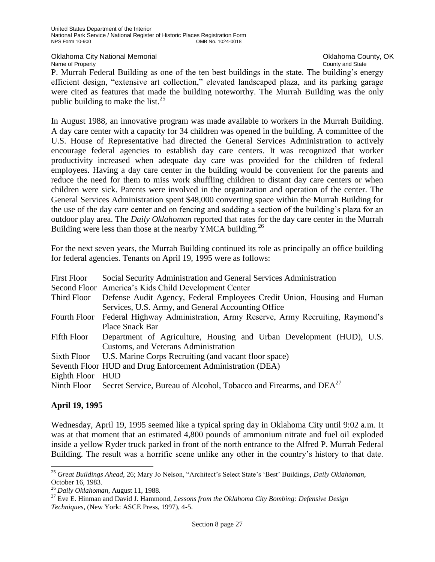#### Oklahoma City National Memorial **County, OKLAHOMA County, OK**<br>
Name of Property County and State County and State

P. Murrah Federal Building as one of the ten best buildings in the state. The building's energy efficient design, "extensive art collection," elevated landscaped plaza, and its parking garage were cited as features that made the building noteworthy. The Murrah Building was the only public building to make the list. $^{25}$ 

In August 1988, an innovative program was made available to workers in the Murrah Building. A day care center with a capacity for 34 children was opened in the building. A committee of the U.S. House of Representative had directed the General Services Administration to actively encourage federal agencies to establish day care centers. It was recognized that worker productivity increased when adequate day care was provided for the children of federal employees. Having a day care center in the building would be convenient for the parents and reduce the need for them to miss work shuffling children to distant day care centers or when children were sick. Parents were involved in the organization and operation of the center. The General Services Administration spent \$48,000 converting space within the Murrah Building for the use of the day care center and on fencing and sodding a section of the building's plaza for an outdoor play area. The *Daily Oklahoman* reported that rates for the day care center in the Murrah Building were less than those at the nearby YMCA building.<sup>26</sup>

For the next seven years, the Murrah Building continued its role as principally an office building for federal agencies. Tenants on April 19, 1995 were as follows:

| <b>First Floor</b> | Social Security Administration and General Services Administration                         |  |  |
|--------------------|--------------------------------------------------------------------------------------------|--|--|
|                    | Second Floor America's Kids Child Development Center                                       |  |  |
| Third Floor        | Defense Audit Agency, Federal Employees Credit Union, Housing and Human                    |  |  |
|                    | Services, U.S. Army, and General Accounting Office                                         |  |  |
|                    | Fourth Floor Federal Highway Administration, Army Reserve, Army Recruiting, Raymond's      |  |  |
|                    | <b>Place Snack Bar</b>                                                                     |  |  |
| Fifth Floor        | Department of Agriculture, Housing and Urban Development (HUD), U.S.                       |  |  |
|                    | Customs, and Veterans Administration                                                       |  |  |
| Sixth Floor        | U.S. Marine Corps Recruiting (and vacant floor space)                                      |  |  |
|                    | Seventh Floor HUD and Drug Enforcement Administration (DEA)                                |  |  |
| Eighth Floor HUD   |                                                                                            |  |  |
|                    | Ninth Floor Secret Service, Bureau of Alcohol, Tobacco and Firearms, and DEA <sup>27</sup> |  |  |

## **April 19, 1995**

÷,

Wednesday, April 19, 1995 seemed like a typical spring day in Oklahoma City until 9:02 a.m. It was at that moment that an estimated 4,800 pounds of ammonium nitrate and fuel oil exploded inside a yellow Ryder truck parked in front of the north entrance to the Alfred P. Murrah Federal Building. The result was a horrific scene unlike any other in the country's history to that date.

<sup>25</sup> *Great Buildings Ahead*, 26; Mary Jo Nelson, "Architect's Select State's 'Best' Buildings, *Daily Oklahoman*, October 16, 1983.

<sup>26</sup> *Daily Oklahoman*, August 11, 1988.

<sup>27</sup> Eve E. Hinman and David J. Hammond, *Lessons from the Oklahoma City Bombing: Defensive Design Techniques*, (New York: ASCE Press, 1997), 4-5.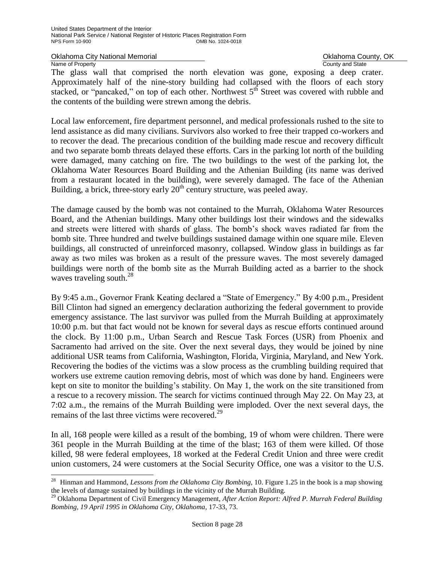Oklahoma City National Memorial **County, OKLAHOMA County, OK**<br>
Name of Property County and State Name of Property

ı.

The glass wall that comprised the north elevation was gone, exposing a deep crater. Approximately half of the nine-story building had collapsed with the floors of each story stacked, or "pancaked," on top of each other. Northwest  $5<sup>th</sup>$  Street was covered with rubble and the contents of the building were strewn among the debris.

Local law enforcement, fire department personnel, and medical professionals rushed to the site to lend assistance as did many civilians. Survivors also worked to free their trapped co-workers and to recover the dead. The precarious condition of the building made rescue and recovery difficult and two separate bomb threats delayed these efforts. Cars in the parking lot north of the building were damaged, many catching on fire. The two buildings to the west of the parking lot, the Oklahoma Water Resources Board Building and the Athenian Building (its name was derived from a restaurant located in the building), were severely damaged. The face of the Athenian Building, a brick, three-story early  $20<sup>th</sup>$  century structure, was peeled away.

The damage caused by the bomb was not contained to the Murrah, Oklahoma Water Resources Board, and the Athenian buildings. Many other buildings lost their windows and the sidewalks and streets were littered with shards of glass. The bomb's shock waves radiated far from the bomb site. Three hundred and twelve buildings sustained damage within one square mile. Eleven buildings, all constructed of unreinforced masonry, collapsed. Window glass in buildings as far away as two miles was broken as a result of the pressure waves. The most severely damaged buildings were north of the bomb site as the Murrah Building acted as a barrier to the shock waves traveling south.<sup>28</sup>

By 9:45 a.m., Governor Frank Keating declared a "State of Emergency." By 4:00 p.m., President Bill Clinton had signed an emergency declaration authorizing the federal government to provide emergency assistance. The last survivor was pulled from the Murrah Building at approximately 10:00 p.m. but that fact would not be known for several days as rescue efforts continued around the clock. By 11:00 p.m., Urban Search and Rescue Task Forces (USR) from Phoenix and Sacramento had arrived on the site. Over the next several days, they would be joined by nine additional USR teams from California, Washington, Florida, Virginia, Maryland, and New York. Recovering the bodies of the victims was a slow process as the crumbling building required that workers use extreme caution removing debris, most of which was done by hand. Engineers were kept on site to monitor the building's stability. On May 1, the work on the site transitioned from a rescue to a recovery mission. The search for victims continued through May 22. On May 23, at 7:02 a.m., the remains of the Murrah Building were imploded. Over the next several days, the remains of the last three victims were recovered.<sup>29</sup>

In all, 168 people were killed as a result of the bombing, 19 of whom were children. There were 361 people in the Murrah Building at the time of the blast; 163 of them were killed. Of those killed, 98 were federal employees, 18 worked at the Federal Credit Union and three were credit union customers, 24 were customers at the Social Security Office, one was a visitor to the U.S.

<sup>28</sup> Hinman and Hammond, *Lessons from the Oklahoma City Bombing*, 10. Figure 1.25 in the book is a map showing the levels of damage sustained by buildings in the vicinity of the Murrah Building.

<sup>29</sup> Oklahoma Department of Civil Emergency Management, *After Action Report: Alfred P. Murrah Federal Building Bombing, 19 April 1995 in Oklahoma City, Oklahoma*, 17-33, 73.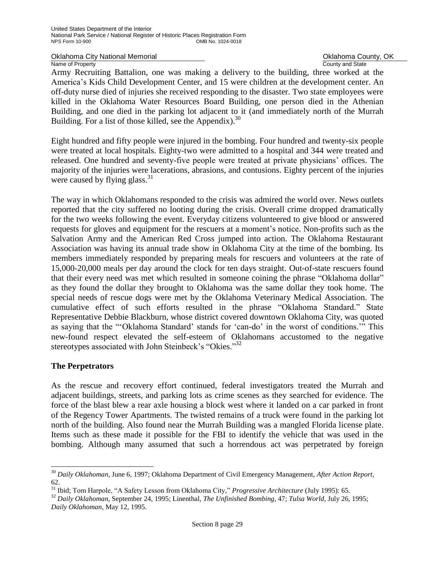Oklahoma City National Memorial **County, OK** County, OK Name of Property **County Accounty County and State** 

Army Recruiting Battalion, one was making a delivery to the building, three worked at the America's Kids Child Development Center, and 15 were children at the development center. An off-duty nurse died of injuries she received responding to the disaster. Two state employees were killed in the Oklahoma Water Resources Board Building, one person died in the Athenian Building, and one died in the parking lot adjacent to it (and immediately north of the Murrah Building. For a list of those killed, see the Appendix).<sup>30</sup>

Eight hundred and fifty people were injured in the bombing. Four hundred and twenty-six people were treated at local hospitals. Eighty-two were admitted to a hospital and 344 were treated and released. One hundred and seventy-five people were treated at private physicians' offices. The majority of the injuries were lacerations, abrasions, and contusions. Eighty percent of the injuries were caused by flying glass. $31$ 

The way in which Oklahomans responded to the crisis was admired the world over. News outlets reported that the city suffered no looting during the crisis. Overall crime dropped dramatically for the two weeks following the event. Everyday citizens volunteered to give blood or answered requests for gloves and equipment for the rescuers at a moment's notice. Non-profits such as the Salvation Army and the American Red Cross jumped into action. The Oklahoma Restaurant Association was having its annual trade show in Oklahoma City at the time of the bombing. Its members immediately responded by preparing meals for rescuers and volunteers at the rate of 15,000-20,000 meals per day around the clock for ten days straight. Out-of-state rescuers found that their every need was met which resulted in someone coining the phrase "Oklahoma dollar" as they found the dollar they brought to Oklahoma was the same dollar they took home. The special needs of rescue dogs were met by the Oklahoma Veterinary Medical Association. The cumulative effect of such efforts resulted in the phrase "Oklahoma Standard." State Representative Debbie Blackburn, whose district covered downtown Oklahoma City, was quoted as saying that the "'Oklahoma Standard' stands for 'can-do' in the worst of conditions.'" This new-found respect elevated the self-esteem of Oklahomans accustomed to the negative stereotypes associated with John Steinbeck's "Okies."<sup>32</sup>

## **The Perpetrators**

÷,

As the rescue and recovery effort continued, federal investigators treated the Murrah and adjacent buildings, streets, and parking lots as crime scenes as they searched for evidence. The force of the blast blew a rear axle housing a block west where it landed on a car parked in front of the Regency Tower Apartments. The twisted remains of a truck were found in the parking lot north of the building. Also found near the Murrah Building was a mangled Florida license plate. Items such as these made it possible for the FBI to identify the vehicle that was used in the bombing. Although many assumed that such a horrendous act was perpetrated by foreign

<sup>30</sup> *Daily Oklahoman*, June 6, 1997; Oklahoma Department of Civil Emergency Management, *After Action Report,* 62.

<sup>31</sup> Ibid; Tom Harpole, "A Safety Lesson from Oklahoma City," *Progressive Architecture* (July 1995): 65.

<sup>32</sup> *Daily Oklahoman*, September 24, 1995; Linenthal, *The Unfinished Bombing*, 47; *Tulsa World*, July 26, 1995; *Daily Oklahoman*, May 12, 1995.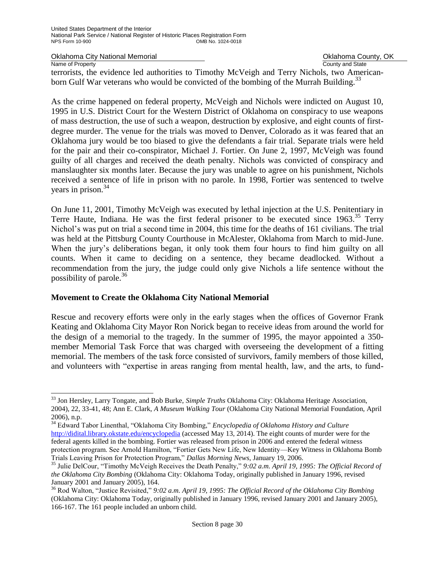÷,

## Oklahoma City National Memorial **County Accounty** Oklahoma County, OK<br>
Name of Property<br>
Ocunty and State

Name of Property terrorists, the evidence led authorities to Timothy McVeigh and Terry Nichols, two Americanborn Gulf War veterans who would be convicted of the bombing of the Murrah Building.<sup>33</sup>

As the crime happened on federal property, McVeigh and Nichols were indicted on August 10, 1995 in U.S. District Court for the Western District of Oklahoma on conspiracy to use weapons of mass destruction, the use of such a weapon, destruction by explosive, and eight counts of firstdegree murder. The venue for the trials was moved to Denver, Colorado as it was feared that an Oklahoma jury would be too biased to give the defendants a fair trial. Separate trials were held for the pair and their co-conspirator, Michael J. Fortier. On June 2, 1997, McVeigh was found guilty of all charges and received the death penalty. Nichols was convicted of conspiracy and manslaughter six months later. Because the jury was unable to agree on his punishment, Nichols received a sentence of life in prison with no parole. In 1998, Fortier was sentenced to twelve years in prison. $34$ 

On June 11, 2001, Timothy McVeigh was executed by lethal injection at the U.S. Penitentiary in Terre Haute, Indiana. He was the first federal prisoner to be executed since 1963.<sup>35</sup> Terry Nichol's was put on trial a second time in 2004, this time for the deaths of 161 civilians. The trial was held at the Pittsburg County Courthouse in McAlester, Oklahoma from March to mid-June. When the jury's deliberations began, it only took them four hours to find him guilty on all counts. When it came to deciding on a sentence, they became deadlocked. Without a recommendation from the jury, the judge could only give Nichols a life sentence without the possibility of parole. 36

## **Movement to Create the Oklahoma City National Memorial**

Rescue and recovery efforts were only in the early stages when the offices of Governor Frank Keating and Oklahoma City Mayor Ron Norick began to receive ideas from around the world for the design of a memorial to the tragedy. In the summer of 1995, the mayor appointed a 350 member Memorial Task Force that was charged with overseeing the development of a fitting memorial. The members of the task force consisted of survivors, family members of those killed, and volunteers with "expertise in areas ranging from mental health, law, and the arts, to fund-

<sup>33</sup> Jon Hersley, Larry Tongate, and Bob Burke, *Simple Truths* Oklahoma City: Oklahoma Heritage Association, 2004), 22, 33-41, 48; Ann E. Clark, *A Museum Walking Tour* (Oklahoma City National Memorial Foundation, April 2006), n.p.

<sup>34</sup> Edward Tabor Linenthal, "Oklahoma City Bombing," *Encyclopedia of Oklahoma History and Culture*  <http://didital.library.okstate.edu/encyclopedia> (accessed May 13, 2014). The eight counts of murder were for the federal agents killed in the bombing. Fortier was released from prison in 2006 and entered the federal witness protection program. See Arnold Hamilton, "Fortier Gets New Life, New Identity—Key Witness in Oklahoma Bomb Trials Leaving Prison for Protection Program," *Dallas Morning News*, January 19, 2006.

<sup>35</sup> Julie DelCour, "Timothy McVeigh Receives the Death Penalty," *9:02 a.m. April 19, 1995: The Official Record of the Oklahoma City Bombing* (Oklahoma City: Oklahoma Today, originally published in January 1996, revised January 2001 and January 2005), 164.

<sup>36</sup> Rod Walton, "Justice Revisited," *9:02 a.m. April 19, 1995: The Official Record of the Oklahoma City Bombing* (Oklahoma City: Oklahoma Today, originally published in January 1996, revised January 2001 and January 2005), 166-167. The 161 people included an unborn child.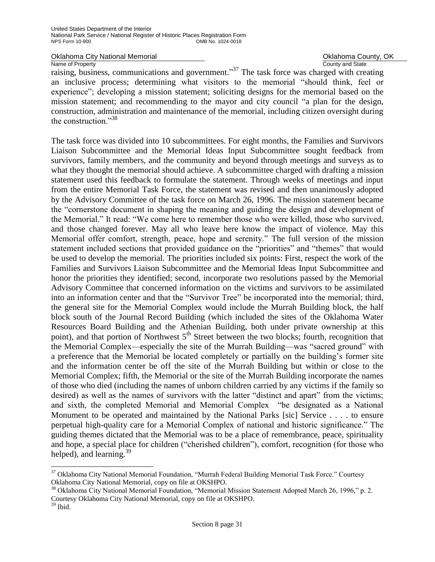Oklahoma City National Memorial **County, OK County, OK** Oklahoma County, OK Oklahoma County, OK Name of Property

#### Name of Property **County and State**

raising, business, communications and government."<sup>37</sup> The task force was charged with creating an inclusive process; determining what visitors to the memorial "should think, feel or experience"; developing a mission statement; soliciting designs for the memorial based on the mission statement; and recommending to the mayor and city council "a plan for the design, construction, administration and maintenance of the memorial, including citizen oversight during the construction."<sup>38</sup>

The task force was divided into 10 subcommittees. For eight months, the Families and Survivors Liaison Subcommittee and the Memorial Ideas Input Subcommittee sought feedback from survivors, family members, and the community and beyond through meetings and surveys as to what they thought the memorial should achieve. A subcommittee charged with drafting a mission statement used this feedback to formulate the statement. Through weeks of meetings and input from the entire Memorial Task Force, the statement was revised and then unanimously adopted by the Advisory Committee of the task force on March 26, 1996. The mission statement became the "cornerstone document in shaping the meaning and guiding the design and development of the Memorial." It read: "We come here to remember those who were killed, those who survived, and those changed forever. May all who leave here know the impact of violence. May this Memorial offer comfort, strength, peace, hope and serenity." The full version of the mission statement included sections that provided guidance on the "priorities" and "themes" that would be used to develop the memorial. The priorities included six points: First, respect the work of the Families and Survivors Liaison Subcommittee and the Memorial Ideas Input Subcommittee and honor the priorities they identified; second, incorporate two resolutions passed by the Memorial Advisory Committee that concerned information on the victims and survivors to be assimilated into an information center and that the "Survivor Tree" be incorporated into the memorial; third, the general site for the Memorial Complex would include the Murrah Building block, the half block south of the Journal Record Building (which included the sites of the Oklahoma Water Resources Board Building and the Athenian Building, both under private ownership at this point), and that portion of Northwest  $5<sup>th</sup>$  Street between the two blocks; fourth, recognition that the Memorial Complex—especially the site of the Murrah Building—was "sacred ground" with a preference that the Memorial be located completely or partially on the building's former site and the information center be off the site of the Murrah Building but within or close to the Memorial Complex; fifth, the Memorial or the site of the Murrah Building incorporate the names of those who died (including the names of unborn children carried by any victims if the family so desired) as well as the names of survivors with the latter "distinct and apart" from the victims; and sixth, the completed Memorial and Memorial Complex "be designated as a National Monument to be operated and maintained by the National Parks [sic] Service . . . . to ensure perpetual high-quality care for a Memorial Complex of national and historic significance." The guiding themes dictated that the Memorial was to be a place of remembrance, peace, spirituality and hope, a special place for children ("cherished children"), comfort, recognition (for those who helped), and learning.  $39$ 

÷,

<sup>&</sup>lt;sup>37</sup> Oklahoma City National Memorial Foundation, "Murrah Federal Building Memorial Task Force." Courtesy Oklahoma City National Memorial, copy on file at OKSHPO.

<sup>&</sup>lt;sup>38</sup> Oklahoma City National Memorial Foundation, "Memorial Mission Statement Adopted March 26, 1996," p. 2. Courtesy Oklahoma City National Memorial, copy on file at OKSHPO.

<sup>39</sup> Ibid.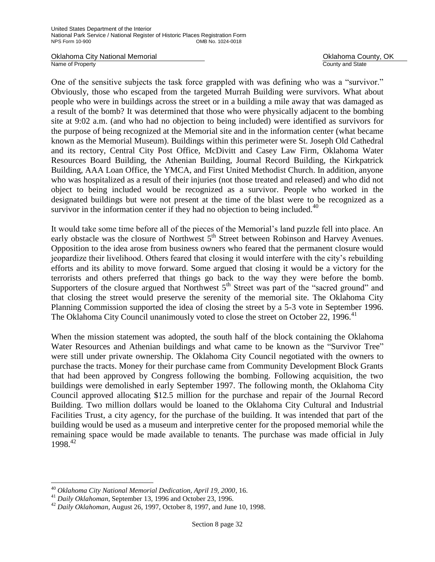Oklahoma City National Memorial **County, OKLAHOMA County, OK**<br>
Name of Property County and State

County and State

One of the sensitive subjects the task force grappled with was defining who was a "survivor." Obviously, those who escaped from the targeted Murrah Building were survivors. What about people who were in buildings across the street or in a building a mile away that was damaged as a result of the bomb? It was determined that those who were physically adjacent to the bombing site at 9:02 a.m. (and who had no objection to being included) were identified as survivors for the purpose of being recognized at the Memorial site and in the information center (what became known as the Memorial Museum). Buildings within this perimeter were St. Joseph Old Cathedral and its rectory, Central City Post Office, McDivitt and Casey Law Firm, Oklahoma Water Resources Board Building, the Athenian Building, Journal Record Building, the Kirkpatrick Building, AAA Loan Office, the YMCA, and First United Methodist Church. In addition, anyone who was hospitalized as a result of their injuries (not those treated and released) and who did not object to being included would be recognized as a survivor. People who worked in the designated buildings but were not present at the time of the blast were to be recognized as a survivor in the information center if they had no objection to being included.<sup>40</sup>

It would take some time before all of the pieces of the Memorial's land puzzle fell into place. An early obstacle was the closure of Northwest  $5<sup>th</sup>$  Street between Robinson and Harvey Avenues. Opposition to the idea arose from business owners who feared that the permanent closure would jeopardize their livelihood. Others feared that closing it would interfere with the city's rebuilding efforts and its ability to move forward. Some argued that closing it would be a victory for the terrorists and others preferred that things go back to the way they were before the bomb. Supporters of the closure argued that Northwest  $5<sup>th</sup>$  Street was part of the "sacred ground" and that closing the street would preserve the serenity of the memorial site. The Oklahoma City Planning Commission supported the idea of closing the street by a 5-3 vote in September 1996. The Oklahoma City Council unanimously voted to close the street on October 22, 1996.<sup>41</sup>

When the mission statement was adopted, the south half of the block containing the Oklahoma Water Resources and Athenian buildings and what came to be known as the "Survivor Tree" were still under private ownership. The Oklahoma City Council negotiated with the owners to purchase the tracts. Money for their purchase came from Community Development Block Grants that had been approved by Congress following the bombing. Following acquisition, the two buildings were demolished in early September 1997. The following month, the Oklahoma City Council approved allocating \$12.5 million for the purchase and repair of the Journal Record Building. Two million dollars would be loaned to the Oklahoma City Cultural and Industrial Facilities Trust, a city agency, for the purchase of the building. It was intended that part of the building would be used as a museum and interpretive center for the proposed memorial while the remaining space would be made available to tenants. The purchase was made official in July 1998.<sup>42</sup>

ı.

<sup>40</sup> *Oklahoma City National Memorial Dedication, April 19, 2000*, 16.

<sup>41</sup> *Daily Oklahoman*, September 13, 1996 and October 23, 1996.

<sup>42</sup> *Daily Oklahoman,* August 26, 1997, October 8, 1997, and June 10, 1998.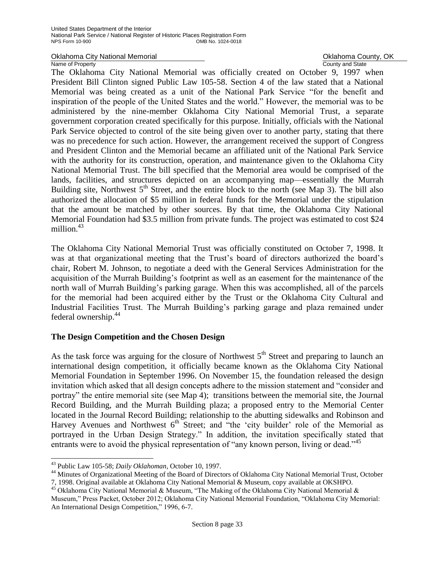Oklahoma City National Memorial **County, OK** County, OK Name of Property **County Accounty County and State** 

The Oklahoma City National Memorial was officially created on October 9, 1997 when President Bill Clinton signed Public Law 105-58. Section 4 of the law stated that a National Memorial was being created as a unit of the National Park Service "for the benefit and inspiration of the people of the United States and the world." However, the memorial was to be administered by the nine-member Oklahoma City National Memorial Trust, a separate government corporation created specifically for this purpose. Initially, officials with the National Park Service objected to control of the site being given over to another party, stating that there was no precedence for such action. However, the arrangement received the support of Congress and President Clinton and the Memorial became an affiliated unit of the National Park Service with the authority for its construction, operation, and maintenance given to the Oklahoma City National Memorial Trust. The bill specified that the Memorial area would be comprised of the lands, facilities, and structures depicted on an accompanying map—essentially the Murrah Building site, Northwest  $5<sup>th</sup>$  Street, and the entire block to the north (see Map 3). The bill also authorized the allocation of \$5 million in federal funds for the Memorial under the stipulation that the amount be matched by other sources. By that time, the Oklahoma City National Memorial Foundation had \$3.5 million from private funds. The project was estimated to cost \$24 million $1^{43}$ 

The Oklahoma City National Memorial Trust was officially constituted on October 7, 1998. It was at that organizational meeting that the Trust's board of directors authorized the board's chair, Robert M. Johnson, to negotiate a deed with the General Services Administration for the acquisition of the Murrah Building's footprint as well as an easement for the maintenance of the north wall of Murrah Building's parking garage. When this was accomplished, all of the parcels for the memorial had been acquired either by the Trust or the Oklahoma City Cultural and Industrial Facilities Trust. The Murrah Building's parking garage and plaza remained under federal ownership.<sup>44</sup>

## **The Design Competition and the Chosen Design**

As the task force was arguing for the closure of Northwest  $5<sup>th</sup>$  Street and preparing to launch an international design competition, it officially became known as the Oklahoma City National Memorial Foundation in September 1996. On November 15, the foundation released the design invitation which asked that all design concepts adhere to the mission statement and "consider and portray" the entire memorial site (see Map 4); transitions between the memorial site, the Journal Record Building, and the Murrah Building plaza; a proposed entry to the Memorial Center located in the Journal Record Building; relationship to the abutting sidewalks and Robinson and Harvey Avenues and Northwest  $6<sup>th</sup>$  Street; and "the 'city builder' role of the Memorial as portrayed in the Urban Design Strategy." In addition, the invitation specifically stated that entrants were to avoid the physical representation of "any known person, living or dead."<sup>45</sup>

ı.

<sup>44</sup> Minutes of Organizational Meeting of the Board of Directors of Oklahoma City National Memorial Trust, October 7, 1998. Original available at Oklahoma City National Memorial & Museum, copy available at OKSHPO.

<sup>43</sup> Public Law 105-58; *Daily Oklahoman*, October 10, 1997.

<sup>&</sup>lt;sup>45</sup> Oklahoma City National Memorial & Museum, "The Making of the Oklahoma City National Memorial & Museum," Press Packet, October 2012; Oklahoma City National Memorial Foundation, "Oklahoma City Memorial: An International Design Competition," 1996, 6-7.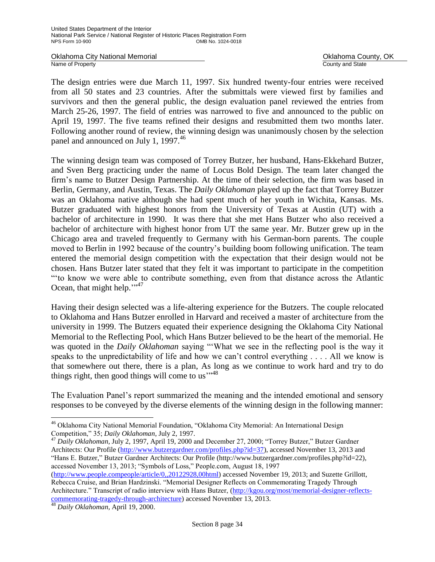Oklahoma City National Memorial **County Accounty** Oklahoma County, OK<br>
Name of Property<br>
Ocunty and State Name of Property

The design entries were due March 11, 1997. Six hundred twenty-four entries were received from all 50 states and 23 countries. After the submittals were viewed first by families and survivors and then the general public, the design evaluation panel reviewed the entries from March 25-26, 1997. The field of entries was narrowed to five and announced to the public on April 19, 1997. The five teams refined their designs and resubmitted them two months later. Following another round of review, the winning design was unanimously chosen by the selection panel and announced on July 1, 1997.<sup>46</sup>

The winning design team was composed of Torrey Butzer, her husband, Hans-Ekkehard Butzer, and Sven Berg practicing under the name of Locus Bold Design. The team later changed the firm's name to Butzer Design Partnership. At the time of their selection, the firm was based in Berlin, Germany, and Austin, Texas. The *Daily Oklahoman* played up the fact that Torrey Butzer was an Oklahoma native although she had spent much of her youth in Wichita, Kansas. Ms. Butzer graduated with highest honors from the University of Texas at Austin (UT) with a bachelor of architecture in 1990. It was there that she met Hans Butzer who also received a bachelor of architecture with highest honor from UT the same year. Mr. Butzer grew up in the Chicago area and traveled frequently to Germany with his German-born parents. The couple moved to Berlin in 1992 because of the country's building boom following unification. The team entered the memorial design competition with the expectation that their design would not be chosen. Hans Butzer later stated that they felt it was important to participate in the competition "ʻto know we were able to contribute something, even from that distance across the Atlantic Ocean, that might help."<sup>17</sup>

Having their design selected was a life-altering experience for the Butzers. The couple relocated to Oklahoma and Hans Butzer enrolled in Harvard and received a master of architecture from the university in 1999. The Butzers equated their experience designing the Oklahoma City National Memorial to the Reflecting Pool, which Hans Butzer believed to be the heart of the memorial. He was quoted in the *Daily Oklahoman* saying "ʻWhat we see in the reflecting pool is the way it speaks to the unpredictability of life and how we can't control everything . . . . All we know is that somewhere out there, there is a plan, As long as we continue to work hard and try to do things right, then good things will come to us" $148$ 

The Evaluation Panel's report summarized the meaning and the intended emotional and sensory responses to be conveyed by the diverse elements of the winning design in the following manner:

<sup>47</sup> *Daily Oklahoman*, July 2, 1997, April 19, 2000 and December 27, 2000; "Torrey Butzer," Butzer Gardner Architects: Our Profile [\(http://www.butzergardner.com/profiles.php?id=37\)](http://www.butzergardner.com/profiles.php?id=37), accessed November 13, 2013 and "Hans E. Butzer," Butzer Gardner Architects: Our Profile (http://www.butzergardner.com/profiles.php?id=22), accessed November 13, 2013; "Symbols of Loss," People.com, August 18, 1997

[\(http://www.people.compeople/article/0,,20122928,00html\)](http://www.people.compeople/article/0,,20122928,00html) accessed November 19, 2013; and Suzette Grillott, Rebecca Cruise, and Brian Hardzinski. "Memorial Designer Reflects on Commemorating Tragedy Through Architecture." Transcript of radio interview with Hans Butzer, [\(http://kgou.org/most/memorial-designer-reflects](http://kgou.org/most/memorial-designer-reflects-commemorating-tragedy-through-architecture)[commemorating-tragedy-through-architecture\)](http://kgou.org/most/memorial-designer-reflects-commemorating-tragedy-through-architecture) accessed November 13, 2013.

j. <sup>46</sup> Oklahoma City National Memorial Foundation, "Oklahoma City Memorial: An International Design Competition," 35; *Daily Oklahoman*, July 2, 1997.

<sup>48</sup> *Daily Oklahoman,* April 19, 2000.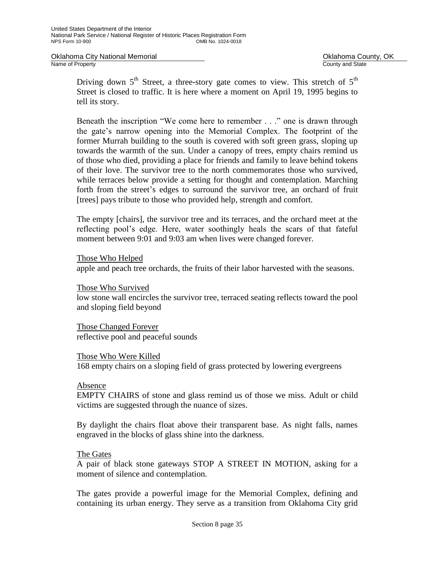Oklahoma City National Memorial **County Accounty** Oklahoma County, OK<br>
Name of Property<br>
Ocunty and State

County and State

Driving down  $5<sup>th</sup>$  Street, a three-story gate comes to view. This stretch of  $5<sup>th</sup>$ Street is closed to traffic. It is here where a moment on April 19, 1995 begins to tell its story.

Beneath the inscription "We come here to remember . . ." one is drawn through the gate's narrow opening into the Memorial Complex. The footprint of the former Murrah building to the south is covered with soft green grass, sloping up towards the warmth of the sun. Under a canopy of trees, empty chairs remind us of those who died, providing a place for friends and family to leave behind tokens of their love. The survivor tree to the north commemorates those who survived, while terraces below provide a setting for thought and contemplation. Marching forth from the street's edges to surround the survivor tree, an orchard of fruit [trees] pays tribute to those who provided help, strength and comfort.

The empty [chairs], the survivor tree and its terraces, and the orchard meet at the reflecting pool's edge. Here, water soothingly heals the scars of that fateful moment between 9:01 and 9:03 am when lives were changed forever.

Those Who Helped

apple and peach tree orchards, the fruits of their labor harvested with the seasons.

Those Who Survived

low stone wall encircles the survivor tree, terraced seating reflects toward the pool and sloping field beyond

Those Changed Forever reflective pool and peaceful sounds

Those Who Were Killed

168 empty chairs on a sloping field of grass protected by lowering evergreens

## Absence

EMPTY CHAIRS of stone and glass remind us of those we miss. Adult or child victims are suggested through the nuance of sizes.

By daylight the chairs float above their transparent base. As night falls, names engraved in the blocks of glass shine into the darkness.

## The Gates

A pair of black stone gateways STOP A STREET IN MOTION, asking for a moment of silence and contemplation.

The gates provide a powerful image for the Memorial Complex, defining and containing its urban energy. They serve as a transition from Oklahoma City grid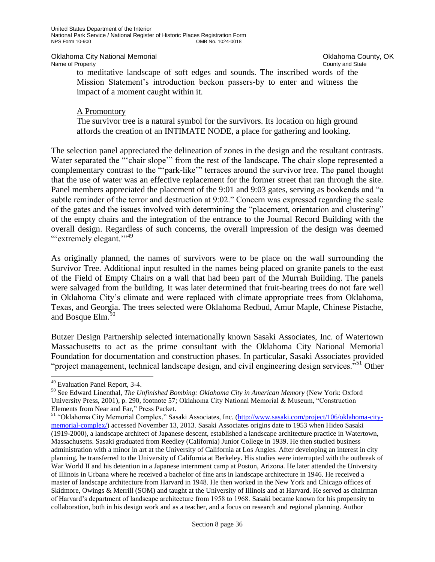Oklahoma City National Memorial **County Accounty** Oklahoma County, OK<br>
Name of Property<br>
Ocunty and State

County and State

to meditative landscape of soft edges and sounds. The inscribed words of the Mission Statement's introduction beckon passers-by to enter and witness the impact of a moment caught within it.

## A Promontory

The survivor tree is a natural symbol for the survivors. Its location on high ground affords the creation of an INTIMATE NODE, a place for gathering and looking.

The selection panel appreciated the delineation of zones in the design and the resultant contrasts. Water separated the "ʻchair slope'" from the rest of the landscape. The chair slope represented a complementary contrast to the "ʻpark-like'" terraces around the survivor tree. The panel thought that the use of water was an effective replacement for the former street that ran through the site. Panel members appreciated the placement of the 9:01 and 9:03 gates, serving as bookends and "a subtle reminder of the terror and destruction at 9:02." Concern was expressed regarding the scale of the gates and the issues involved with determining the "placement, orientation and clustering" of the empty chairs and the integration of the entrance to the Journal Record Building with the overall design. Regardless of such concerns, the overall impression of the design was deemed "extremely elegant."<sup>39</sup>

As originally planned, the names of survivors were to be place on the wall surrounding the Survivor Tree. Additional input resulted in the names being placed on granite panels to the east of the Field of Empty Chairs on a wall that had been part of the Murrah Building. The panels were salvaged from the building. It was later determined that fruit-bearing trees do not fare well in Oklahoma City's climate and were replaced with climate appropriate trees from Oklahoma, Texas, and Georgia. The trees selected were Oklahoma Redbud, Amur Maple, Chinese Pistache, and Bosque Elm.<sup>50</sup>

Butzer Design Partnership selected internationally known Sasaki Associates, Inc. of Watertown Massachusetts to act as the prime consultant with the Oklahoma City National Memorial Foundation for documentation and construction phases. In particular, Sasaki Associates provided "project management, technical landscape design, and civil engineering design services."<sup>51</sup> Other

ı.

<sup>49</sup> Evaluation Panel Report, 3-4.

<sup>50</sup> See Edward Linenthal, *The Unfinished Bombing: Oklahoma City in American Memory* (New York: Oxford University Press, 2001), p. 290, footnote 57; Oklahoma City National Memorial & Museum, "Construction Elements from Near and Far," Press Packet.

<sup>&</sup>lt;sup>51</sup> "Oklahoma City Memorial Complex," Sasaki Associates, Inc. [\(http://www.sasaki.com/project/106/oklahoma-city](http://www.sasaki.com/project/106/oklahoma-city-memorial-complex/)[memorial-complex/\)](http://www.sasaki.com/project/106/oklahoma-city-memorial-complex/) accessed November 13, 2013. Sasaki Associates origins date to 1953 when Hideo Sasaki (1919-2000), a landscape architect of Japanese descent, established a landscape architecture practice in Watertown, Massachusetts. Sasaki graduated from Reedley (California) Junior College in 1939. He then studied business administration with a minor in art at the University of California at Los Angles. After developing an interest in city planning, he transferred to the University of California at Berkeley. His studies were interrupted with the outbreak of War World II and his detention in a Japanese internment camp at Poston, Arizona. He later attended the University of Illinois in Urbana where he received a bachelor of fine arts in landscape architecture in 1946. He received a master of landscape architecture from Harvard in 1948. He then worked in the New York and Chicago offices of Skidmore, Owings & Merrill (SOM) and taught at the University of Illinois and at Harvard. He served as chairman of Harvard's department of landscape architecture from 1958 to 1968. Sasaki became known for his propensity to collaboration, both in his design work and as a teacher, and a focus on research and regional planning. Author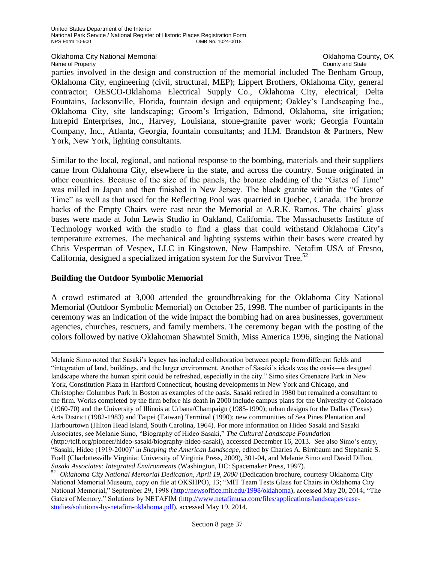Oklahoma City National Memorial **County Accounty** Oklahoma County, OK<br>
Name of Property<br>
Ocunty and State Name of Property

parties involved in the design and construction of the memorial included The Benham Group, Oklahoma City, engineering (civil, structural, MEP); Lippert Brothers, Oklahoma City, general contractor; OESCO-Oklahoma Electrical Supply Co., Oklahoma City, electrical; Delta Fountains, Jacksonville, Florida, fountain design and equipment; Oakley's Landscaping Inc., Oklahoma City, site landscaping; Groom's Irrigation, Edmond, Oklahoma, site irrigation; Intrepid Enterprises, Inc., Harvey, Louisiana, stone-granite paver work; Georgia Fountain Company, Inc., Atlanta, Georgia, fountain consultants; and H.M. Brandston & Partners, New York, New York, lighting consultants.

Similar to the local, regional, and national response to the bombing, materials and their suppliers came from Oklahoma City, elsewhere in the state, and across the country. Some originated in other countries. Because of the size of the panels, the bronze cladding of the "Gates of Time" was milled in Japan and then finished in New Jersey. The black granite within the "Gates of Time" as well as that used for the Reflecting Pool was quarried in Quebec, Canada. The bronze backs of the Empty Chairs were cast near the Memorial at A.R.K. Ramos. The chairs' glass bases were made at John Lewis Studio in Oakland, California. The Massachusetts Institute of Technology worked with the studio to find a glass that could withstand Oklahoma City's temperature extremes. The mechanical and lighting systems within their bases were created by Chris Vesperman of Vespex, LLC in Kingstown, New Hampshire. Netafim USA of Fresno, California, designed a specialized irrigation system for the Survivor Tree.<sup>52</sup>

## **Building the Outdoor Symbolic Memorial**

J.

A crowd estimated at 3,000 attended the groundbreaking for the Oklahoma City National Memorial (Outdoor Symbolic Memorial) on October 25, 1998. The number of participants in the ceremony was an indication of the wide impact the bombing had on area businesses, government agencies, churches, rescuers, and family members. The ceremony began with the posting of the colors followed by native Oklahoman Shawntel Smith, Miss America 1996, singing the National

Melanie Simo noted that Sasaki's legacy has included collaboration between people from different fields and "integration of land, buildings, and the larger environment. Another of Sasaki's ideals was the oasis—a designed landscape where the human spirit could be refreshed, especially in the city." Simo sites Greenacre Park in New York, Constitution Plaza in Hartford Connecticut, housing developments in New York and Chicago, and Christopher Columbus Park in Boston as examples of the oasis. Sasaki retired in 1980 but remained a consultant to the firm. Works completed by the firm before his death in 2000 include campus plans for the University of Colorado (1960-70) and the University of Illinois at Urbana/Champaign (1985-1990); urban designs for the Dallas (Texas) Arts District (1982-1983) and Taipei (Taiwan) Terminal (1990); new communities of Sea Pines Plantation and Harbourtown (Hilton Head Island, South Carolina, 1964). For more information on Hideo Sasaki and Sasaki Associates, see Melanie Simo, "Biography of Hideo Sasaki," *The Cultural Landscape Foundation*  [\(http://tclf.org/pioneer/hideo-sasaki/biography-hideo-sasaki\)](http://tclf.org/pioneer/hideo-sasaki/biography-hideo-sasaki), accessed December 16, 2013. See also Simo's entry, "Sasaki, Hideo (1919-2000)" in *Shaping the American Landscape*, edited by Charles A. Birnbaum and Stephanie S. Foell (Charlottesville Virginia: University of Virginia Press, 2009), 301-04, and Melanie Simo and David Dillon, *Sasaki Associates: Integrated Environments* (Washington, DC: Spacemaker Press, 1997).

<sup>52</sup> *Oklahoma City National Memorial Dedication, April 19, 2000* (Dedication brochure, courtesy Oklahoma City National Memorial Museum, copy on file at OKSHPO), 13; "MIT Team Tests Glass for Chairs in Oklahoma City National Memorial," September 29, 1998 [\(http://newsoffice.mit.edu/1998/oklahoma\)](http://newsoffice.mit.edu/1998/oklahoma), accessed May 20, 2014; "The Gates of Memory," Solutions by NETAFIM [\(http://www.netafimusa.com/files/applications/landscapes/case](http://www.netafimusa.com/files/applications/landscapes/case-studies/solutions-by-netafim-oklahoma.pdf)[studies/solutions-by-netafim-oklahoma.pdf\)](http://www.netafimusa.com/files/applications/landscapes/case-studies/solutions-by-netafim-oklahoma.pdf), accessed May 19, 2014.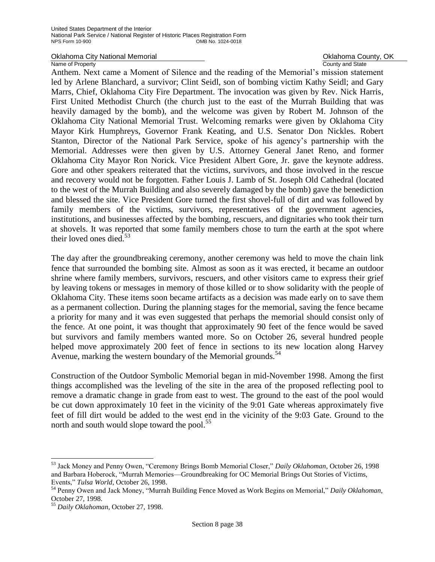## Oklahoma City National Memorial **County, OKING COUNTY, OK** Oklahoma County, OK

Name of Property **County Accounty County and State** 

Anthem. Next came a Moment of Silence and the reading of the Memorial's mission statement led by Arlene Blanchard, a survivor; Clint Seidl, son of bombing victim Kathy Seidl; and Gary Marrs, Chief, Oklahoma City Fire Department. The invocation was given by Rev. Nick Harris, First United Methodist Church (the church just to the east of the Murrah Building that was heavily damaged by the bomb), and the welcome was given by Robert M. Johnson of the Oklahoma City National Memorial Trust. Welcoming remarks were given by Oklahoma City Mayor Kirk Humphreys, Governor Frank Keating, and U.S. Senator Don Nickles. Robert Stanton, Director of the National Park Service, spoke of his agency's partnership with the Memorial. Addresses were then given by U.S. Attorney General Janet Reno, and former Oklahoma City Mayor Ron Norick. Vice President Albert Gore, Jr. gave the keynote address. Gore and other speakers reiterated that the victims, survivors, and those involved in the rescue and recovery would not be forgotten. Father Louis J. Lamb of St. Joseph Old Cathedral (located to the west of the Murrah Building and also severely damaged by the bomb) gave the benediction and blessed the site. Vice President Gore turned the first shovel-full of dirt and was followed by family members of the victims, survivors, representatives of the government agencies, institutions, and businesses affected by the bombing, rescuers, and dignitaries who took their turn at shovels. It was reported that some family members chose to turn the earth at the spot where their loved ones died.<sup>53</sup>

The day after the groundbreaking ceremony, another ceremony was held to move the chain link fence that surrounded the bombing site. Almost as soon as it was erected, it became an outdoor shrine where family members, survivors, rescuers, and other visitors came to express their grief by leaving tokens or messages in memory of those killed or to show solidarity with the people of Oklahoma City. These items soon became artifacts as a decision was made early on to save them as a permanent collection. During the planning stages for the memorial, saving the fence became a priority for many and it was even suggested that perhaps the memorial should consist only of the fence. At one point, it was thought that approximately 90 feet of the fence would be saved but survivors and family members wanted more. So on October 26, several hundred people helped move approximately 200 feet of fence in sections to its new location along Harvey Avenue, marking the western boundary of the Memorial grounds.<sup>54</sup>

Construction of the Outdoor Symbolic Memorial began in mid-November 1998. Among the first things accomplished was the leveling of the site in the area of the proposed reflecting pool to remove a dramatic change in grade from east to west. The ground to the east of the pool would be cut down approximately 10 feet in the vicinity of the 9:01 Gate whereas approximately five feet of fill dirt would be added to the west end in the vicinity of the 9:03 Gate. Ground to the north and south would slope toward the pool.<sup>55</sup>

J.

<sup>53</sup> Jack Money and Penny Owen, "Ceremony Brings Bomb Memorial Closer," *Daily Oklahoman*, October 26, 1998 and Barbara Hoberock, "Murrah Memories—Groundbreaking for OC Memorial Brings Out Stories of Victims, Events," *Tulsa World*, October 26, 1998.

<sup>54</sup> Penny Owen and Jack Money, "Murrah Building Fence Moved as Work Begins on Memorial," *Daily Oklahoman*, October 27, 1998.

<sup>55</sup> *Daily Oklahoman*, October 27, 1998.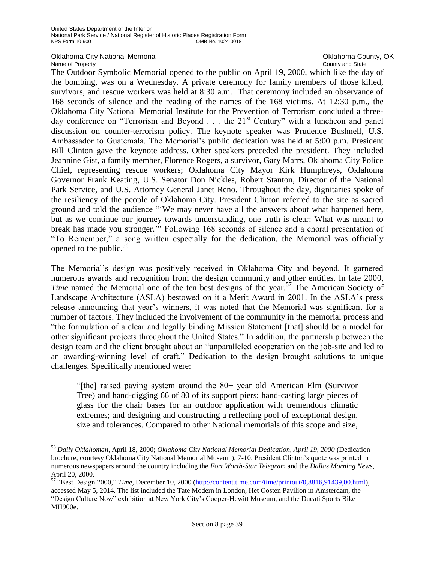# Oklahoma City National Memorial **County Accounty** Oklahoma County, OK<br>
Name of Property<br>
Ocunty and State

#### Name of Property

÷,

The Outdoor Symbolic Memorial opened to the public on April 19, 2000, which like the day of the bombing, was on a Wednesday. A private ceremony for family members of those killed, survivors, and rescue workers was held at 8:30 a.m. That ceremony included an observance of 168 seconds of silence and the reading of the names of the 168 victims. At 12:30 p.m., the Oklahoma City National Memorial Institute for the Prevention of Terrorism concluded a threeday conference on "Terrorism and Beyond  $\ldots$  the 21<sup>st</sup> Century" with a luncheon and panel discussion on counter-terrorism policy. The keynote speaker was Prudence Bushnell, U.S. Ambassador to Guatemala. The Memorial's public dedication was held at 5:00 p.m. President Bill Clinton gave the keynote address. Other speakers preceded the president. They included Jeannine Gist, a family member, Florence Rogers, a survivor, Gary Marrs, Oklahoma City Police Chief, representing rescue workers; Oklahoma City Mayor Kirk Humphreys, Oklahoma Governor Frank Keating, U.S. Senator Don Nickles, Robert Stanton, Director of the National Park Service, and U.S. Attorney General Janet Reno. Throughout the day, dignitaries spoke of the resiliency of the people of Oklahoma City. President Clinton referred to the site as sacred ground and told the audience "ʻWe may never have all the answers about what happened here, but as we continue our journey towards understanding, one truth is clear: What was meant to break has made you stronger.'" Following 168 seconds of silence and a choral presentation of "To Remember," a song written especially for the dedication, the Memorial was officially opened to the public.<sup>56</sup>

The Memorial's design was positively received in Oklahoma City and beyond. It garnered numerous awards and recognition from the design community and other entities. In late 2000, *Time* named the Memorial one of the ten best designs of the year.<sup>57</sup> The American Society of Landscape Architecture (ASLA) bestowed on it a Merit Award in 2001. In the ASLA's press release announcing that year's winners, it was noted that the Memorial was significant for a number of factors. They included the involvement of the community in the memorial process and "the formulation of a clear and legally binding Mission Statement [that] should be a model for other significant projects throughout the United States." In addition, the partnership between the design team and the client brought about an "unparalleled cooperation on the job-site and led to an awarding-winning level of craft." Dedication to the design brought solutions to unique challenges. Specifically mentioned were:

"[the] raised paving system around the 80+ year old American Elm (Survivor Tree) and hand-digging 66 of 80 of its support piers; hand-casting large pieces of glass for the chair bases for an outdoor application with tremendous climatic extremes; and designing and constructing a reflecting pool of exceptional design, size and tolerances. Compared to other National memorials of this scope and size,

<sup>56</sup> *Daily Oklahoman*, April 18, 2000; *Oklahoma City National Memorial Dedication, April 19, 2000* (Dedication brochure, courtesy Oklahoma City National Memorial Museum), 7-10. President Clinton's quote was printed in numerous newspapers around the country including the *Fort Worth-Star Telegram* and the *Dallas Morning News,*  April 20, 2000.

<sup>57</sup> "Best Design 2000," *Time*, December 10, 2000 [\(http://content.time.com/time/printout/0,8816,91439,00.html\)](http://content.time.com/time/printout/0,8816,91439,00.html), accessed May 5, 2014. The list included the Tate Modern in London, Het Oosten Pavilion in Amsterdam, the "Design Culture Now" exhibition at New York City's Cooper-Hewitt Museum, and the Ducati Sports Bike MH900e.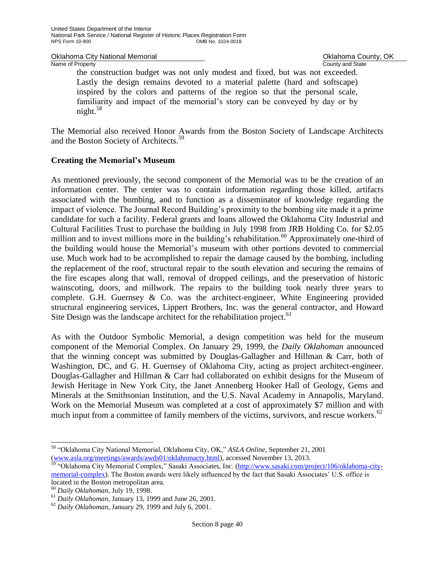Oklahoma City National Memorial **County Accounty** Oklahoma County, OK<br>
Name of Property<br>
Ocunty and State

County and State

the construction budget was not only modest and fixed, but was not exceeded. Lastly the design remains devoted to a material palette (hard and softscape) inspired by the colors and patterns of the region so that the personal scale, familiarity and impact of the memorial's story can be conveyed by day or by night. $58$ 

The Memorial also received Honor Awards from the Boston Society of Landscape Architects and the Boston Society of Architects.<sup>59</sup>

## **Creating the Memorial's Museum**

As mentioned previously, the second component of the Memorial was to be the creation of an information center. The center was to contain information regarding those killed, artifacts associated with the bombing, and to function as a disseminator of knowledge regarding the impact of violence. The Journal Record Building's proximity to the bombing site made it a prime candidate for such a facility. Federal grants and loans allowed the Oklahoma City Industrial and Cultural Facilities Trust to purchase the building in July 1998 from JRB Holding Co. for \$2.05 million and to invest millions more in the building's rehabilitation.<sup>60</sup> Approximately one-third of the building would house the Memorial's museum with other portions devoted to commercial use. Much work had to be accomplished to repair the damage caused by the bombing, including the replacement of the roof, structural repair to the south elevation and securing the remains of the fire escapes along that wall, removal of dropped ceilings, and the preservation of historic wainscoting, doors, and millwork. The repairs to the building took nearly three years to complete. G.H. Guernsey & Co. was the architect-engineer, White Engineering provided structural engineering services, Lippert Brothers, Inc. was the general contractor, and Howard Site Design was the landscape architect for the rehabilitation project.<sup>61</sup>

As with the Outdoor Symbolic Memorial, a design competition was held for the museum component of the Memorial Complex. On January 29, 1999, the *Daily Oklahoman* announced that the winning concept was submitted by Douglas-Gallagher and Hillman & Carr, both of Washington, DC, and G. H. Guernsey of Oklahoma City, acting as project architect-engineer. Douglas-Gallagher and Hillman & Carr had collaborated on exhibit designs for the Museum of Jewish Heritage in New York City, the Janet Annenberg Hooker Hall of Geology, Gems and Minerals at the Smithsonian Institution, and the U.S. Naval Academy in Annapolis, Maryland. Work on the Memorial Museum was completed at a cost of approximately \$7 million and with much input from a committee of family members of the victims, survivors, and rescue workers.<sup>62</sup>

÷,

<sup>58</sup> "Oklahoma City National Memorial, Oklahoma City, OK," *ASLA Online*, September 21, 2001 [\(www.asla.org/meetings/awards/awds01/oklahomacty.html\)](http://www.asla.org/meetings/awards/awds01/oklahomacty.html), accessed November 13, 2013.

<sup>&</sup>lt;sup>59</sup> "Oklahoma City Memorial Complex," Sasaki Associates, Inc. [\(http://www.sasaki.com/project/106/oklahoma-city](http://www.sasaki.com/project/106/oklahoma-city-memorial-complex)[memorial-complex\)](http://www.sasaki.com/project/106/oklahoma-city-memorial-complex). The Boston awards were likely influenced by the fact that Sasaki Associates' U.S. office is located in the Boston metropolitan area.

<sup>60</sup> *Daily Oklahoman*, July 19, 1998.

<sup>61</sup> *Daily Oklahoman*, January 13, 1999 and June 26, 2001.

<sup>62</sup> *Daily Oklahoman*, January 29, 1999 and July 6, 2001.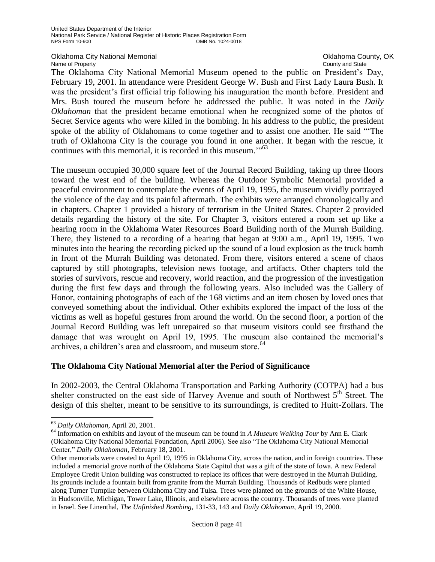Oklahoma City National Memorial **County Accounty** Oklahoma County, OK<br>
Name of Property<br>
Ocunty and State Name of Property

The Oklahoma City National Memorial Museum opened to the public on President's Day, February 19, 2001. In attendance were President George W. Bush and First Lady Laura Bush. It was the president's first official trip following his inauguration the month before. President and Mrs. Bush toured the museum before he addressed the public. It was noted in the *Daily Oklahoman* that the president became emotional when he recognized some of the photos of Secret Service agents who were killed in the bombing. In his address to the public, the president spoke of the ability of Oklahomans to come together and to assist one another. He said "ʻThe truth of Oklahoma City is the courage you found in one another. It began with the rescue, it continues with this memorial, it is recorded in this museum."<sup>63</sup>

The museum occupied 30,000 square feet of the Journal Record Building, taking up three floors toward the west end of the building. Whereas the Outdoor Symbolic Memorial provided a peaceful environment to contemplate the events of April 19, 1995, the museum vividly portrayed the violence of the day and its painful aftermath. The exhibits were arranged chronologically and in chapters. Chapter 1 provided a history of terrorism in the United States. Chapter 2 provided details regarding the history of the site. For Chapter 3, visitors entered a room set up like a hearing room in the Oklahoma Water Resources Board Building north of the Murrah Building. There, they listened to a recording of a hearing that began at 9:00 a.m., April 19, 1995. Two minutes into the hearing the recording picked up the sound of a loud explosion as the truck bomb in front of the Murrah Building was detonated. From there, visitors entered a scene of chaos captured by still photographs, television news footage, and artifacts. Other chapters told the stories of survivors, rescue and recovery, world reaction, and the progression of the investigation during the first few days and through the following years. Also included was the Gallery of Honor, containing photographs of each of the 168 victims and an item chosen by loved ones that conveyed something about the individual. Other exhibits explored the impact of the loss of the victims as well as hopeful gestures from around the world. On the second floor, a portion of the Journal Record Building was left unrepaired so that museum visitors could see firsthand the damage that was wrought on April 19, 1995. The museum also contained the memorial's archives, a children's area and classroom, and museum store.<sup>64</sup>

## **The Oklahoma City National Memorial after the Period of Significance**

In 2002-2003, the Central Oklahoma Transportation and Parking Authority (COTPA) had a bus shelter constructed on the east side of Harvey Avenue and south of Northwest  $5<sup>th</sup>$  Street. The design of this shelter, meant to be sensitive to its surroundings, is credited to Huitt-Zollars. The

j.

<sup>63</sup> *Daily Oklahoman*, April 20, 2001.

<sup>64</sup> Information on exhibits and layout of the museum can be found in *A Museum Walking Tour* by Ann E. Clark (Oklahoma City National Memorial Foundation, April 2006). See also "The Oklahoma City National Memorial Center," *Daily Oklahoman*, February 18, 2001.

Other memorials were created to April 19, 1995 in Oklahoma City, across the nation, and in foreign countries. These included a memorial grove north of the Oklahoma State Capitol that was a gift of the state of Iowa. A new Federal Employee Credit Union building was constructed to replace its offices that were destroyed in the Murrah Building. Its grounds include a fountain built from granite from the Murrah Building. Thousands of Redbuds were planted along Turner Turnpike between Oklahoma City and Tulsa. Trees were planted on the grounds of the White House, in Hudsonville, Michigan, Tower Lake, Illinois, and elsewhere across the country. Thousands of trees were planted in Israel. See Linenthal, *The Unfinished Bombing*, 131-33, 143 and *Daily Oklahoman*, April 19, 2000.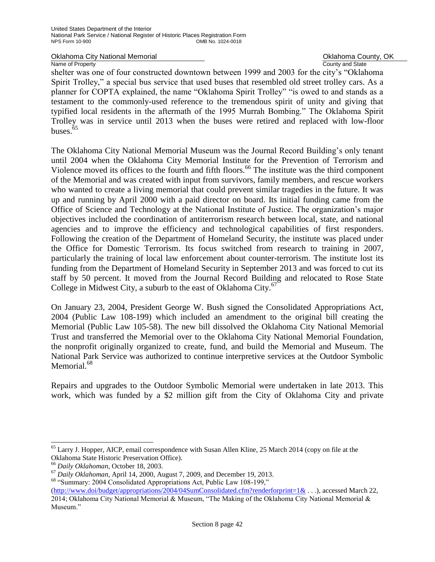Oklahoma City National Memorial **County, OKLAHOMA County, OK**<br>
Name of Property County and State

Name of Property

shelter was one of four constructed downtown between 1999 and 2003 for the city's "Oklahoma Spirit Trolley," a special bus service that used buses that resembled old street trolley cars. As a planner for COPTA explained, the name "Oklahoma Spirit Trolley" "is owed to and stands as a testament to the commonly-used reference to the tremendous spirit of unity and giving that typified local residents in the aftermath of the 1995 Murrah Bombing." The Oklahoma Spirit Trolley was in service until 2013 when the buses were retired and replaced with low-floor buses. $65$ 

The Oklahoma City National Memorial Museum was the Journal Record Building's only tenant until 2004 when the Oklahoma City Memorial Institute for the Prevention of Terrorism and Violence moved its offices to the fourth and fifth floors.<sup>66</sup> The institute was the third component of the Memorial and was created with input from survivors, family members, and rescue workers who wanted to create a living memorial that could prevent similar tragedies in the future. It was up and running by April 2000 with a paid director on board. Its initial funding came from the Office of Science and Technology at the National Institute of Justice. The organization's major objectives included the coordination of antiterrorism research between local, state, and national agencies and to improve the efficiency and technological capabilities of first responders. Following the creation of the Department of Homeland Security, the institute was placed under the Office for Domestic Terrorism. Its focus switched from research to training in 2007, particularly the training of local law enforcement about counter-terrorism. The institute lost its funding from the Department of Homeland Security in September 2013 and was forced to cut its staff by 50 percent. It moved from the Journal Record Building and relocated to Rose State College in Midwest City, a suburb to the east of Oklahoma City.<sup>67</sup>

On January 23, 2004, President George W. Bush signed the Consolidated Appropriations Act, 2004 (Public Law 108-199) which included an amendment to the original bill creating the Memorial (Public Law 105-58). The new bill dissolved the Oklahoma City National Memorial Trust and transferred the Memorial over to the Oklahoma City National Memorial Foundation, the nonprofit originally organized to create, fund, and build the Memorial and Museum. The National Park Service was authorized to continue interpretive services at the Outdoor Symbolic Memorial.<sup>68</sup>

Repairs and upgrades to the Outdoor Symbolic Memorial were undertaken in late 2013. This work, which was funded by a \$2 million gift from the City of Oklahoma City and private

÷,

<sup>65</sup> Larry J. Hopper, AICP, email correspondence with Susan Allen Kline, 25 March 2014 (copy on file at the Oklahoma State Historic Preservation Office).

<sup>66</sup> *Daily Oklahoman*, October 18, 2003.

<sup>67</sup> *Daily Oklahoman*, April 14, 2000, August 7, 2009, and December 19, 2013.

<sup>68</sup> "Summary: 2004 Consolidated Appropriations Act, Public Law 108-199,"

[<sup>\(</sup>http://www.doi/budget/appropriations/2004/04SumConsolidated.cfm?renderforprint=1&](http://www.doi/budget/appropriations/2004/04SumConsolidated.cfm?renderforprint=1&) . . .), accessed March 22, 2014; Oklahoma City National Memorial & Museum, "The Making of the Oklahoma City National Memorial & Museum."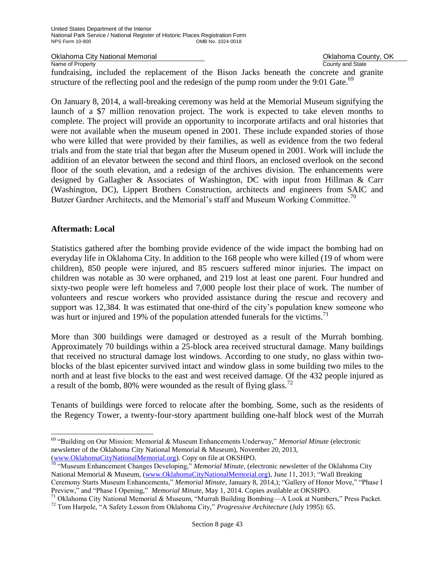Oklahoma City National Memorial **County, OKLAHOMA County, OK**<br>
Name of Property County and State

Name of Property fundraising, included the replacement of the Bison Jacks beneath the concrete and granite structure of the reflecting pool and the redesign of the pump room under the 9:01 Gate.<sup>69</sup>

On January 8, 2014, a wall-breaking ceremony was held at the Memorial Museum signifying the launch of a \$7 million renovation project. The work is expected to take eleven months to complete. The project will provide an opportunity to incorporate artifacts and oral histories that were not available when the museum opened in 2001. These include expanded stories of those who were killed that were provided by their families, as well as evidence from the two federal trials and from the state trial that began after the Museum opened in 2001. Work will include the addition of an elevator between the second and third floors, an enclosed overlook on the second floor of the south elevation, and a redesign of the archives division. The enhancements were designed by Gallagher & Associates of Washington, DC with input from Hillman & Carr (Washington, DC), Lippert Brothers Construction, architects and engineers from SAIC and Butzer Gardner Architects, and the Memorial's staff and Museum Working Committee.<sup>70</sup>

## **Aftermath: Local**

J.

Statistics gathered after the bombing provide evidence of the wide impact the bombing had on everyday life in Oklahoma City. In addition to the 168 people who were killed (19 of whom were children), 850 people were injured, and 85 rescuers suffered minor injuries. The impact on children was notable as 30 were orphaned, and 219 lost at least one parent. Four hundred and sixty-two people were left homeless and 7,000 people lost their place of work. The number of volunteers and rescue workers who provided assistance during the rescue and recovery and support was 12,384. It was estimated that one-third of the city's population knew someone who was hurt or injured and 19% of the population attended funerals for the victims.<sup>71</sup>

More than 300 buildings were damaged or destroyed as a result of the Murrah bombing. Approximately 70 buildings within a 25-block area received structural damage. Many buildings that received no structural damage lost windows. According to one study, no glass within twoblocks of the blast epicenter survived intact and window glass in some building two miles to the north and at least five blocks to the east and west received damage. Of the 432 people injured as a result of the bomb, 80% were wounded as the result of flying glass.<sup>72</sup>

Tenants of buildings were forced to relocate after the bombing. Some, such as the residents of the Regency Tower, a twenty-four-story apartment building one-half block west of the Murrah

<sup>69</sup> "Building on Our Mission: Memorial & Museum Enhancements Underway," *Memorial Minute* (electronic newsletter of the Oklahoma City National Memorial & Museum), November 20, 2013, [\(www.OklahomaCityNationalMemorial.org\)](http://www.oklahomacitynationalmemorial.org/). Copy on file at OKSHPO.

<sup>70</sup> "Museum Enhancement Changes Developing," *Memorial Minute*, (electronic newsletter of the Oklahoma City National Memorial & Museum, [\(www.OklahomaCityNationalMemorial.org\)](http://www.oklahomacitynationalmemorial.org/), June 11, 2013; "Wall Breaking Ceremony Starts Museum Enhancements," *Memorial Minute*, January 8, 2014,); "Gallery of Honor Move," "Phase I Preview," and "Phase I Opening," *Memorial Minute*, May 1, 2014. Copies available at OKSHPO.

<sup>71</sup> Oklahoma City National Memorial & Museum, "Murrah Building Bombing—A Look at Numbers," Press Packet. <sup>72</sup> Tom Harpole, "A Safety Lesson from Oklahoma City," *Progressive Architecture* (July 1995): 65.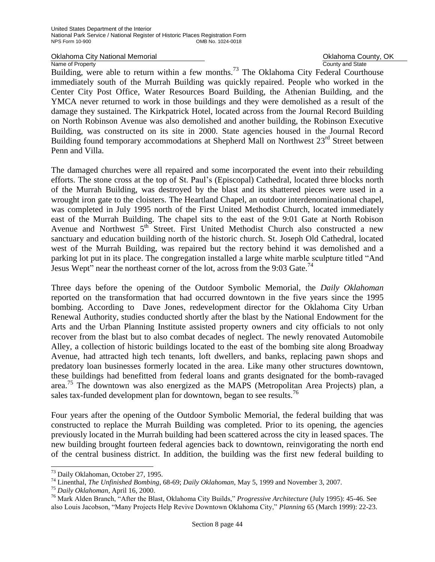Oklahoma City National Memorial **County 1998** Oklahoma County, OK<br>
Name of Property<br>
Ocunty and State

Name of Property<br>Building, were able to return within a few months.<sup>73</sup> The Oklahoma City Federal Courthouse immediately south of the Murrah Building was quickly repaired. People who worked in the Center City Post Office, Water Resources Board Building, the Athenian Building, and the YMCA never returned to work in those buildings and they were demolished as a result of the damage they sustained. The Kirkpatrick Hotel, located across from the Journal Record Building on North Robinson Avenue was also demolished and another building, the Robinson Executive Building, was constructed on its site in 2000. State agencies housed in the Journal Record Building found temporary accommodations at Shepherd Mall on Northwest  $23<sup>rd</sup>$  Street between Penn and Villa.

The damaged churches were all repaired and some incorporated the event into their rebuilding efforts. The stone cross at the top of St. Paul's (Episcopal) Cathedral, located three blocks north of the Murrah Building, was destroyed by the blast and its shattered pieces were used in a wrought iron gate to the cloisters. The Heartland Chapel, an outdoor interdenominational chapel, was completed in July 1995 north of the First United Methodist Church, located immediately east of the Murrah Building. The chapel sits to the east of the 9:01 Gate at North Robison Avenue and Northwest  $5<sup>th</sup>$  Street. First United Methodist Church also constructed a new sanctuary and education building north of the historic church. St. Joseph Old Cathedral, located west of the Murrah Building, was repaired but the rectory behind it was demolished and a parking lot put in its place. The congregation installed a large white marble sculpture titled "And Jesus Wept" near the northeast corner of the lot, across from the 9:03 Gate.<sup>74</sup>

Three days before the opening of the Outdoor Symbolic Memorial, the *Daily Oklahoman*  reported on the transformation that had occurred downtown in the five years since the 1995 bombing. According to Dave Jones, redevelopment director for the Oklahoma City Urban Renewal Authority, studies conducted shortly after the blast by the National Endowment for the Arts and the Urban Planning Institute assisted property owners and city officials to not only recover from the blast but to also combat decades of neglect. The newly renovated Automobile Alley, a collection of historic buildings located to the east of the bombing site along Broadway Avenue, had attracted high tech tenants, loft dwellers, and banks, replacing pawn shops and predatory loan businesses formerly located in the area. Like many other structures downtown, these buildings had benefitted from federal loans and grants designated for the bomb-ravaged area.<sup>75</sup> The downtown was also energized as the MAPS (Metropolitan Area Projects) plan, a sales tax-funded development plan for downtown, began to see results.<sup>76</sup>

Four years after the opening of the Outdoor Symbolic Memorial, the federal building that was constructed to replace the Murrah Building was completed. Prior to its opening, the agencies previously located in the Murrah building had been scattered across the city in leased spaces. The new building brought fourteen federal agencies back to downtown, reinvigorating the north end of the central business district. In addition, the building was the first new federal building to

÷,

<sup>73</sup> Daily Oklahoman, October 27, 1995.

<sup>74</sup> Linenthal, *The Unfinished Bombing*, 68-69; *Daily Oklahoman*, May 5, 1999 and November 3, 2007.

<sup>75</sup> *Daily Oklahoman,* April 16, 2000.

<sup>76</sup> Mark Alden Branch, "After the Blast, Oklahoma City Builds," *Progressive Architecture* (July 1995): 45-46. See also Louis Jacobson, "Many Projects Help Revive Downtown Oklahoma City," *Planning* 65 (March 1999): 22-23.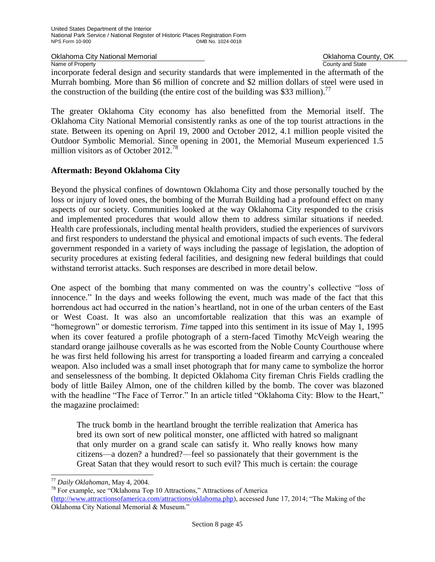Oklahoma City National Memorial **County, OKLAHOMA County, OK**<br>
Name of Property County and State

County and State

incorporate federal design and security standards that were implemented in the aftermath of the Murrah bombing. More than \$6 million of concrete and \$2 million dollars of steel were used in the construction of the building (the entire cost of the building was \$33 million).<sup>77</sup>

The greater Oklahoma City economy has also benefitted from the Memorial itself. The Oklahoma City National Memorial consistently ranks as one of the top tourist attractions in the state. Between its opening on April 19, 2000 and October 2012, 4.1 million people visited the Outdoor Symbolic Memorial. Since opening in 2001, the Memorial Museum experienced 1.5 million visitors as of October 2012.<sup>78</sup>

## **Aftermath: Beyond Oklahoma City**

Beyond the physical confines of downtown Oklahoma City and those personally touched by the loss or injury of loved ones, the bombing of the Murrah Building had a profound effect on many aspects of our society. Communities looked at the way Oklahoma City responded to the crisis and implemented procedures that would allow them to address similar situations if needed. Health care professionals, including mental health providers, studied the experiences of survivors and first responders to understand the physical and emotional impacts of such events. The federal government responded in a variety of ways including the passage of legislation, the adoption of security procedures at existing federal facilities, and designing new federal buildings that could withstand terrorist attacks. Such responses are described in more detail below.

One aspect of the bombing that many commented on was the country's collective "loss of innocence." In the days and weeks following the event, much was made of the fact that this horrendous act had occurred in the nation's heartland, not in one of the urban centers of the East or West Coast. It was also an uncomfortable realization that this was an example of "homegrown" or domestic terrorism. *Time* tapped into this sentiment in its issue of May 1, 1995 when its cover featured a profile photograph of a stern-faced Timothy McVeigh wearing the standard orange jailhouse coveralls as he was escorted from the Noble County Courthouse where he was first held following his arrest for transporting a loaded firearm and carrying a concealed weapon. Also included was a small inset photograph that for many came to symbolize the horror and senselessness of the bombing. It depicted Oklahoma City fireman Chris Fields cradling the body of little Bailey Almon, one of the children killed by the bomb. The cover was blazoned with the headline "The Face of Terror." In an article titled "Oklahoma City: Blow to the Heart," the magazine proclaimed:

The truck bomb in the heartland brought the terrible realization that America has bred its own sort of new political monster, one afflicted with hatred so malignant that only murder on a grand scale can satisfy it. Who really knows how many citizens—a dozen? a hundred?—feel so passionately that their government is the Great Satan that they would resort to such evil? This much is certain: the courage

J.

<sup>77</sup> *Daily Oklahoman*, May 4, 2004.

<sup>78</sup> For example, see "Oklahoma Top 10 Attractions," Attractions of America [\(http://www.attractionsofamerica.com/attractions/oklahoma.php\)](http://www.attractionsofamerica.com/attractions/oklahoma.php), accessed June 17, 2014; "The Making of the Oklahoma City National Memorial & Museum."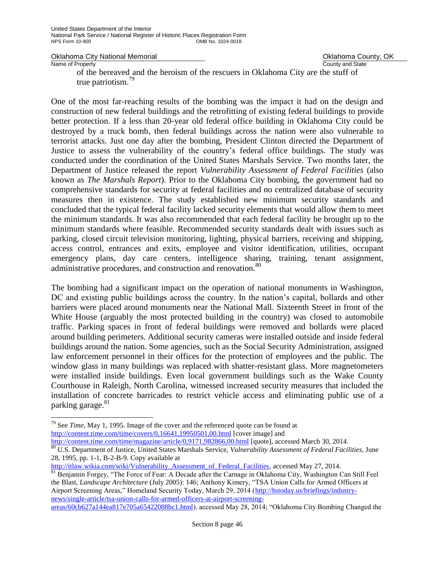Oklahoma City National Memorial **County, OKLAHOMA County, OK**<br>
Name of Property County and State

County and State

of the bereaved and the heroism of the rescuers in Oklahoma City are the stuff of true patriotism. 79

One of the most far-reaching results of the bombing was the impact it had on the design and construction of new federal buildings and the retrofitting of existing federal buildings to provide better protection. If a less than 20-year old federal office building in Oklahoma City could be destroyed by a truck bomb, then federal buildings across the nation were also vulnerable to terrorist attacks. Just one day after the bombing, President Clinton directed the Department of Justice to assess the vulnerability of the country's federal office buildings. The study was conducted under the coordination of the United States Marshals Service. Two months later, the Department of Justice released the report *Vulnerability Assessment of Federal Facilities* (also known as *The Marshals Report*). Prior to the Oklahoma City bombing, the government had no comprehensive standards for security at federal facilities and no centralized database of security measures then in existence. The study established new minimum security standards and concluded that the typical federal facility lacked security elements that would allow them to meet the minimum standards. It was also recommended that each federal facility be brought up to the minimum standards where feasible. Recommended security standards dealt with issues such as parking, closed circuit television monitoring, lighting, physical barriers, receiving and shipping, access control, entrances and exits, employee and visitor identification, utilities, occupant emergency plans, day care centers, intelligence sharing, training, tenant assignment, administrative procedures, and construction and renovation.<sup>80</sup>

The bombing had a significant impact on the operation of national monuments in Washington, DC and existing public buildings across the country. In the nation's capital, bollards and other barriers were placed around monuments near the National Mall. Sixteenth Street in front of the White House (arguably the most protected building in the country) was closed to automobile traffic. Parking spaces in front of federal buildings were removed and bollards were placed around building perimeters. Additional security cameras were installed outside and inside federal buildings around the nation. Some agencies, such as the Social Security Administration, assigned law enforcement personnel in their offices for the protection of employees and the public. The window glass in many buildings was replaced with shatter-resistant glass. More magnetometers were installed inside buildings. Even local government buildings such as the Wake County Courthouse in Raleigh, North Carolina, witnessed increased security measures that included the installation of concrete barricades to restrict vehicle access and eliminating public use of a parking garage.<sup>81</sup>

j. <sup>79</sup> See *Time*, May 1, 1995. Image of the cover and the referenced quote can be found at <http://content.time.com/time/covers/0,16641,19950501,00.html> [cover image] and <http://content.time.com/time/magazine/article/0,9171,982866,00.html> [quote], accessed March 30, 2014.

<sup>81</sup> Benjamin Forgey, "The Force of Fear: A Decade after the Carnage in Oklahoma City, Washington Can Still Feel the Blast, *Landscape Architecture* (July 2005): 146; Anthony Kimery, "TSA Union Calls for Armed Officers at Airport Screening Areas," Homeland Security Today, March 29, 2014 [\(http://hstoday.us/briefings/industry](http://hstoday.us/briefings/industry-news/single-article/tsa-union-calls-for-armed-officers-at-airport-screening-areas/60cb627a144ea817e705a65422088bc1.html)[news/single-article/tsa-union-calls-for-armed-officers-at-airport-screening-](http://hstoday.us/briefings/industry-news/single-article/tsa-union-calls-for-armed-officers-at-airport-screening-areas/60cb627a144ea817e705a65422088bc1.html)

[areas/60cb627a144ea817e705a65422088bc1.html\)](http://hstoday.us/briefings/industry-news/single-article/tsa-union-calls-for-armed-officers-at-airport-screening-areas/60cb627a144ea817e705a65422088bc1.html), accessed May 28, 2014; "Oklahoma City Bombing Changed the

<sup>80</sup> U.S. Department of Justice, United States Marshals Service, *Vulnerability Assessment of Federal Facilities*, June 28, 1995, pp. 1-1, B-2-B-9. Copy available at

[http://itlaw.wikia.com/wiki/Vulnerability\\_Assessment\\_of\\_Federal\\_Facilities,](http://itlaw.wikia.com/wiki/Vulnerability_Assessment_of_Federal_Facilities) accessed May 27, 2014.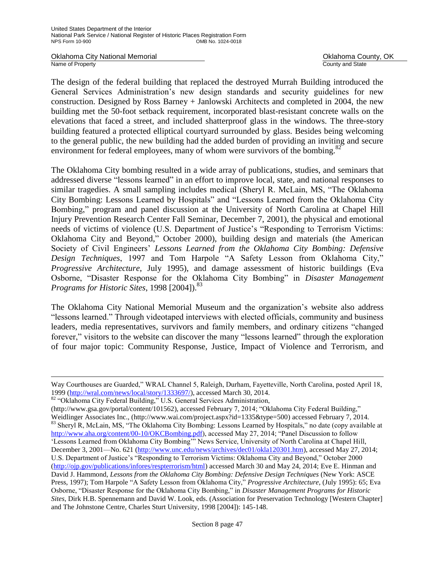Oklahoma City National Memorial **County, OKLAHOMA County, OKLAHOMA County, OKLAHOMA** County, OK<br>
Name of Property

County and State

The design of the federal building that replaced the destroyed Murrah Building introduced the General Services Administration's new design standards and security guidelines for new construction. Designed by Ross Barney + Janlowski Architects and completed in 2004, the new building met the 50-foot setback requirement, incorporated blast-resistant concrete walls on the elevations that faced a street, and included shatterproof glass in the windows. The three-story building featured a protected elliptical courtyard surrounded by glass. Besides being welcoming to the general public, the new building had the added burden of providing an inviting and secure environment for federal employees, many of whom were survivors of the bombing.<sup>82</sup>

The Oklahoma City bombing resulted in a wide array of publications, studies, and seminars that addressed diverse "lessons learned" in an effort to improve local, state, and national responses to similar tragedies. A small sampling includes medical (Sheryl R. McLain, MS, "The Oklahoma City Bombing: Lessons Learned by Hospitals" and "Lessons Learned from the Oklahoma City Bombing," program and panel discussion at the University of North Carolina at Chapel Hill Injury Prevention Research Center Fall Seminar, December 7, 2001), the physical and emotional needs of victims of violence (U.S. Department of Justice's "Responding to Terrorism Victims: Oklahoma City and Beyond," October 2000), building design and materials (the American Society of Civil Engineers' *Lessons Learned from the Oklahoma City Bombing: Defensive Design Techniques*, 1997 and Tom Harpole "A Safety Lesson from Oklahoma City," *Progressive Architecture*, July 1995), and damage assessment of historic buildings (Eva Osborne, "Disaster Response for the Oklahoma City Bombing" in *Disaster Management Programs for Historic Sites*, 1998 [2004]).<sup>83</sup>

The Oklahoma City National Memorial Museum and the organization's website also address "lessons learned." Through videotaped interviews with elected officials, community and business leaders, media representatives, survivors and family members, and ordinary citizens "changed forever," visitors to the website can discover the many "lessons learned" through the exploration of four major topic: Community Response, Justice, Impact of Violence and Terrorism, and

J.

[\(http://www.gsa.gov/portal/content/101562\)](http://www.gsa.gov/portal/content/101562), accessed February 7, 2014; "Oklahoma City Federal Building," Weidlinger Associates Inc., [\(http://www.wai.com/project.aspx?id=1335&type=500\)](http://www.wai.com/project.aspx?id=1335&type=500) accessed February 7, 2014. 83 Sheryl R, McLain, MS, "The Oklahoma City Bombing: Lessons Learned by Hospitals," no date (copy available at [http://www.aha.org/content/00-10/OKCBombing.pdf\)](http://www.aha.org/content/00-10/OKCBombing.pdf), accessed May 27, 2014; "Panel Discussion to follow 'Lessons Learned from Oklahoma City Bombing'" News Service, University of North Carolina at Chapel Hill, December 3, 2001—No. 621 [\(http://www.unc.edu/news/archives/dec01/okla120301.htm\)](http://www.unc.edu/news/archives/dec01/okla120301.htm), accessed May 27, 2014; U.S. Department of Justice's "Responding to Terrorism Victims: Oklahoma City and Beyond," October 2000 [\(http://ojp.gov/publications/infores/respterrorism/html\)](http://ojp.gov/publications/infores/respterrorism/html) accessed March 30 and May 24, 2014; Eve E. Hinman and David J. Hammond, *Lessons from the Oklahoma City Bombing: Defensive Design Techniques* (New York: ASCE Press, 1997); Tom Harpole "A Safety Lesson from Oklahoma City," *Progressive Architecture*, (July 1995): 65; Eva Osborne, "Disaster Response for the Oklahoma City Bombing," in *Disaster Management Programs for Historic Sites*, Dirk H.B. Spennemann and David W. Look, eds. (Association for Preservation Technology [Western Chapter] and The Johnstone Centre, Charles Sturt University, 1998 [2004]): 145-148.

Way Courthouses are Guarded," WRAL Channel 5, Raleigh, Durham, Fayetteville, North Carolina, posted April 18, 1999 [\(http://wral.com/news/local/story/1333697/\)](http://wral.com/news/local/story/1333697/), accessed March 30, 2014.

<sup>82 &</sup>quot;Oklahoma City Federal Building," U.S. General Services Administration,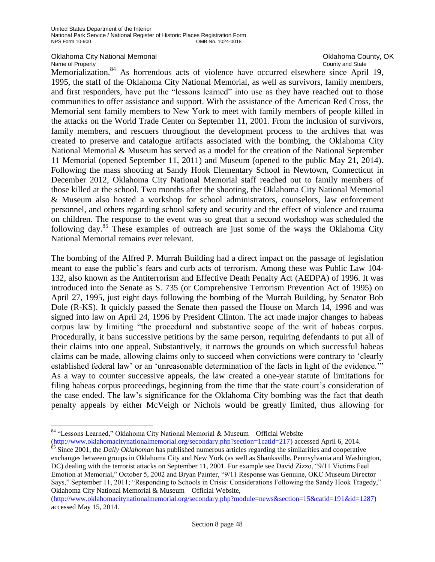# Oklahoma City National Memorial **County Accounty** Oklahoma County, OK<br>
Name of Property<br>
Ocunty and State

### Name of Property

J.

Memorialization.<sup>84</sup> As horrendous acts of violence have occurred elsewhere since April 19, 1995, the staff of the Oklahoma City National Memorial, as well as survivors, family members, and first responders, have put the "lessons learned" into use as they have reached out to those communities to offer assistance and support. With the assistance of the American Red Cross, the Memorial sent family members to New York to meet with family members of people killed in the attacks on the World Trade Center on September 11, 2001. From the inclusion of survivors, family members, and rescuers throughout the development process to the archives that was created to preserve and catalogue artifacts associated with the bombing, the Oklahoma City National Memorial & Museum has served as a model for the creation of the National September 11 Memorial (opened September 11, 2011) and Museum (opened to the public May 21, 2014). Following the mass shooting at Sandy Hook Elementary School in Newtown, Connecticut in December 2012, Oklahoma City National Memorial staff reached out to family members of those killed at the school. Two months after the shooting, the Oklahoma City National Memorial & Museum also hosted a workshop for school administrators, counselors, law enforcement personnel, and others regarding school safety and security and the effect of violence and trauma on children. The response to the event was so great that a second workshop was scheduled the following day.<sup>85</sup> These examples of outreach are just some of the ways the Oklahoma City National Memorial remains ever relevant.

The bombing of the Alfred P. Murrah Building had a direct impact on the passage of legislation meant to ease the public's fears and curb acts of terrorism. Among these was Public Law 104- 132, also known as the Antiterrorism and Effective Death Penalty Act (AEDPA) of 1996. It was introduced into the Senate as S. 735 (or Comprehensive Terrorism Prevention Act of 1995) on April 27, 1995, just eight days following the bombing of the Murrah Building, by Senator Bob Dole (R-KS). It quickly passed the Senate then passed the House on March 14, 1996 and was signed into law on April 24, 1996 by President Clinton. The act made major changes to habeas corpus law by limiting "the procedural and substantive scope of the writ of habeas corpus. Procedurally, it bans successive petitions by the same person, requiring defendants to put all of their claims into one appeal. Substantively, it narrows the grounds on which successful habeas claims can be made, allowing claims only to succeed when convictions were contrary to 'clearly established federal law' or an 'unreasonable determination of the facts in light of the evidence.'" As a way to counter successive appeals, the law created a one-year statute of limitations for filing habeas corpus proceedings, beginning from the time that the state court's consideration of the case ended. The law's significance for the Oklahoma City bombing was the fact that death penalty appeals by either McVeigh or Nichols would be greatly limited, thus allowing for

[\(http://www.oklahomacitynationalmemorial.org/secondary.php?section=1catid=217\)](http://www.oklahomacitynationalmemorial.org/secondary.php?section=1catid=217) accessed April 6, 2014. <sup>85</sup> Since 2001, the *Daily Oklahoman* has published numerous articles regarding the similarities and cooperative

exchanges between groups in Oklahoma City and New York (as well as Shanksville, Pennsylvania and Washington, DC) dealing with the terrorist attacks on September 11, 2001. For example see David Zizzo, "9/11 Victims Feel Emotion at Memorial," October 5, 2002 and Bryan Painter, "9/11 Response was Genuine, OKC Museum Director Says," September 11, 2011; "Responding to Schools in Crisis: Considerations Following the Sandy Hook Tragedy," Oklahoma City National Memorial & Museum—Official Website,

[\(http://www.oklahomacitynationalmemorial.org/secondary.php?module=news&section=15&catid=191&id=1287\)](http://www.oklahomacitynationalmemorial.org/secondary.php?module=news§ion=15&catid=191&id=1287) accessed May 15, 2014.

<sup>84</sup> "Lessons Learned," Oklahoma City National Memorial & Museum—Official Website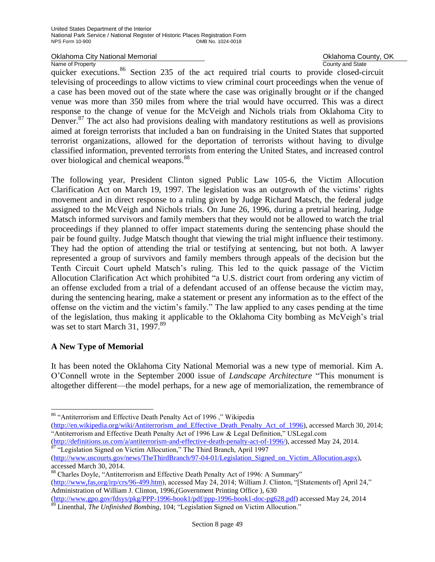### Name of Property

Oklahoma City National Memorial **County Accounty** Oklahoma County, OK<br>
Name of Property<br>
Ocunty and State

quicker executions.<sup>86</sup> Section 235 of the act required trial courts to provide closed-circuit televising of proceedings to allow victims to view criminal court proceedings when the venue of a case has been moved out of the state where the case was originally brought or if the changed venue was more than 350 miles from where the trial would have occurred. This was a direct response to the change of venue for the McVeigh and Nichols trials from Oklahoma City to Denver.<sup>87</sup> The act also had provisions dealing with mandatory restitutions as well as provisions aimed at foreign terrorists that included a ban on fundraising in the United States that supported terrorist organizations, allowed for the deportation of terrorists without having to divulge classified information, prevented terrorists from entering the United States, and increased control over biological and chemical weapons.<sup>88</sup>

The following year, President Clinton signed Public Law 105-6, the Victim Allocution Clarification Act on March 19, 1997. The legislation was an outgrowth of the victims' rights movement and in direct response to a ruling given by Judge Richard Matsch, the federal judge assigned to the McVeigh and Nichols trials. On June 26, 1996, during a pretrial hearing, Judge Matsch informed survivors and family members that they would not be allowed to watch the trial proceedings if they planned to offer impact statements during the sentencing phase should the pair be found guilty. Judge Matsch thought that viewing the trial might influence their testimony. They had the option of attending the trial or testifying at sentencing, but not both. A lawyer represented a group of survivors and family members through appeals of the decision but the Tenth Circuit Court upheld Matsch's ruling. This led to the quick passage of the Victim Allocution Clarification Act which prohibited "a U.S. district court from ordering any victim of an offense excluded from a trial of a defendant accused of an offense because the victim may, during the sentencing hearing, make a statement or present any information as to the effect of the offense on the victim and the victim's family." The law applied to any cases pending at the time of the legislation, thus making it applicable to the Oklahoma City bombing as McVeigh's trial was set to start March 31, 1997.<sup>89</sup>

## **A New Type of Memorial**

J.

It has been noted the Oklahoma City National Memorial was a new type of memorial. Kim A. O'Connell wrote in the September 2000 issue of *Landscape Architecture* "This monument is altogether different—the model perhaps, for a new age of memorialization, the remembrance of

[\(http://definitions.us.com/a/antiterrorism-and-effective-death-penalty-act-of-1996/\)](http://definitions.us.com/a/antiterrorism-and-effective-death-penalty-act-of-1996/), accessed May 24, 2014. <sup>87</sup> "Legislation Signed on Victim Allocution," The Third Branch, April 1997

<sup>86</sup> "Antiterrorism and Effective Death Penalty Act of 1996 ," Wikipedia

[<sup>\(</sup>http://en.wikipedia.org/wiki/Antiterrorism\\_and\\_Effective\\_Death\\_Penalty\\_Act\\_of\\_1996\)](http://en.wikipedia.org/wiki/Antiterrorism_and_Effective_Death_Penalty_Act_of_1996), accessed March 30, 2014; "Antiterrorism and Effective Death Penalty Act of 1996 Law & Legal Definition," USLegal.com

[<sup>\(</sup>http://www.uscourts.gov/news/TheThirdBranch/97-04-01/Legislation\\_Signed\\_on\\_Victim\\_Allocution.aspx\)](http://www.uscourts.gov/news/TheThirdBranch/97-04-01/Legislation_Signed_on_Victim_Allocution.aspx), accessed March 30, 2014.

<sup>88</sup> Charles Doyle, "Antiterrorism and Effective Death Penalty Act of 1996: A Summary" [\(http://www,fas,org/irp/crs/96-499.htm\)](http://www,fas,org/irp/crs/96-499.htm), accessed May 24, 2014; William J. Clinton, "[Statements of] April 24," Administration of William J. Clinton, 1996,(Government Printing Office ), 630 [\(http://www.gpo.gov/fdsys/pkg/PPP-1996-book1/pdf/ppp-1996-book1-doc-pg628.pdf\)](http://www.gpo.gov/fdsys/pkg/PPP-1996-book1/pdf/ppp-1996-book1-doc-pg628.pdf) accessed May 24, 2014

<sup>89</sup> Linenthal, *The Unfinished Bombing*, 104; "Legislation Signed on Victim Allocution."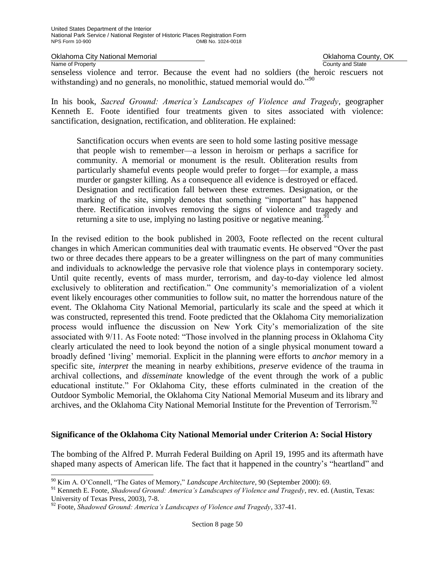Oklahoma City National Memorial **County Accounty** Oklahoma County, OK<br>
Name of Property<br>
Ocunty and State Name of Property senseless violence and terror. Because the event had no soldiers (the heroic rescuers not withstanding) and no generals, no monolithic, statued memorial would do."<sup>90</sup>

In his book, *Sacred Ground: America's Landscapes of Violence and Tragedy*, geographer Kenneth E. Foote identified four treatments given to sites associated with violence: sanctification, designation, rectification, and obliteration. He explained:

Sanctification occurs when events are seen to hold some lasting positive message that people wish to remember—a lesson in heroism or perhaps a sacrifice for community. A memorial or monument is the result. Obliteration results from particularly shameful events people would prefer to forget—for example, a mass murder or gangster killing. As a consequence all evidence is destroyed or effaced. Designation and rectification fall between these extremes. Designation, or the marking of the site, simply denotes that something "important" has happened there. Rectification involves removing the signs of violence and tragedy and returning a site to use, implying no lasting positive or negative meaning.<sup>91</sup>

In the revised edition to the book published in 2003, Foote reflected on the recent cultural changes in which American communities deal with traumatic events. He observed "Over the past two or three decades there appears to be a greater willingness on the part of many communities and individuals to acknowledge the pervasive role that violence plays in contemporary society. Until quite recently, events of mass murder, terrorism, and day-to-day violence led almost exclusively to obliteration and rectification." One community's memorialization of a violent event likely encourages other communities to follow suit, no matter the horrendous nature of the event. The Oklahoma City National Memorial, particularly its scale and the speed at which it was constructed, represented this trend. Foote predicted that the Oklahoma City memorialization process would influence the discussion on New York City's memorialization of the site associated with 9/11. As Foote noted: "Those involved in the planning process in Oklahoma City clearly articulated the need to look beyond the notion of a single physical monument toward a broadly defined 'living' memorial. Explicit in the planning were efforts to *anchor* memory in a specific site, *interpret* the meaning in nearby exhibitions, *preserve* evidence of the trauma in archival collections, and *disseminate* knowledge of the event through the work of a public educational institute." For Oklahoma City, these efforts culminated in the creation of the Outdoor Symbolic Memorial, the Oklahoma City National Memorial Museum and its library and archives, and the Oklahoma City National Memorial Institute for the Prevention of Terrorism.<sup>92</sup>

## **Significance of the Oklahoma City National Memorial under Criterion A: Social History**

The bombing of the Alfred P. Murrah Federal Building on April 19, 1995 and its aftermath have shaped many aspects of American life. The fact that it happened in the country's "heartland" and

J.

<sup>90</sup> Kim A. O'Connell, "The Gates of Memory," *Landscape Architecture*, 90 (September 2000): 69.

<sup>91</sup> Kenneth E. Foote, *Shadowed Ground: America's Landscapes of Violence and Tragedy*, rev. ed. (Austin, Texas: University of Texas Press, 2003), 7-8.

<sup>92</sup> Foote, *Shadowed Ground: America's Landscapes of Violence and Tragedy*, 337-41.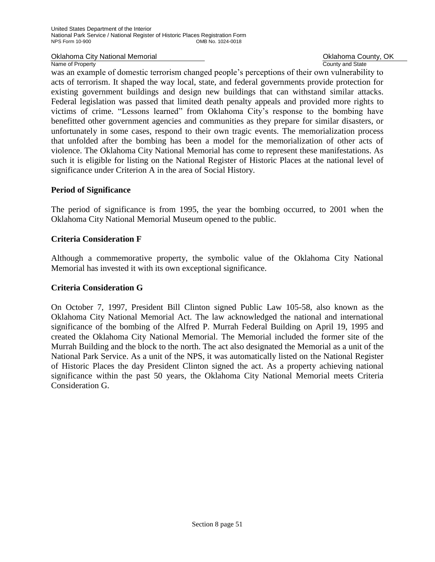Oklahoma City National Memorial **National County, OK** Changes County, OK

Name of Property **County Accounty County and State** 

was an example of domestic terrorism changed people's perceptions of their own vulnerability to acts of terrorism. It shaped the way local, state, and federal governments provide protection for existing government buildings and design new buildings that can withstand similar attacks. Federal legislation was passed that limited death penalty appeals and provided more rights to victims of crime. "Lessons learned" from Oklahoma City's response to the bombing have benefitted other government agencies and communities as they prepare for similar disasters, or unfortunately in some cases, respond to their own tragic events. The memorialization process that unfolded after the bombing has been a model for the memorialization of other acts of violence. The Oklahoma City National Memorial has come to represent these manifestations. As such it is eligible for listing on the National Register of Historic Places at the national level of significance under Criterion A in the area of Social History.

## **Period of Significance**

The period of significance is from 1995, the year the bombing occurred, to 2001 when the Oklahoma City National Memorial Museum opened to the public.

## **Criteria Consideration F**

Although a commemorative property, the symbolic value of the Oklahoma City National Memorial has invested it with its own exceptional significance.

## **Criteria Consideration G**

On October 7, 1997, President Bill Clinton signed Public Law 105-58, also known as the Oklahoma City National Memorial Act. The law acknowledged the national and international significance of the bombing of the Alfred P. Murrah Federal Building on April 19, 1995 and created the Oklahoma City National Memorial. The Memorial included the former site of the Murrah Building and the block to the north. The act also designated the Memorial as a unit of the National Park Service. As a unit of the NPS, it was automatically listed on the National Register of Historic Places the day President Clinton signed the act. As a property achieving national significance within the past 50 years, the Oklahoma City National Memorial meets Criteria Consideration G.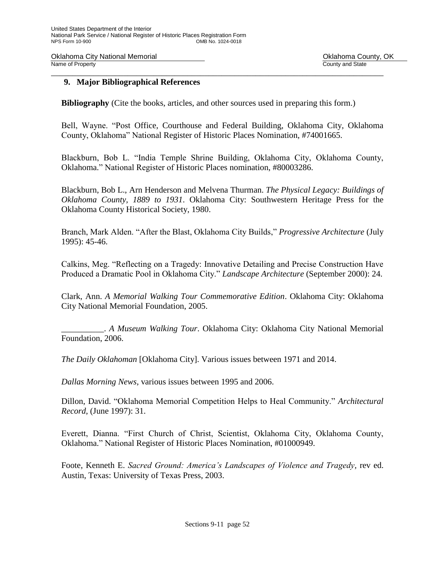Oklahoma City National Memorial **County Accounty** Oklahoma County, OK<br>
Name of Property<br>
Ocunty and State Name of Property \_\_\_\_\_\_\_\_\_\_\_\_\_\_\_\_\_\_\_\_\_\_\_\_\_\_\_\_\_\_\_\_\_\_\_\_\_\_\_\_\_\_\_\_\_\_\_\_\_\_\_\_\_\_\_\_\_\_\_\_\_\_\_\_\_\_\_\_\_\_\_\_\_\_\_\_\_\_

## **9. Major Bibliographical References**

**Bibliography** (Cite the books, articles, and other sources used in preparing this form.)

Bell, Wayne. "Post Office, Courthouse and Federal Building, Oklahoma City, Oklahoma County, Oklahoma" National Register of Historic Places Nomination, #74001665.

Blackburn, Bob L. "India Temple Shrine Building, Oklahoma City, Oklahoma County, Oklahoma." National Register of Historic Places nomination, #80003286.

Blackburn, Bob L., Arn Henderson and Melvena Thurman. *The Physical Legacy: Buildings of Oklahoma County, 1889 to 1931*. Oklahoma City: Southwestern Heritage Press for the Oklahoma County Historical Society, 1980.

Branch, Mark Alden. "After the Blast, Oklahoma City Builds," *Progressive Architecture* (July 1995): 45-46.

Calkins, Meg. "Reflecting on a Tragedy: Innovative Detailing and Precise Construction Have Produced a Dramatic Pool in Oklahoma City." *Landscape Architecture* (September 2000): 24.

Clark, Ann. *A Memorial Walking Tour Commemorative Edition*. Oklahoma City: Oklahoma City National Memorial Foundation, 2005.

\_\_\_\_\_\_\_\_\_\_. *A Museum Walking Tour*. Oklahoma City: Oklahoma City National Memorial Foundation, 2006.

*The Daily Oklahoman* [Oklahoma City]. Various issues between 1971 and 2014.

*Dallas Morning News*, various issues between 1995 and 2006.

Dillon, David. "Oklahoma Memorial Competition Helps to Heal Community." *Architectural Record*, (June 1997): 31.

Everett, Dianna. "First Church of Christ, Scientist, Oklahoma City, Oklahoma County, Oklahoma." National Register of Historic Places Nomination, #01000949.

Foote, Kenneth E. *Sacred Ground: America's Landscapes of Violence and Tragedy,* rev ed. Austin, Texas: University of Texas Press, 2003.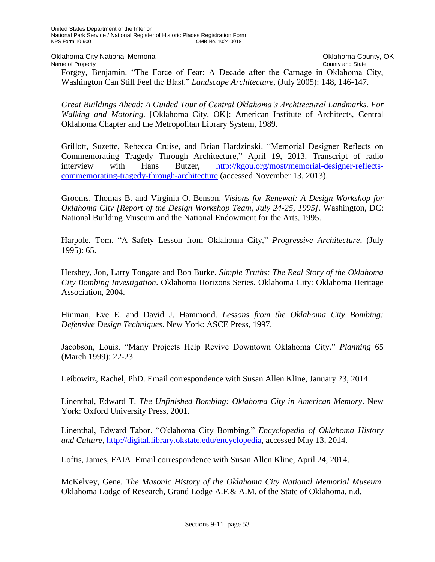Oklahoma City National Memorial **County Accounty** Oklahoma County, OK<br>
Name of Property<br>
Ocunty and State

Name of Property Forgey, Benjamin. "The Force of Fear: A Decade after the Carnage in Oklahoma City, Washington Can Still Feel the Blast." *Landscape Architecture*, (July 2005): 148, 146-147.

*Great Buildings Ahead: A Guided Tour of Central Oklahoma's Architectural Landmarks. For Walking and Motoring.* [Oklahoma City, OK]: American Institute of Architects, Central Oklahoma Chapter and the Metropolitan Library System, 1989.

Grillott, Suzette, Rebecca Cruise, and Brian Hardzinski. "Memorial Designer Reflects on Commemorating Tragedy Through Architecture," April 19, 2013. Transcript of radio interview with Hans Butzer, [http://kgou.org/most/memorial-designer-reflects](http://kgou.org/most/memorial-designer-reflects-commemorating-tragedy-through-architecture)[commemorating-tragedy-through-architecture](http://kgou.org/most/memorial-designer-reflects-commemorating-tragedy-through-architecture) (accessed November 13, 2013).

Grooms, Thomas B. and Virginia O. Benson. *Visions for Renewal: A Design Workshop for Oklahoma City [Report of the Design Workshop Team, July 24-25, 1995]*. Washington, DC: National Building Museum and the National Endowment for the Arts, 1995.

Harpole, Tom. "A Safety Lesson from Oklahoma City," *Progressive Architecture*, (July 1995): 65.

Hershey, Jon, Larry Tongate and Bob Burke. *Simple Truths: The Real Story of the Oklahoma City Bombing Investigation*. Oklahoma Horizons Series. Oklahoma City: Oklahoma Heritage Association, 2004.

Hinman, Eve E. and David J. Hammond. *Lessons from the Oklahoma City Bombing: Defensive Design Techniques*. New York: ASCE Press, 1997.

Jacobson, Louis. "Many Projects Help Revive Downtown Oklahoma City." *Planning* 65 (March 1999): 22-23.

Leibowitz, Rachel, PhD. Email correspondence with Susan Allen Kline, January 23, 2014.

Linenthal, Edward T. *The Unfinished Bombing: Oklahoma City in American Memory*. New York: Oxford University Press, 2001.

Linenthal, Edward Tabor. "Oklahoma City Bombing." *Encyclopedia of Oklahoma History and Culture,* [http://digital.library.okstate.edu/encyclopedia,](http://digital.library.okstate.edu/encyclopedia) accessed May 13, 2014.

Loftis, James, FAIA. Email correspondence with Susan Allen Kline, April 24, 2014.

McKelvey, Gene. *The Masonic History of the Oklahoma City National Memorial Museum.*  Oklahoma Lodge of Research, Grand Lodge A.F.& A.M. of the State of Oklahoma, n.d.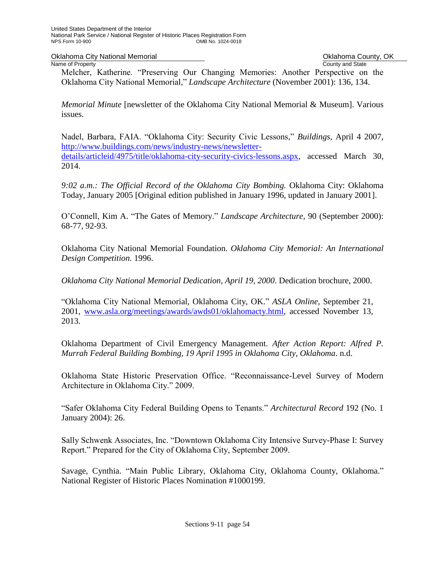Oklahoma City National Memorial **County, OKLAHOMA County, OK**<br>
Name of Property County and State

County and State

Melcher, Katherine. "Preserving Our Changing Memories: Another Perspective on the Oklahoma City National Memorial," *Landscape Architecture* (November 2001): 136, 134.

*Memorial Minute* [newsletter of the Oklahoma City National Memorial & Museum]. Various issues.

Nadel, Barbara, FAIA. "Oklahoma City: Security Civic Lessons," *Buildings*, April 4 2007, [http://www.buildings.com/news/industry-news/newsletter](http://www.buildings.com/news/industry-news/newsletter-details/articleid/4975/title/oklahoma-city-security-civics-lessons.aspx)[details/articleid/4975/title/oklahoma-city-security-civics-lessons.aspx,](http://www.buildings.com/news/industry-news/newsletter-details/articleid/4975/title/oklahoma-city-security-civics-lessons.aspx) accessed March 30, 2014.

9:02 a.m.: The Official Record of the Oklahoma City Bombing. Oklahoma City: Oklahoma Today, January 2005 [Original edition published in January 1996, updated in January 2001].

O'Connell, Kim A. "The Gates of Memory." *Landscape Architecture*, 90 (September 2000): 68-77, 92-93.

Oklahoma City National Memorial Foundation. *Oklahoma City Memorial: An International Design Competition.* 1996.

*Oklahoma City National Memorial Dedication, April 19, 2000*. Dedication brochure, 2000.

"Oklahoma City National Memorial, Oklahoma City, OK." *ASLA Online*, September 21, 2001, [www.asla.org/meetings/awards/awds01/oklahomacty.html,](http://www.asla.org/meetings/awards/awds01/oklahomacty.html) accessed November 13, 2013.

Oklahoma Department of Civil Emergency Management. *After Action Report: Alfred P. Murrah Federal Building Bombing, 19 April 1995 in Oklahoma City, Oklahoma*. n.d.

Oklahoma State Historic Preservation Office. "Reconnaissance-Level Survey of Modern Architecture in Oklahoma City." 2009.

"Safer Oklahoma City Federal Building Opens to Tenants." *Architectural Record* 192 (No. 1 January 2004): 26.

Sally Schwenk Associates, Inc. "Downtown Oklahoma City Intensive Survey-Phase I: Survey Report." Prepared for the City of Oklahoma City, September 2009.

Savage, Cynthia. "Main Public Library, Oklahoma City, Oklahoma County, Oklahoma." National Register of Historic Places Nomination #1000199.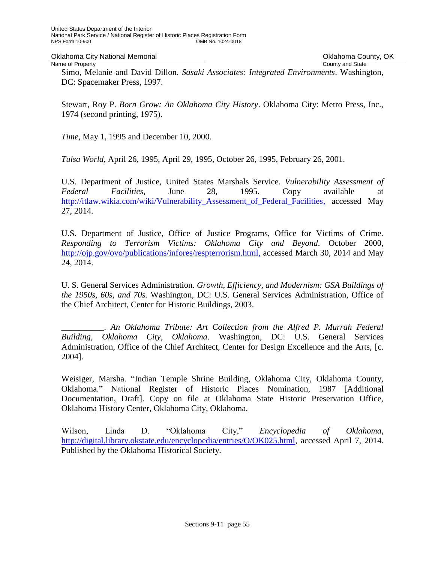Oklahoma City National Memorial **County Accounty** Oklahoma County, OK<br>
Name of Property<br>
Ocunty and State

Name of Property Simo, Melanie and David Dillon. *Sasaki Associates: Integrated Environments*. Washington, DC: Spacemaker Press, 1997.

Stewart, Roy P. *Born Grow: An Oklahoma City History*. Oklahoma City: Metro Press, Inc., 1974 (second printing, 1975).

*Time*, May 1, 1995 and December 10, 2000.

*Tulsa World*, April 26, 1995, April 29, 1995, October 26, 1995, February 26, 2001.

U.S. Department of Justice, United States Marshals Service. *Vulnerability Assessment of Federal Facilities*, June 28, 1995. Copy available at [http://itlaw.wikia.com/wiki/Vulnerability\\_Assessment\\_of\\_Federal\\_Facilities,](http://itlaw.wikia.com/wiki/Vulnerability_Assessment_of_Federal_Facilities) accessed May 27, 2014.

U.S. Department of Justice, Office of Justice Programs, Office for Victims of Crime. *Responding to Terrorism Victims: Oklahoma City and Beyond.* October 2000, [http://ojp.gov/ovo/publications/infores/respterrorism.html,](http://ojp.gov/ovo/publications/infores/respterrorism.html) accessed March 30, 2014 and May 24, 2014.

U. S. General Services Administration. *Growth, Efficiency, and Modernism: GSA Buildings of the 1950s, 60s, and 70s.* Washington, DC: U.S. General Services Administration, Office of the Chief Architect, Center for Historic Buildings, 2003.

\_\_\_\_\_\_\_\_\_\_. *An Oklahoma Tribute: Art Collection from the Alfred P. Murrah Federal Building, Oklahoma City, Oklahoma*. Washington, DC: U.S. General Services Administration, Office of the Chief Architect, Center for Design Excellence and the Arts, [c. 2004].

Weisiger, Marsha. "Indian Temple Shrine Building, Oklahoma City, Oklahoma County, Oklahoma." National Register of Historic Places Nomination, 1987 [Additional Documentation, Draft]. Copy on file at Oklahoma State Historic Preservation Office, Oklahoma History Center, Oklahoma City, Oklahoma.

Wilson, Linda D. "Oklahoma City," *Encyclopedia of Oklahoma*, [http://digital.library.okstate.edu/encyclopedia/entries/O/OK025.html,](http://digital.library.okstate.edu/encyclopedia/entries/O/OK025.html) accessed April 7, 2014. Published by the Oklahoma Historical Society.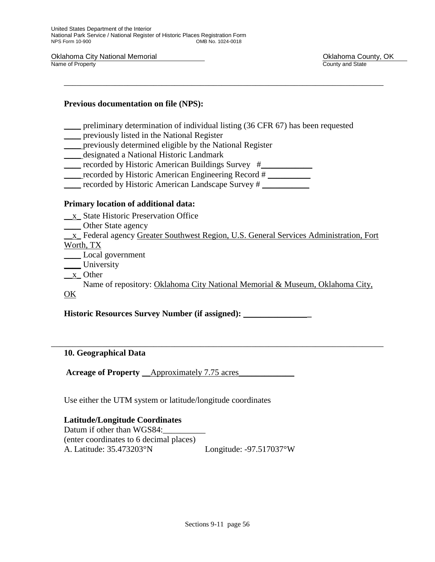Oklahoma City National Memorial **Contract County, OK**<br>
Name of Property County and State County and State Name of Property

## **Previous documentation on file (NPS):**

\_\_\_\_ preliminary determination of individual listing (36 CFR 67) has been requested

\_\_\_\_\_\_\_\_\_\_\_\_\_\_\_\_\_\_\_\_\_\_\_\_\_\_\_\_\_\_\_\_\_\_\_\_\_\_\_\_\_\_\_\_\_\_\_\_\_\_\_\_\_\_\_\_\_\_\_\_\_\_\_\_\_\_\_\_\_\_\_\_\_\_\_

- \_\_\_\_ previously listed in the National Register
- \_\_\_\_ previously determined eligible by the National Register
- \_\_\_\_ designated a National Historic Landmark
- \_\_\_\_ recorded by Historic American Buildings Survey #\_\_\_\_\_\_\_\_\_\_\_\_
- \_\_\_\_ recorded by Historic American Engineering Record # \_\_\_\_\_\_\_\_\_\_
- \_\_\_\_ recorded by Historic American Landscape Survey # \_\_\_\_\_\_\_\_\_\_\_

## **Primary location of additional data:**

- \_\_x\_ State Historic Preservation Office
- \_\_\_\_ Other State agency

\_\_x\_ Federal agency Greater Southwest Region, U.S. General Services Administration, Fort

Worth, TX

- \_\_\_\_ Local government
- \_\_\_\_ University
- \_\_x\_ Other

 Name of repository: Oklahoma City National Memorial & Museum, Oklahoma City, OK

\_\_\_\_\_\_\_\_\_\_\_\_\_\_\_\_\_\_\_\_\_\_\_\_\_\_\_\_\_\_\_\_\_\_\_\_\_\_\_\_\_\_\_\_\_\_\_\_\_\_\_\_\_\_\_\_\_\_\_\_\_\_\_\_\_\_\_\_\_\_\_\_\_\_\_\_\_\_

**Historic Resources Survey Number (if assigned):** \_\_\_\_\_\_\_\_\_\_\_\_\_\_\_**\_**

## **10. Geographical Data**

**Acreage of Property** \_\_Approximately 7.75 acres\_\_\_\_\_\_\_\_\_\_\_\_\_

Use either the UTM system or latitude/longitude coordinates

## **Latitude/Longitude Coordinates**

Datum if other than WGS84: (enter coordinates to 6 decimal places) A. Latitude: 35.473203°N Longitude: -97.517037°W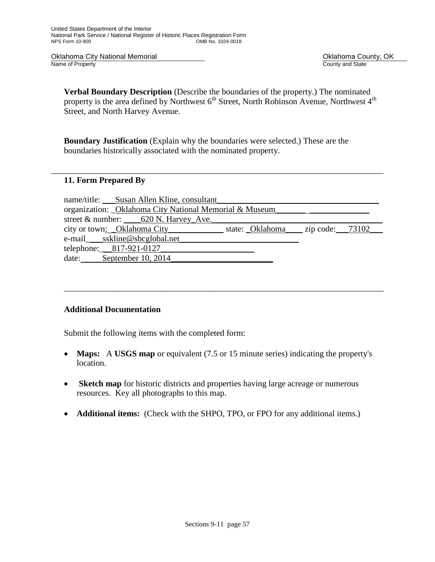Oklahoma City National Memorial **County Accounty** Oklahoma County, OK<br>
Name of Property<br>
Ocunty and State Name of Property

**Verbal Boundary Description** (Describe the boundaries of the property.) The nominated property is the area defined by Northwest  $6<sup>th</sup>$  Street, North Robinson Avenue, Northwest  $4<sup>th</sup>$ Street, and North Harvey Avenue.

**Boundary Justification** (Explain why the boundaries were selected.) These are the boundaries historically associated with the nominated property.

\_\_\_\_\_\_\_\_\_\_\_\_\_\_\_\_\_\_\_\_\_\_\_\_\_\_\_\_\_\_\_\_\_\_\_\_\_\_\_\_\_\_\_\_\_\_\_\_\_\_\_\_\_\_\_\_\_\_\_\_\_\_\_\_\_\_\_\_\_\_\_\_\_\_\_\_\_\_

## **11. Form Prepared By**

|                         | name/title: Susan Allen Kline, consultant                   |  |  |
|-------------------------|-------------------------------------------------------------|--|--|
|                         | organization: _Oklahoma City National Memorial & Museum_    |  |  |
|                         | street & number: 620 N. Harvey Ave.                         |  |  |
|                         | city or town: Oklahoma City state: Oklahoma zip code: 73102 |  |  |
|                         | e-mail____sskline@sbcglobal.net_                            |  |  |
| telephone: 817-921-0127 |                                                             |  |  |
|                         | date: September 10, 2014                                    |  |  |

\_\_\_\_\_\_\_\_\_\_\_\_\_\_\_\_\_\_\_\_\_\_\_\_\_\_\_\_\_\_\_\_\_\_\_\_\_\_\_\_\_\_\_\_\_\_\_\_\_\_\_\_\_\_\_\_\_\_\_\_\_\_\_\_\_\_\_\_\_\_\_\_\_\_\_

## **Additional Documentation**

Submit the following items with the completed form:

- **Maps:** A **USGS map** or equivalent (7.5 or 15 minute series) indicating the property's location.
- **Sketch map** for historic districts and properties having large acreage or numerous resources. Key all photographs to this map.
- **Additional items:** (Check with the SHPO, TPO, or FPO for any additional items.)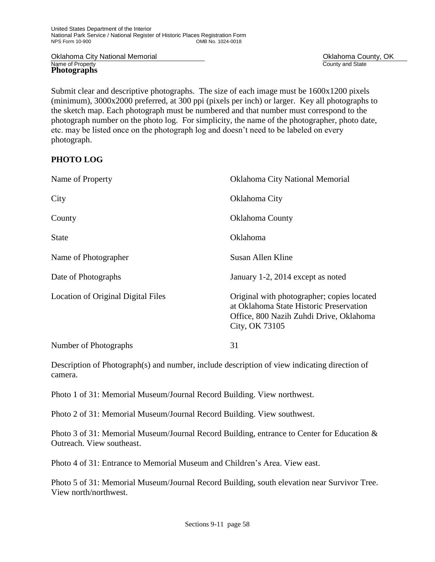Oklahoma City National Memorial **County Accounty** Oklahoma County, OK<br>
Name of Property<br>
Ocunty and State **Photographs**

County and State

Submit clear and descriptive photographs. The size of each image must be 1600x1200 pixels (minimum), 3000x2000 preferred, at 300 ppi (pixels per inch) or larger. Key all photographs to the sketch map. Each photograph must be numbered and that number must correspond to the photograph number on the photo log. For simplicity, the name of the photographer, photo date, etc. may be listed once on the photograph log and doesn't need to be labeled on every photograph.

## **PHOTO LOG**

| Name of Property                   | <b>Oklahoma City National Memorial</b>                                                                                                             |
|------------------------------------|----------------------------------------------------------------------------------------------------------------------------------------------------|
| City                               | Oklahoma City                                                                                                                                      |
| County                             | <b>Oklahoma County</b>                                                                                                                             |
| <b>State</b>                       | <b>Oklahoma</b>                                                                                                                                    |
| Name of Photographer               | Susan Allen Kline                                                                                                                                  |
| Date of Photographs                | January 1-2, 2014 except as noted                                                                                                                  |
| Location of Original Digital Files | Original with photographer; copies located<br>at Oklahoma State Historic Preservation<br>Office, 800 Nazih Zuhdi Drive, Oklahoma<br>City, OK 73105 |
| Number of Photographs              | 31                                                                                                                                                 |

Description of Photograph(s) and number, include description of view indicating direction of camera.

Photo 1 of 31: Memorial Museum/Journal Record Building. View northwest.

Photo 2 of 31: Memorial Museum/Journal Record Building. View southwest.

Photo 3 of 31: Memorial Museum/Journal Record Building, entrance to Center for Education & Outreach. View southeast.

Photo 4 of 31: Entrance to Memorial Museum and Children's Area. View east.

Photo 5 of 31: Memorial Museum/Journal Record Building, south elevation near Survivor Tree. View north/northwest.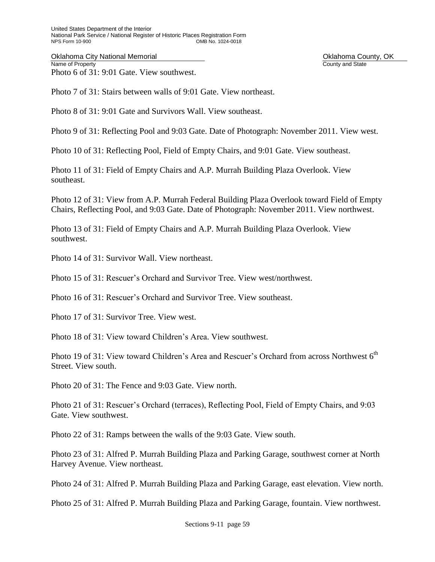Oklahoma City National Memorial **County Accounty** Oklahoma County, OK<br>
Name of Property<br>
Ocunty and State Photo 6 of 31: 9:01 Gate. View southwest.

County and State

Photo 7 of 31: Stairs between walls of 9:01 Gate. View northeast.

Photo 8 of 31: 9:01 Gate and Survivors Wall. View southeast.

Photo 9 of 31: Reflecting Pool and 9:03 Gate. Date of Photograph: November 2011. View west.

Photo 10 of 31: Reflecting Pool, Field of Empty Chairs, and 9:01 Gate. View southeast.

Photo 11 of 31: Field of Empty Chairs and A.P. Murrah Building Plaza Overlook. View southeast.

Photo 12 of 31: View from A.P. Murrah Federal Building Plaza Overlook toward Field of Empty Chairs, Reflecting Pool, and 9:03 Gate. Date of Photograph: November 2011. View northwest.

Photo 13 of 31: Field of Empty Chairs and A.P. Murrah Building Plaza Overlook. View southwest.

Photo 14 of 31: Survivor Wall. View northeast.

Photo 15 of 31: Rescuer's Orchard and Survivor Tree. View west/northwest.

Photo 16 of 31: Rescuer's Orchard and Survivor Tree. View southeast.

Photo 17 of 31: Survivor Tree. View west.

Photo 18 of 31: View toward Children's Area. View southwest.

Photo 19 of 31: View toward Children's Area and Rescuer's Orchard from across Northwest  $6<sup>th</sup>$ Street. View south.

Photo 20 of 31: The Fence and 9:03 Gate. View north.

Photo 21 of 31: Rescuer's Orchard (terraces), Reflecting Pool, Field of Empty Chairs, and 9:03 Gate. View southwest.

Photo 22 of 31: Ramps between the walls of the 9:03 Gate. View south.

Photo 23 of 31: Alfred P. Murrah Building Plaza and Parking Garage, southwest corner at North Harvey Avenue. View northeast.

Photo 24 of 31: Alfred P. Murrah Building Plaza and Parking Garage, east elevation. View north.

Photo 25 of 31: Alfred P. Murrah Building Plaza and Parking Garage, fountain. View northwest.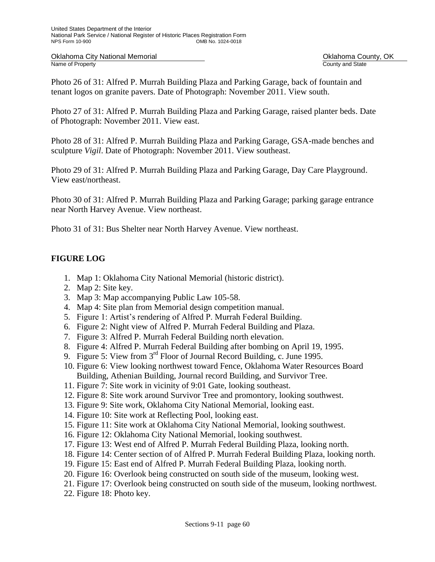Oklahoma City National Memorial **County Accounty** Oklahoma County, OK<br>
Name of Property<br>
Ocunty and State

County and State

Photo 26 of 31: Alfred P. Murrah Building Plaza and Parking Garage, back of fountain and tenant logos on granite pavers. Date of Photograph: November 2011. View south.

Photo 27 of 31: Alfred P. Murrah Building Plaza and Parking Garage, raised planter beds. Date of Photograph: November 2011. View east.

Photo 28 of 31: Alfred P. Murrah Building Plaza and Parking Garage, GSA-made benches and sculpture *Vigil*. Date of Photograph: November 2011. View southeast.

Photo 29 of 31: Alfred P. Murrah Building Plaza and Parking Garage, Day Care Playground. View east/northeast.

Photo 30 of 31: Alfred P. Murrah Building Plaza and Parking Garage; parking garage entrance near North Harvey Avenue. View northeast.

Photo 31 of 31: Bus Shelter near North Harvey Avenue. View northeast.

## **FIGURE LOG**

- 1. Map 1: Oklahoma City National Memorial (historic district).
- 2. Map 2: Site key.
- 3. Map 3: Map accompanying Public Law 105-58.
- 4. Map 4: Site plan from Memorial design competition manual.
- 5. Figure 1: Artist's rendering of Alfred P. Murrah Federal Building.
- 6. Figure 2: Night view of Alfred P. Murrah Federal Building and Plaza.
- 7. Figure 3: Alfred P. Murrah Federal Building north elevation.
- 8. Figure 4: Alfred P. Murrah Federal Building after bombing on April 19, 1995.
- 9. Figure 5: View from 3<sup>rd</sup> Floor of Journal Record Building, c. June 1995.
- 10. Figure 6: View looking northwest toward Fence, Oklahoma Water Resources Board Building, Athenian Building, Journal record Building, and Survivor Tree.
- 11. Figure 7: Site work in vicinity of 9:01 Gate, looking southeast.
- 12. Figure 8: Site work around Survivor Tree and promontory, looking southwest.
- 13. Figure 9: Site work, Oklahoma City National Memorial, looking east.
- 14. Figure 10: Site work at Reflecting Pool, looking east.
- 15. Figure 11: Site work at Oklahoma City National Memorial, looking southwest.
- 16. Figure 12: Oklahoma City National Memorial, looking southwest.
- 17. Figure 13: West end of Alfred P. Murrah Federal Building Plaza, looking north.
- 18. Figure 14: Center section of of Alfred P. Murrah Federal Building Plaza, looking north.
- 19. Figure 15: East end of Alfred P. Murrah Federal Building Plaza, looking north.
- 20. Figure 16: Overlook being constructed on south side of the museum, looking west.
- 21. Figure 17: Overlook being constructed on south side of the museum, looking northwest.
- 22. Figure 18: Photo key.